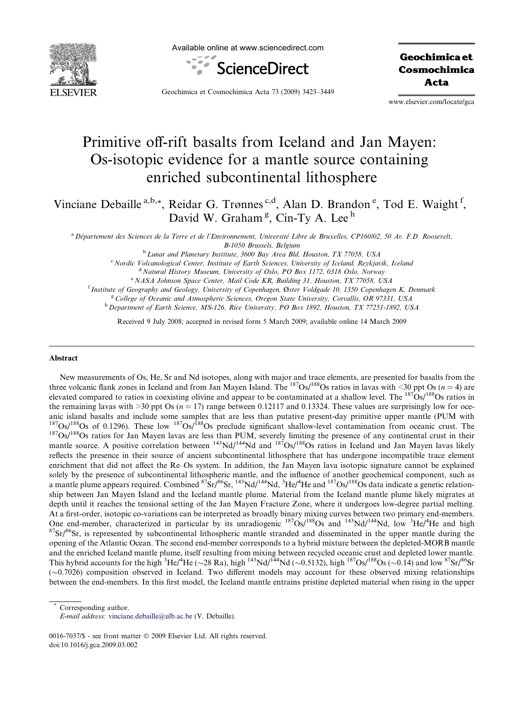

Available online at www.sciencedirect.com



Geochimica et Cosmochimica Acta

Geochimica et Cosmochimica Acta 73 (2009) 3423–3449

www.elsevier.com/locate/gca

# Primitive off-rift basalts from Iceland and Jan Mayen: Os-isotopic evidence for a mantle source containing enriched subcontinental lithosphere

Vinciane Debaille<sup>a,b,\*</sup>, Reidar G. Trønnes<sup>c,d</sup>, Alan D. Brandon<sup>e</sup>, Tod E. Waight<sup>f</sup>, David W. Graham<sup>g</sup>, Cin-Ty A. Lee<sup>h</sup>

<sup>a</sup> Département des Sciences de la Terre et de l'Environnement, Université Libre de Bruxelles, CP160/02, 50 Av. F.D. Roosevelt, B-1050 Brussels, Belgium

<sup>b</sup> Lunar and Planetary Institute, 3600 Bay Area Bld, Houston, TX 77058, USA

<sup>c</sup> Nordic Volcanological Center, Institute of Earth Sciences, University of Iceland, Reykjavik, Iceland

<sup>d</sup> Natural History Museum, University of Oslo, PO Box 1172, 0318 Oslo, Norway

<sup>e</sup> NASA Johnson Space Center, Mail Code KR, Building 31, Houston, TX 77058, USA

<sup>f</sup> Institute of Geography and Geology, University of Copenhagen, Øster Voldgade 10, 1350 Copenhagen K, Denmark

<sup>g</sup> College of Oceanic and Atmospheric Sciences, Oregon State University, Corvallis, OR 97331, USA

h Department of Earth Science, MS-126, Rice University, PO Box 1892, Houston, TX 77251-1892, USA

Received 9 July 2008; accepted in revised form 5 March 2009; available online 14 March 2009

## Abstract

New measurements of Os, He, Sr and Nd isotopes, along with major and trace elements, are presented for basalts from the three volcanic flank zones in Iceland and from Jan Mayen Island. The <sup>187</sup>Os/<sup>188</sup>Os ratios in lavas with <30 ppt Os ( $n = 4$ ) are elevated compared to ratios in coexisting olivine and appear to be contaminated at a shallow level. The  $187Os/188Os$  ratios in the remaining lavas with  $>$ 30 ppt Os ( $n = 17$ ) range between 0.12117 and 0.13324. These values are surprisingly low for oceanic island basalts and include some samples that are less than putative present-day primitive upper mantle (PUM with  $^{187}Os/^{188}Os$  of 0.1296). These low  $^{187}Os/^{188}Os$  preclude significant shallow-level contamination <sup>187</sup>Os/<sup>188</sup>Os ratios for Jan Mayen lavas are less than PUM, severely limiting the presence of any continental crust in their mantle source. A positive correlation between <sup>143</sup>Nd/<sup>144</sup>Nd and <sup>187</sup>Os/<sup>188</sup>Os ratios in Iceland and Jan Mayen lavas likely reflects the presence in their source of ancient subcontinental lithosphere that has undergone incompatible trace element enrichment that did not affect the Re–Os system. In addition, the Jan Mayen lava isotopic signature cannot be explained solely by the presence of subcontinental lithospheric mantle, and the influence of another geochemical component, such as a mantle plume appears required. Combined  ${}^{87}Sr/{}^{86}Sr$ ,  ${}^{143}Nd/{}^{144}Nd$ ,  ${}^{3}He/{}^{4}He$  and  ${}^{187}Os/{}^{188}Os$  data indicate a genetic relationship between Jan Mayen Island and the Iceland mantle plume. Material from the Iceland mantle plume likely migrates at depth until it reaches the tensional setting of the Jan Mayen Fracture Zone, where it undergoes low-degree partial melting. At a first-order, isotopic co-variations can be interpreted as broadly binary mixing curves between two primary end-members. One end-member, characterized in particular by its unradiogenic  $187Os/188Os$  and  $143Nd/144Nd$ , low  $3He/4$  ${}^{87}Sr/{}^{86}Sr$ , is represented by subcontinental lithospheric mantle stranded and disseminated in the upper mantle during the opening of the Atlantic Ocean. The second end-member corresponds to a hybrid mixture between the depleted-MORB mantle and the enriched Iceland mantle plume, itself resulting from mixing between recycled oceanic crust and depleted lower mantle. This hybrid accounts for the high <sup>3</sup>He/<sup>4</sup>He (~28 Ra), high <sup>143</sup>Nd/<sup>144</sup>Nd (~0.5132), high <sup>187</sup>Os/<sup>188</sup>Os (~0.14) and low <sup>87</sup>Sr/<sup>86</sup>Sr (-0.7026) composition observed in Iceland. Two different models may account for these observed mixing relationships between the end-members. In this first model, the Iceland mantle entrains pristine depleted material when rising in the upper

Corresponding author.

E-mail address: [vinciane.debaille@ulb.ac.be](mailto:vinciane.debaille@ulb.ac.be) (V. Debaille).

<sup>0016-7037/\$ -</sup> see front matter © 2009 Elsevier Ltd. All rights reserved. doi:10.1016/j.gca.2009.03.002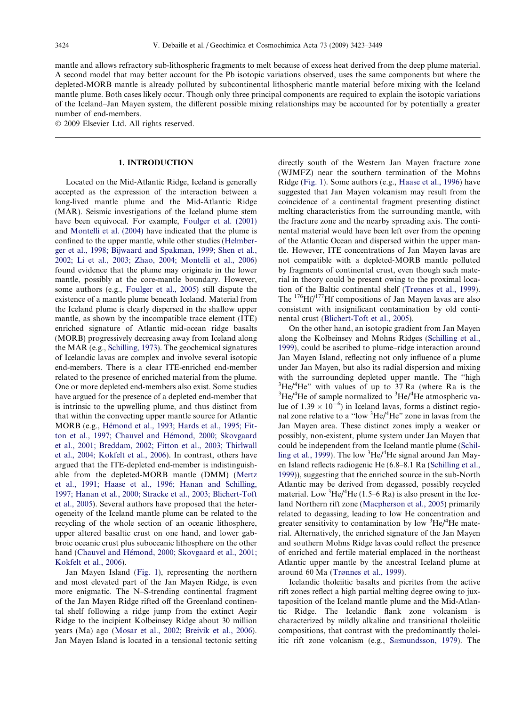mantle and allows refractory sub-lithospheric fragments to melt because of excess heat derived from the deep plume material. A second model that may better account for the Pb isotopic variations observed, uses the same components but where the depleted-MORB mantle is already polluted by subcontinental lithospheric mantle material before mixing with the Iceland mantle plume. Both cases likely occur. Though only three principal components are required to explain the isotopic variations of the Iceland–Jan Mayen system, the different possible mixing relationships may be accounted for by potentially a greater number of end-members.

 $© 2009$  Elsevier Ltd. All rights reserved.

## 1. INTRODUCTION

Located on the Mid-Atlantic Ridge, Iceland is generally accepted as the expression of the interaction between a long-lived mantle plume and the Mid-Atlantic Ridge (MAR). Seismic investigations of the Iceland plume stem have been equivocal. For example, [Foulger et al. \(2001\)](#page-23-0) and [Montelli et al. \(2004\)](#page-25-0) have indicated that the plume is confined to the upper mantle, while other studies ([Helmber](#page-24-0)[ger et al., 1998; Bijwaard and Spakman, 1999; Shen et al.,](#page-24-0) [2002; Li et al., 2003; Zhao, 2004; Montelli et al., 2006\)](#page-24-0) found evidence that the plume may originate in the lower mantle, possibly at the core-mantle boundary. However, some authors (e.g., [Foulger et al., 2005\)](#page-23-0) still dispute the existence of a mantle plume beneath Iceland. Material from the Iceland plume is clearly dispersed in the shallow upper mantle, as shown by the incompatible trace element (ITE) enriched signature of Atlantic mid-ocean ridge basalts (MORB) progressively decreasing away from Iceland along the MAR (e.g., [Schilling, 1973\)](#page-25-0). The geochemical signatures of Icelandic lavas are complex and involve several isotopic end-members. There is a clear ITE-enriched end-member related to the presence of enriched material from the plume. One or more depleted end-members also exist. Some studies have argued for the presence of a depleted end-member that is intrinsic to the upwelling plume, and thus distinct from that within the convecting upper mantle source for Atlantic MORB (e.g., Hémond et al., 1993; Hards et al., 1995; Fitton et al., 1997; Chauvel and Hémond, 2000; Skovgaard [et al., 2001; Breddam, 2002; Fitton et al., 2003; Thirlwall](#page-24-0) [et al., 2004; Kokfelt et al., 2006\)](#page-24-0). In contrast, others have argued that the ITE-depleted end-member is indistinguishable from the depleted-MORB mantle (DMM) ([Mertz](#page-25-0) [et al., 1991; Haase et al., 1996; Hanan and Schilling,](#page-25-0) [1997; Hanan et al., 2000; Stracke et al., 2003; Blichert-Toft](#page-25-0) [et al., 2005](#page-25-0)). Several authors have proposed that the heterogeneity of the Iceland mantle plume can be related to the recycling of the whole section of an oceanic lithosphere, upper altered basaltic crust on one hand, and lower gabbroic oceanic crust plus suboceanic lithosphere on the other hand (Chauvel and Hémond, 2000; Skovgaard et al., 2001; [Kokfelt et al., 2006\)](#page-23-0).

Jan Mayen Island ([Fig. 1\)](#page-2-0), representing the northern and most elevated part of the Jan Mayen Ridge, is even more enigmatic. The N–S-trending continental fragment of the Jan Mayen Ridge rifted off the Greenland continental shelf following a ridge jump from the extinct Aegir Ridge to the incipient Kolbeinsey Ridge about 30 million years (Ma) ago ([Mosar et al., 2002; Breivik et al., 2006\)](#page-25-0). Jan Mayen Island is located in a tensional tectonic setting directly south of the Western Jan Mayen fracture zone (WJMFZ) near the southern termination of the Mohns Ridge [\(Fig. 1\)](#page-2-0). Some authors (e.g., [Haase et al., 1996\)](#page-24-0) have suggested that Jan Mayen volcanism may result from the coincidence of a continental fragment presenting distinct melting characteristics from the surrounding mantle, with the fracture zone and the nearby spreading axis. The continental material would have been left over from the opening of the Atlantic Ocean and dispersed within the upper mantle. However, ITE concentrations of Jan Mayen lavas are not compatible with a depleted-MORB mantle polluted by fragments of continental crust, even though such material in theory could be present owing to the proximal location of the Baltic continental shelf ([Tr](#page-26-0)ø[nnes et al., 1999\)](#page-26-0). The 176Hf/177Hf compositions of Jan Mayen lavas are also consistent with insignificant contamination by old continental crust [\(Blichert-Toft et al., 2005\)](#page-22-0).

On the other hand, an isotopic gradient from Jan Mayen along the Kolbeinsey and Mohns Ridges [\(Schilling et al.,](#page-26-0) [1999\)](#page-26-0), could be ascribed to plume–ridge interaction around Jan Mayen Island, reflecting not only influence of a plume under Jan Mayen, but also its radial dispersion and mixing with the surrounding depleted upper mantle. The ''high <sup>3</sup>He/<sup>4</sup>He" with values of up to 37 Ra (where Ra is the  $^{3}$ He/<sup>4</sup>He of sample pormalized to  $^{3}$ He/<sup>4</sup>He atmospheric values  $He/{}^{4}He$  of sample normalized to  ${}^{3}He/{}^{4}He$  atmospheric value of  $1.39 \times 10^{-6}$ ) in Iceland lavas, forms a distinct regional zone relative to a "low <sup>3</sup>He/<sup>4</sup>He" zone in lavas from the Jan Mayen area. These distinct zones imply a weaker or possibly, non-existent, plume system under Jan Mayen that could be independent from the Iceland mantle plume [\(Schil](#page-26-0)[ling et al., 1999](#page-26-0)). The low  ${}^{3}$ He/ ${}^{4}$ He signal around Jan Mayen Island reflects radiogenic He (6.8–8.1 Ra ([Schilling et al.,](#page-26-0) [1999\)](#page-26-0)), suggesting that the enriched source in the sub-North Atlantic may be derived from degassed, possibly recycled material. Low  ${}^{3}$ He/ ${}^{4}$ He (1.5–6 Ra) is also present in the Iceland Northern rift zone ([Macpherson et al., 2005](#page-25-0)) primarily related to degassing, leading to low He concentration and greater sensitivity to contamination by low  ${}^{3}$ He/ ${}^{4}$ He material. Alternatively, the enriched signature of the Jan Mayen and southern Mohns Ridge lavas could reflect the presence of enriched and fertile material emplaced in the northeast Atlantic upper mantle by the ancestral Iceland plume at around 60 Ma [\(Tr](#page-26-0)ø[nnes et al., 1999](#page-26-0)).

Icelandic tholeiitic basalts and picrites from the active rift zones reflect a high partial melting degree owing to juxtaposition of the Iceland mantle plume and the Mid-Atlantic Ridge. The Icelandic flank zone volcanism is characterized by mildly alkaline and transitional tholeiitic compositions, that contrast with the predominantly tholei-itic rift zone volcanism (e.g., [S](#page-25-0)æ[mundsson, 1979](#page-25-0)). The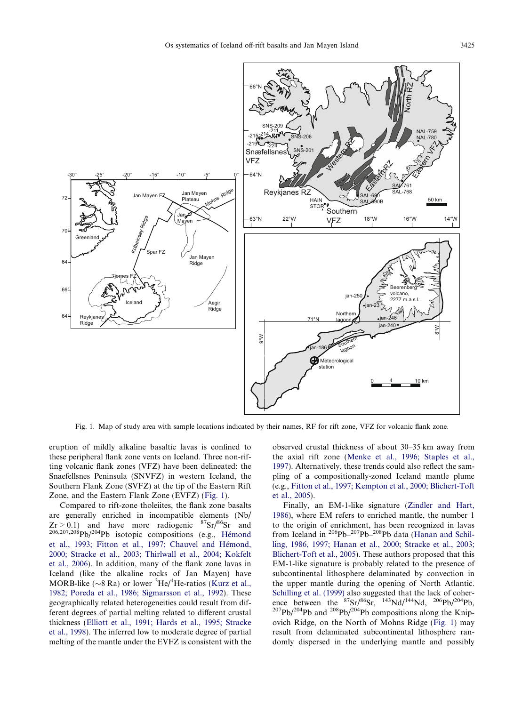<span id="page-2-0"></span>

Fig. 1. Map of study area with sample locations indicated by their names, RF for rift zone, VFZ for volcanic flank zone.

eruption of mildly alkaline basaltic lavas is confined to these peripheral flank zone vents on Iceland. Three non-rifting volcanic flank zones (VFZ) have been delineated: the Snaefellsnes Peninsula (SNVFZ) in western Iceland, the Southern Flank Zone (SVFZ) at the tip of the Eastern Rift Zone, and the Eastern Flank Zone (EVFZ) (Fig. 1).

Compared to rift-zone tholeiites, the flank zone basalts are generally enriched in incompatible elements (Nb/  $Zr > 0.1$ ) and have more radiogenic  $87Sr/86Sr$  and  $206,207,208$ Pb/204Pb isotopic compositions (e.g., Hémond et al., 1993; Fitton et al., 1997; Chauvel and Hémond, [2000; Stracke et al., 2003; Thirlwall et al., 2004; Kokfelt](#page-24-0) [et al., 2006\)](#page-24-0). In addition, many of the flank zone lavas in Iceland (like the alkaline rocks of Jan Mayen) have MORB-like ( $\sim$ 8 Ra) or lower <sup>3</sup>He/<sup>4</sup>He-ratios ([Kurz et al.,](#page-24-0) [1982; Poreda et al., 1986; Sigmarsson et al., 1992](#page-24-0)). These geographically related heterogeneities could result from different degrees of partial melting related to different crustal thickness [\(Elliott et al., 1991; Hards et al., 1995; Stracke](#page-23-0) [et al., 1998\)](#page-23-0). The inferred low to moderate degree of partial melting of the mantle under the EVFZ is consistent with the observed crustal thickness of about 30–35 km away from the axial rift zone [\(Menke et al., 1996; Staples et al.,](#page-25-0) [1997](#page-25-0)). Alternatively, these trends could also reflect the sampling of a compositionally-zoned Iceland mantle plume (e.g., [Fitton et al., 1997; Kempton et al., 2000; Blichert-Toft](#page-23-0) [et al., 2005\)](#page-23-0).

Finally, an EM-1-like signature [\(Zindler and Hart,](#page-26-0) [1986](#page-26-0)), where EM refers to enriched mantle, the number 1 to the origin of enrichment, has been recognized in lavas from Iceland in 206Pb–207Pb–208Pb data [\(Hanan and Schil](#page-24-0)[ling, 1986, 1997; Hanan et al., 2000; Stracke et al., 2003;](#page-24-0) [Blichert-Toft et al., 2005\)](#page-24-0). These authors proposed that this EM-1-like signature is probably related to the presence of subcontinental lithosphere delaminated by convection in the upper mantle during the opening of North Atlantic. [Schilling et al. \(1999\)](#page-26-0) also suggested that the lack of coherence between the  ${}^{87}Sr/{}^{86}Sr, {}^{143}Nd/{}^{144}Nd, {}^{206}Pb/{}^{204}Pb,$ <br> ${}^{207}Pb/{}^{204}Pb$  and  ${}^{208}Pb/{}^{204}Pb$  compositions along the Knipovich Ridge, on the North of Mohns Ridge (Fig. 1) may result from delaminated subcontinental lithosphere randomly dispersed in the underlying mantle and possibly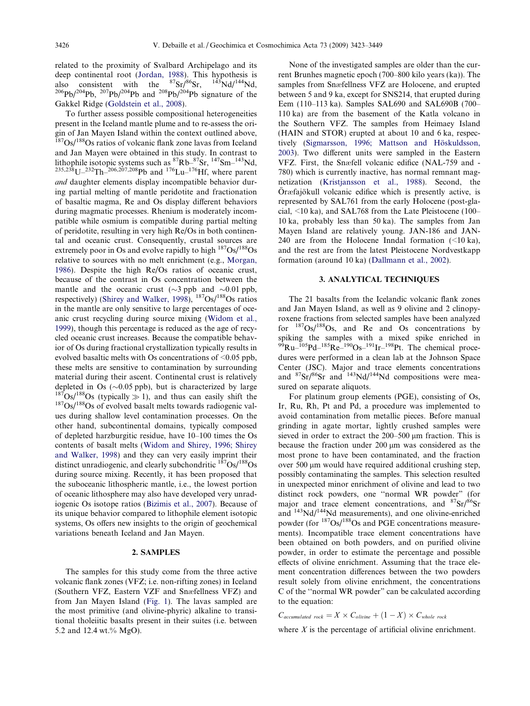related to the proximity of Svalbard Archipelago and its deep continental root [\(Jordan, 1988\)](#page-24-0). This hypothesis is also consistent with the  ${}^{87}Sr/{}^{86}Sr$ ,  ${}^{143}Nd/{}^{144}Nd$ ,  ${}^{206}Pb/{}^{204}Pb$ ,  ${}^{207}Pb/{}^{204}Pb$  and  ${}^{208}Pb/{}^{204}Pb$  signature of the Gakkel Ridge ([Goldstein et al., 2008\)](#page-23-0).

To further assess possible compositional heterogeneities present in the Iceland mantle plume and to re-assess the origin of Jan Mayen Island within the context outlined above,  $187$ Os/ $188$ Os ratios of volcanic flank zone lavas from Iceland and Jan Mayen were obtained in this study. In contrast to lithophile isotopic systems such as  ${}^{87}Rb-{}^{87}Sr$ ,  ${}^{147}Sm-{}^{143}Nd$ ,  $^{235,238}$ U $-^{232}$ Th $-^{206,207,208}$ Pb and  $^{176}$ Lu $-^{176}$ Hf, where parent and daughter elements display incompatible behavior during partial melting of mantle peridotite and fractionation of basaltic magma, Re and Os display different behaviors during magmatic processes. Rhenium is moderately incompatible while osmium is compatible during partial melting of peridotite, resulting in very high Re/Os in both continental and oceanic crust. Consequently, crustal sources are extremely poor in Os and evolve rapidly to high  $187Os/188Os$ relative to sources with no melt enrichment (e.g., [Morgan,](#page-25-0) [1986\)](#page-25-0). Despite the high Re/Os ratios of oceanic crust, because of the contrast in Os concentration between the mantle and the oceanic crust ( $\sim$ 3 ppb and  $\sim$ 0.01 ppb, respectively) (Shirey and Walker,  $1998$ ),  $187Os/188Os$  ratios in the mantle are only sensitive to large percentages of oceanic crust recycling during source mixing ([Widom et al.,](#page-26-0) [1999\)](#page-26-0), though this percentage is reduced as the age of recycled oceanic crust increases. Because the compatible behavior of Os during fractional crystallization typically results in evolved basaltic melts with Os concentrations of <0.05 ppb, these melts are sensitive to contamination by surrounding material during their ascent. Continental crust is relatively depleted in Os  $(\sim 0.05 \text{ pb})$ , but is characterized by large  $\frac{187}{187}$ Os/<sup>188</sup>Os (typically  $\gg$  1), and thus can easily shift the  $\frac{187}{187}$ Os/<sup>188</sup>Os of evolved basalt melts towards radiogenic values during shallow level contamination processes. On the other hand, subcontinental domains, typically composed of depleted harzburgitic residue, have 10–100 times the Os contents of basalt melts [\(Widom and Shirey, 1996; Shirey](#page-26-0) [and Walker, 1998](#page-26-0)) and they can very easily imprint their distinct unradiogenic, and clearly subchondritic  $^{187}Os/^{188}Os$ during source mixing. Recently, it has been proposed that the suboceanic lithospheric mantle, i.e., the lowest portion of oceanic lithosphere may also have developed very unradiogenic Os isotope ratios [\(Bizimis et al., 2007\)](#page-22-0). Because of its unique behavior compared to lithophile element isotopic systems, Os offers new insights to the origin of geochemical variations beneath Iceland and Jan Mayen.

# 2. SAMPLES

The samples for this study come from the three active volcanic flank zones (VFZ; i.e. non-rifting zones) in Iceland (Southern VFZ, Eastern VZF and Snæfellness VFZ) and from Jan Mayen Island ([Fig. 1\)](#page-2-0). The lavas sampled are the most primitive (and olivine-phyric) alkaline to transitional tholeiitic basalts present in their suites (i.e. between 5.2 and 12.4 wt.% MgO).

None of the investigated samples are older than the current Brunhes magnetic epoch (700–800 kilo years (ka)). The samples from Snæfellness VFZ are Holocene, and erupted between 5 and 9 ka, except for SNS214, that erupted during Eem (110–113 ka). Samples SAL690 and SAL690B (700– 110 ka) are from the basement of the Katla volcano in the Southern VFZ. The samples from Heimaey Island (HAIN and STOR) erupted at about 10 and 6 ka, respectively (Sigmarsson, 1996; Mattson and Höskuldsson, [2003\)](#page-26-0). Two different units were sampled in the Eastern VFZ. First, the Snæfell volcanic edifice (NAL-759 and -780) which is currently inactive, has normal remnant magnetization ([Kristjansson et al., 1988\)](#page-24-0). Second, the Öræfajökull volcanic edifice which is presently active, is represented by SAL761 from the early Holocene (post-glacial, <10 ka), and SAL768 from the Late Pleistocene (100– 10 ka, probably less than 50 ka). The samples from Jan Mayen Island are relatively young. JAN-186 and JAN-240 are from the Holocene Inndal formation  $(\leq 10 \text{ ka})$ , and the rest are from the latest Pleistocene Nordvestkapp formation (around 10 ka) ([Dallmann et al., 2002\)](#page-23-0).

# 3. ANALYTICAL TECHNIQUES

The 21 basalts from the Icelandic volcanic flank zones and Jan Mayen Island, as well as 9 olivine and 2 clinopyroxene fractions from selected samples have been analyzed for  $187Os/188Os$ , and Re and Os concentrations by spiking the samples with a mixed spike enriched in  $^{99}Ru-^{105}Pd-^{185}Re-^{190}Os-^{191}Ir-^{198}Pt$ . The chemical procedures were performed in a clean lab at the Johnson Space Center (JSC). Major and trace elements concentrations and  ${}^{87}Sr/{}^{86}Sr$  and  ${}^{143}Nd/{}^{144}Nd$  compositions were measured on separate aliquots.

For platinum group elements (PGE), consisting of Os, Ir, Ru, Rh, Pt and Pd, a procedure was implemented to avoid contamination from metallic pieces. Before manual grinding in agate mortar, lightly crushed samples were sieved in order to extract the  $200-500 \mu m$  fraction. This is because the fraction under  $200 \mu m$  was considered as the most prone to have been contaminated, and the fraction over 500  $\mu$ m would have required additional crushing step, possibly contaminating the samples. This selection resulted in unexpected minor enrichment of olivine and lead to two distinct rock powders, one ''normal WR powder" (for major and trace element concentrations, and  ${}^{87}Sr/{}^{86}Sr$ and  $143\text{Nd}/144\text{Nd}$  measurements), and one olivine-enriched powder (for  $187Os/188Os$  and PGE concentrations measurements). Incompatible trace element concentrations have been obtained on both powders, and on purified olivine powder, in order to estimate the percentage and possible effects of olivine enrichment. Assuming that the trace element concentration differences between the two powders result solely from olivine enrichment, the concentrations C of the ''normal WR powder" can be calculated according to the equation:

 $C_{accumulated rock} = X \times C_{olivine} + (1 - X) \times C_{whole rock}$ 

where  $X$  is the percentage of artificial olivine enrichment.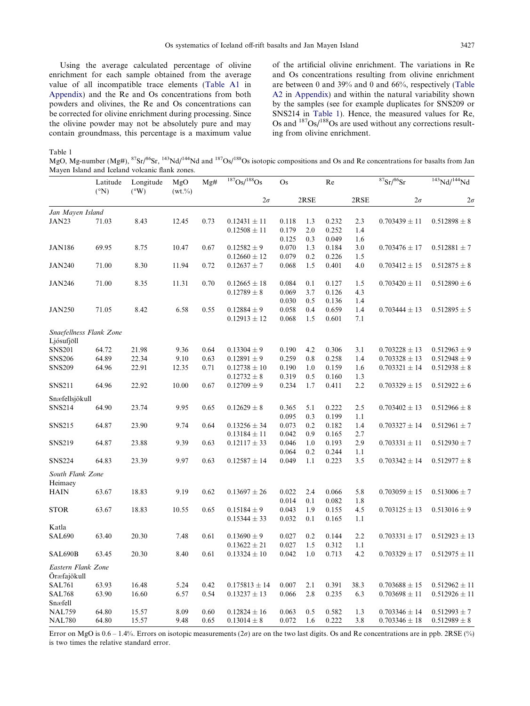<span id="page-4-0"></span>Using the average calculated percentage of olivine enrichment for each sample obtained from the average value of all incompatible trace elements ([Table A1](#page-20-0) in Appendix) and the Re and Os concentrations from both powders and olivines, the Re and Os concentrations can be corrected for olivine enrichment during processing. Since the olivine powder may not be absolutely pure and may contain groundmass, this percentage is a maximum value of the artificial olivine enrichment. The variations in Re and Os concentrations resulting from olivine enrichment are between 0 and 39% and 0 and 66%, respectively ([Table](#page-21-0) [A2](#page-21-0) in Appendix) and within the natural variability shown by the samples (see for example duplicates for SNS209 or SNS214 in Table 1). Hence, the measured values for Re, Os and  $187Os/188Os$  are used without any corrections resulting from olivine enrichment.

Table 1

MgO, Mg-number (Mg#), <sup>87</sup>Sr/<sup>86</sup>Sr, <sup>143</sup>Nd/<sup>144</sup>Nd and <sup>187</sup>Os/<sup>188</sup>Os isotopic compositions and Os and Re concentrations for basalts from Jan Mayen Island and Iceland volcanic flank zones.

|                          | Latitude<br>$({}^{\circ}N)$ | Longitude<br>$(^{\circ}W)$ | MgO<br>$(wt. \% )$ | Mg#  | 187Os/188Os                          | Os             |            | Re             |            | ${}^{87}Sr/{}^{86}Sr$ | 143Nd/144Nd       |
|--------------------------|-----------------------------|----------------------------|--------------------|------|--------------------------------------|----------------|------------|----------------|------------|-----------------------|-------------------|
|                          |                             |                            |                    |      | $2\sigma$                            |                | 2RSE       |                | 2RSE       | $2\sigma$             | $2\sigma$         |
| Jan Mayen Island         |                             |                            |                    |      |                                      |                |            |                |            |                       |                   |
| JAN23                    | 71.03                       | 8.43                       | 12.45              | 0.73 | $0.12431 \pm 11$                     | 0.118          | 1.3        | 0.232          | 2.3        | $0.703439 \pm 11$     | $0.512898 \pm 8$  |
|                          |                             |                            |                    |      | $0.12508 \pm 11$                     | 0.179          | 2.0        | 0.252          | 1.4        |                       |                   |
|                          |                             |                            |                    |      |                                      | 0.125          | 0.3        | 0.049          | 1.6        |                       |                   |
| <b>JAN186</b>            | 69.95                       | 8.75                       | 10.47              | 0.67 | $0.12582 \pm 9$                      | 0.070          | 1.3        | 0.184          | 3.0        | $0.703476 \pm 17$     | $0.512881 \pm 7$  |
|                          |                             |                            |                    |      | $0.12660 \pm 12$                     | 0.079          | 0.2        | 0.226          | 1.5        |                       |                   |
| <b>JAN240</b>            | 71.00                       | 8.30                       | 11.94              | 0.72 | $0.12637 \pm 7$                      | 0.068          | 1.5        | 0.401          | 4.0        | $0.703412 \pm 15$     | $0.512875 \pm 8$  |
| <b>JAN246</b>            | 71.00                       | 8.35                       | 11.31              | 0.70 | $0.12665 \pm 18$                     | 0.084          | 0.1        | 0.127          | 1.5        | $0.703420 \pm 11$     | $0.512890 \pm 6$  |
|                          |                             |                            |                    |      | $0.12789 \pm 8$                      | 0.069          | 3.7        | 0.126          | 4.3        |                       |                   |
|                          |                             |                            |                    |      |                                      | 0.030          | 0.5        | 0.136          | 1.4        |                       |                   |
| <b>JAN250</b>            | 71.05                       | 8.42                       | 6.58               | 0.55 | $0.12884 \pm 9$                      | 0.058          | 0.4        | 0.659          | 1.4        | $0.703444 \pm 13$     | $0.512895 \pm 5$  |
|                          |                             |                            |                    |      | $0.12913 \pm 12$                     | 0.068          | 1.5        | 0.601          | 7.1        |                       |                   |
| Snaefellness Flank Zone  |                             |                            |                    |      |                                      |                |            |                |            |                       |                   |
| Ljósufjöll               |                             |                            |                    |      |                                      |                |            |                |            |                       |                   |
| <b>SNS201</b>            | 64.72                       | 21.98                      | 9.36               | 0.64 | $0.13304 \pm 9$                      | 0.190          | 4.2        | 0.306          | 3.1        | $0.703228 \pm 13$     | $0.512963 \pm 9$  |
| <b>SNS206</b>            | 64.89                       | 22.34                      | 9.10               | 0.63 | $0.12891 \pm 9$                      | 0.259          | 0.8        | 0.258          | 1.4        | $0.703328 \pm 13$     | $0.512948 \pm 9$  |
| <b>SNS209</b>            | 64.96                       | 22.91                      | 12.35              | 0.71 | $0.12738 \pm 10$                     | 0.190          | 1.0        | 0.159          | 1.6        | $0.703321 \pm 14$     | $0.512938 \pm 8$  |
|                          |                             |                            |                    |      | $0.12732 \pm 8$                      | 0.319          | 0.5        | 0.160          | 1.3        |                       |                   |
| <b>SNS211</b>            | 64.96                       | 22.92                      | 10.00              | 0.67 | $0.12709 \pm 9$                      | 0.234          | 1.7        | 0.411          | 2.2        | $0.703329 \pm 15$     | $0.512922 \pm 6$  |
| Snæfellsjökull           |                             |                            |                    |      |                                      |                |            |                |            |                       |                   |
| <b>SNS214</b>            | 64.90                       | 23.74                      | 9.95               | 0.65 | $0.12629 \pm 8$                      | 0.365          | 5.1        | 0.222          | 2.5        | $0.703402 \pm 13$     | $0.512966 \pm 8$  |
|                          |                             |                            |                    |      |                                      | 0.095          | 0.3        | 0.199          | 1.1        |                       |                   |
| <b>SNS215</b>            | 64.87                       | 23.90                      | 9.74               | 0.64 | $0.13256 \pm 34$                     | 0.073          | 0.2        | 0.182          | 1.4        | $0.703327 \pm 14$     | $0.512961 \pm 7$  |
|                          |                             |                            |                    |      | $0.13184 \pm 11$                     | 0.042          | 0.9        | 0.165          | 2.7        |                       |                   |
| <b>SNS219</b>            | 64.87                       | 23.88                      | 9.39               | 0.63 | $0.12117 \pm 33$                     | 0.046          | 1.0        | 0.193          | 2.9        | $0.703331 \pm 11$     | $0.512930 \pm 7$  |
|                          |                             |                            |                    |      |                                      | 0.064          | 0.2        | 0.244          | 1.1        |                       |                   |
| <b>SNS224</b>            | 64.83                       | 23.39                      | 9.97               | 0.63 | $0.12587 \pm 14$                     | 0.049          | 1.1        | 0.223          | 3.5        | $0.703342 \pm 14$     | $0.512977 \pm 8$  |
| South Flank Zone         |                             |                            |                    |      |                                      |                |            |                |            |                       |                   |
| Heimaey                  |                             | 18.83                      |                    | 0.62 |                                      | 0.022          |            | 0.066          |            |                       |                   |
| <b>HAIN</b>              | 63.67                       |                            | 9.19               |      | $0.13697 \pm 26$                     | 0.014          | 2.4<br>0.1 | 0.082          | 5.8<br>1.8 | $0.703059 \pm 15$     | $0.513006 \pm 7$  |
|                          |                             |                            |                    |      |                                      | 0.043          |            | 0.155          |            |                       |                   |
| <b>STOR</b>              | 63.67                       | 18.83                      | 10.55              | 0.65 | $0.15184 \pm 9$                      |                | 1.9        |                | 4.5        | $0.703125 \pm 13$     | $0.513016 \pm 9$  |
|                          |                             |                            |                    |      | $0.15344 \pm 33$                     | 0.032          | 0.1        | 0.165          | 1.1        |                       |                   |
| Katla                    |                             |                            |                    |      |                                      |                |            |                | 2.2        |                       |                   |
| <b>SAL690</b>            | 63.40                       | 20.30                      | 7.48               | 0.61 | $0.13690 \pm 9$                      | 0.027<br>0.027 | 0.2<br>1.5 | 0.144<br>0.312 | 1.1        | $0.703331 \pm 17$     | $0.512923 \pm 13$ |
| <b>SAL690B</b>           | 63.45                       | 20.30                      | 8.40               | 0.61 | $0.13622 \pm 21$<br>$0.13324 \pm 10$ | 0.042          | 1.0        | 0.713          | 4.2        | $0.703329 \pm 17$     | $0.512975 \pm 11$ |
|                          |                             |                            |                    |      |                                      |                |            |                |            |                       |                   |
| Eastern Flank Zone       |                             |                            |                    |      |                                      |                |            |                |            |                       |                   |
| Öræfajökull              |                             |                            |                    |      |                                      |                |            |                |            |                       |                   |
| <b>SAL761</b>            | 63.93                       | 16.48                      | 5.24               | 0.42 | $0.175813 \pm 14$                    | 0.007          | 2.1        | 0.391          | 38.3       | $0.703688 \pm 15$     | $0.512962 \pm 11$ |
| <b>SAL768</b><br>Snæfell | 63.90                       | 16.60                      | 6.57               | 0.54 | $0.13237 \pm 13$                     | 0.066          | 2.8        | 0.235          | 6.3        | $0.703698 \pm 11$     | $0.512926 \pm 11$ |
| <b>NAL759</b>            | 64.80                       | 15.57                      | 8.09               | 0.60 | $0.12824 \pm 16$                     | 0.063          | 0.5        | 0.582          | 1.3        | $0.703346 \pm 14$     | $0.512993 \pm 7$  |
| <b>NAL780</b>            | 64.80                       | 15.57                      | 9.48               | 0.65 | $0.13014 \pm 8$                      | 0.072          | 1.6        | 0.222          | 3.8        | $0.703346 \pm 18$     | $0.512989 \pm 8$  |

Error on MgO is  $0.6 - 1.4\%$ . Errors on isotopic measurements  $(2\sigma)$  are on the two last digits. Os and Re concentrations are in ppb. 2RSE (%) is two times the relative standard error.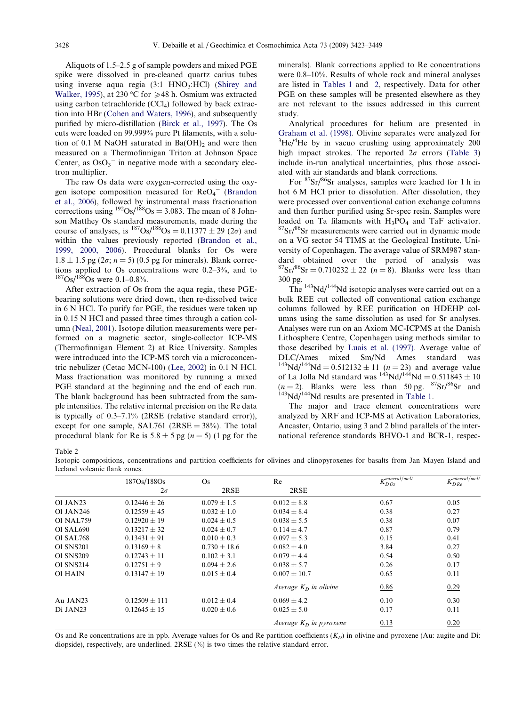<span id="page-5-0"></span>Aliquots of 1.5–2.5 g of sample powders and mixed PGE spike were dissolved in pre-cleaned quartz carius tubes using inverse aqua regia  $(3:1 \text{ HNO}_3;\text{HCI})$  ([Shirey and](#page-26-0) [Walker, 1995\)](#page-26-0), at 230 °C for  $\geq 48$  h. Osmium was extracted using carbon tetrachloride  $(CCl<sub>4</sub>)$  followed by back extraction into HBr ([Cohen and Waters, 1996\)](#page-23-0), and subsequently purified by micro-distillation ([Birck et al., 1997\)](#page-22-0). The Os cuts were loaded on 99.999% pure Pt filaments, with a solution of  $0.1$  M NaOH saturated in Ba(OH)<sub>2</sub> and were then measured on a Thermofinnigan Triton at Johnson Space Center, as  $OsO<sub>3</sub>$ <sup>-</sup> in negative mode with a secondary electron multiplier.

The raw Os data were oxygen-corrected using the oxygen isotope composition measured for  $\text{ReO}_4^-$  [\(Brandon](#page-23-0) [et al., 2006\)](#page-23-0), followed by instrumental mass fractionation corrections using  $^{192}Os/188}Os = 3.083$ . The mean of 8 Johnson Matthey Os standard measurements, made during the course of analyses, is  $^{187}Os/^{188}Os = 0.11377 \pm 29 (2\sigma)$  and within the values previously reported [\(Brandon et al.,](#page-23-0) [1999, 2000, 2006\)](#page-23-0). Procedural blanks for Os were  $1.8 \pm 1.5$  pg ( $2\sigma$ ;  $n = 5$ ) (0.5 pg for minerals). Blank corrections applied to Os concentrations were 0.2–3%, and to  $187$ Os/ $188$ Os were 0.1–0.8%.

After extraction of Os from the aqua regia, these PGEbearing solutions were dried down, then re-dissolved twice in 6 N HCl. To purify for PGE, the residues were taken up in 0.15 N HCl and passed three times through a cation column [\(Neal, 2001](#page-25-0)). Isotope dilution measurements were performed on a magnetic sector, single-collector ICP-MS (Thermofinnigan Element 2) at Rice University. Samples were introduced into the ICP-MS torch via a microconcentric nebulizer (Cetac MCN-100) [\(Lee, 2002](#page-24-0)) in 0.1 N HCl. Mass fractionation was monitored by running a mixed PGE standard at the beginning and the end of each run. The blank background has been subtracted from the sample intensities. The relative internal precision on the Re data is typically of 0.3–7.1% (2RSE (relative standard error)), except for one sample,  $SAL761$  ( $2RSE = 38\%$ ). The total procedural blank for Re is  $5.8 \pm 5$  pg ( $n = 5$ ) (1 pg for the

minerals). Blank corrections applied to Re concentrations were 0.8–10%. Results of whole rock and mineral analyses are listed in [Tables 1](#page-4-0) and 2, respectively. Data for other PGE on these samples will be presented elsewhere as they are not relevant to the issues addressed in this current study.

Analytical procedures for helium are presented in [Graham et al. \(1998\)](#page-23-0). Olivine separates were analyzed for <sup>3</sup> He/<sup>4</sup> He by in vacuo crushing using approximately 200 high impact strokes. The reported  $2\sigma$  errors [\(Table 3](#page-6-0)) include in-run analytical uncertainties, plus those associated with air standards and blank corrections.

For 87Sr/86Sr analyses, samples were leached for 1 h in hot 6 M HCl prior to dissolution. After dissolution, they were processed over conventional cation exchange columns and then further purified using Sr-spec resin. Samples were loaded on Ta filaments with  $H_3PO_4$  and TaF activator. <sup>87</sup>Sr/<sup>86</sup>Sr measurements were carried out in dynamic mode on a VG sector 54 TIMS at the Geological Institute, University of Copenhagen. The average value of SRM987 standard obtained over the period of analysis was  ${}^{87}Sr/{}^{86}Sr = 0.710232 \pm 22$  (*n* = 8). Blanks were less than 300 pg.

The 143Nd/144Nd isotopic analyses were carried out on a bulk REE cut collected off conventional cation exchange columns followed by REE purification on HDEHP columns using the same dissolution as used for Sr analyses. Analyses were run on an Axiom MC-ICPMS at the Danish Lithosphere Centre, Copenhagen using methods similar to those described by [Luais et al. \(1997\)](#page-25-0). Average value of DLC/Ames mixed Sm/Nd Ames standard was  $143\text{Nd}/144\text{Nd} = 0.512132 \pm 11$  (n = 23) and average value of La Jolla Nd standard was  $143$ Nd/ $144$ Nd = 0.511843 ± 10  $(n=2)$ . Blanks were less than 50 pg.  ${}^{87}Sr/{}^{86}Sr$  and  ${}^{143}Nd/{}^{144}Nd$  results are presented in [Table 1.](#page-4-0)

The major and trace element concentrations were analyzed by XRF and ICP-MS at Activation Laboratories, Ancaster, Ontario, using 3 and 2 blind parallels of the international reference standards BHVO-1 and BCR-1, respec-

Table 2

Isotopic compositions, concentrations and partition coefficients for olivines and clinopyroxenes for basalts from Jan Mayen Island and Iceland volcanic flank zones.

|                  | 187Os/188Os       | $\rm Os$        | Re                        | $\nu$ mineral/melt<br>$\Lambda_{DOS}$ | $\nu$ mineral/melt<br>$\Lambda_{DRe}$ |
|------------------|-------------------|-----------------|---------------------------|---------------------------------------|---------------------------------------|
|                  | $2\sigma$         | 2RSE            | 2RSE                      |                                       |                                       |
| Ol JAN23         | $0.12446 \pm 26$  | $0.079 \pm 1.5$ | $0.012 \pm 8.8$           | 0.67                                  | 0.05                                  |
| <b>Ol JAN246</b> | $0.12559 \pm 45$  | $0.032 \pm 1.0$ | $0.034 \pm 8.4$           | 0.38                                  | 0.27                                  |
| <b>Ol NAL759</b> | $0.12920 \pm 19$  | $0.024 \pm 0.5$ | $0.038 \pm 5.5$           | 0.38                                  | 0.07                                  |
| O1 SAL690        | $0.13217 + 32$    | $0.024 \pm 0.7$ | $0.114 \pm 4.7$           | 0.87                                  | 0.79                                  |
| Ol SAL768        | $0.13431 \pm 91$  | $0.010 \pm 0.3$ | $0.097 \pm 5.3$           | 0.15                                  | 0.41                                  |
| <b>Ol SNS201</b> | $0.13169 + 8$     | $0.730 + 18.6$  | $0.082 + 4.0$             | 3.84                                  | 0.27                                  |
| <b>Ol SNS209</b> | $0.12743 + 11$    | $0.102 + 3.1$   | $0.079 + 4.4$             | 0.54                                  | 0.50                                  |
| <b>Ol SNS214</b> | $0.12751 \pm 9$   | $0.094 \pm 2.6$ | $0.038 \pm 5.7$           | 0.26                                  | 0.17                                  |
| <b>Ol HAIN</b>   | $0.13147 \pm 19$  | $0.015 \pm 0.4$ | $0.007 \pm 10.7$          | 0.65                                  | 0.11                                  |
|                  |                   |                 | Average $K_D$ in olivine  | 0.86                                  | 0.29                                  |
| Au JAN23         | $0.12509 \pm 111$ | $0.012 \pm 0.4$ | $0.069 \pm 4.2$           | 0.10                                  | 0.30                                  |
| Di JAN23         | $0.12645 \pm 15$  | $0.020 \pm 0.6$ | $0.025 \pm 5.0$           | 0.17                                  | 0.11                                  |
|                  |                   |                 | Average $K_D$ in pyroxene | 0.13                                  | 0.20                                  |

Os and Re concentrations are in ppb. Average values for Os and Re partition coefficients  $(K_D)$  in olivine and pyroxene (Au: augite and Di: diopside), respectively, are underlined. 2RSE (%) is two times the relative standard error.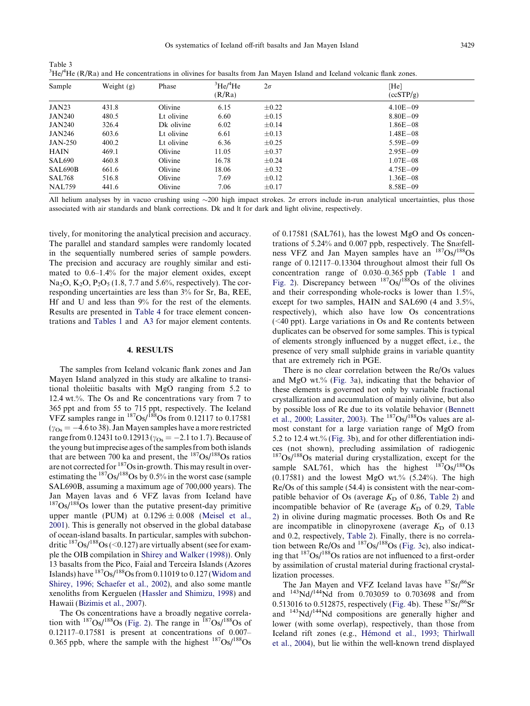|               |              |            |                            |            | ${}^{3}He/{}^{4}He$ (R/Ra) and He concentrations in olivines for basalts from Jan Mayen Island and Iceland volcanic flank zones. |
|---------------|--------------|------------|----------------------------|------------|----------------------------------------------------------------------------------------------------------------------------------|
| Sample        | Weight $(g)$ | Phase      | $\rm{^3He/^4He}$<br>(R/Ra) | $2\sigma$  | [He]<br>(ccSTP/g)                                                                                                                |
| <b>JAN23</b>  | 431.8        | Olivine    | 6.15                       | $+0.22$    | $4.10E - 09$                                                                                                                     |
| <b>JAN240</b> | 480.5        | Lt olivine | 6.60                       | $\pm 0.15$ | $8.80E - 09$                                                                                                                     |

 $JAN240$  326.4 Dk olivine 6.02  $\pm 0.14$  1.86E-08  $JAN246$  603.6 Lt olivine 6.61  $\pm 0.13$  1.48E-08  $JAN-250$  400.2 Lt olivine 6.36  $\pm 0.25$  5.59E-09 HAIN  $469.1$  Olivine  $11.05$   $\pm 0.37$  2.95E-09 SAL690 460.8 Olivine  $16.78 \pm 0.24$  1.07E-08  $SAL690B$  661.6 Olivine 18.06  $\pm 0.32$  4.75E-09  $SL768$  516.8 Olivine 7.69  $\pm 0.12$  1.36E-08 NAL759 441.6 Olivine 7.06  $\pm 0.17$  8.58E-09

All helium analyses by in vacuo crushing using  $\sim$ 200 high impact strokes. 2 $\sigma$  errors include in-run analytical uncertainties, plus those associated with air standards and blank corrections. Dk and lt for dark and light olivine, respectively.

tively, for monitoring the analytical precision and accuracy. The parallel and standard samples were randomly located in the sequentially numbered series of sample powders. The precision and accuracy are roughly similar and estimated to 0.6–1.4% for the major element oxides, except Na<sub>2</sub>O, K<sub>2</sub>O, P<sub>2</sub>O<sub>5</sub> (1.8, 7.7 and 5.6%, respectively). The corresponding uncertainties are less than 3% for Sr, Ba, REE, Hf and U and less than 9% for the rest of the elements. Results are presented in [Table 4](#page-7-0) for trace element concentrations and [Tables 1](#page-4-0) and [A3](#page-22-0) for major element contents.

<span id="page-6-0"></span>Table 3

#### 4. RESULTS

The samples from Iceland volcanic flank zones and Jan Mayen Island analyzed in this study are alkaline to transitional tholeiitic basalts with MgO ranging from 5.2 to 12.4 wt.%. The Os and Re concentrations vary from 7 to 365 ppt and from 55 to 715 ppt, respectively. The Iceland VFZ samples range in  $^{187}Os/188}Os$  from 0.12117 to 0.17581  $(\gamma_{\text{Os}} = -4.6 \text{ to } 38)$ . Jan Mayen samples have a more restricted range from 0.12431 to 0.12913 ( $y_{Os} = -2.1$  to 1.7). Because of the young but imprecise ages of the samples from both islands that are between 700 ka and present, the  $187Os/188Os$  ratios are not corrected for  $187$ Os in-growth. This may result in overestimating the  $187$ Os/ $188$ Os by 0.5% in the worst case (sample SAL690B, assuming a maximum age of 700,000 years). The Jan Mayen lavas and 6 VFZ lavas from Iceland have  $187$ Os/ $188$ Os lower than the putative present-day primitive upper mantle (PUM) at  $0.1296 \pm 0.008$  [\(Meisel et al.,](#page-25-0) [2001](#page-25-0)). This is generally not observed in the global database of ocean-island basalts. In particular, samples with subchondritic  $187Os/188Os$  (<0.127) are virtually absent (see for example the OIB compilation in [Shirey and Walker \(1998\)](#page-26-0)). Only 13 basalts from the Pico, Faial and Terceira Islands (Azores Islands) have  $187Os/188Os$  from 0.11019 to 0.127 ([Widom and](#page-26-0) [Shirey, 1996; Schaefer et al., 2002](#page-26-0)), and also some mantle xenoliths from Kerguelen [\(Hassler and Shimizu, 1998](#page-24-0)) and Hawaii [\(Bizimis et al., 2007](#page-22-0)).

The Os concentrations have a broadly negative correlation with  $187\text{Os}/188\text{Os}$  ([Fig. 2](#page-8-0)). The range in  $187\text{Os}/188\text{Os}$  of 0.12117–0.17581 is present at concentrations of 0.007– 0.365 ppb, where the sample with the highest  $187Os/188Os$ 

of 0.17581 (SAL761), has the lowest MgO and Os concentrations of 5.24% and 0.007 ppb, respectively. The Snæfellness VFZ and Jan Mayen samples have an 187Os/188Os range of 0.12117–0.13304 throughout almost their full Os concentration range of 0.030–0.365 ppb ([Table 1](#page-4-0) and [Fig. 2](#page-8-0)). Discrepancy between  $187Os/188Os$  of the olivines and their corresponding whole-rocks is lower than 1.5%, except for two samples, HAIN and SAL690 (4 and 3.5%, respectively), which also have low Os concentrations (<40 ppt). Large variations in Os and Re contents between duplicates can be observed for some samples. This is typical of elements strongly influenced by a nugget effect, i.e., the presence of very small sulphide grains in variable quantity that are extremely rich in PGE.

There is no clear correlation between the Re/Os values and MgO wt.% [\(Fig. 3a](#page-9-0)), indicating that the behavior of these elements is governed not only by variable fractional crystallization and accumulation of mainly olivine, but also by possible loss of Re due to its volatile behavior ([Bennett](#page-22-0) [et al., 2000; Lassiter, 2003](#page-22-0)). The  $^{187}Os/^{188}Os$  values are almost constant for a large variation range of MgO from 5.2 to 12.4 wt.% ([Fig. 3b](#page-9-0)), and for other differentiation indices (not shown), precluding assimilation of radiogenic  $187Os/188Os$  material during crystallization, except for the sample SAL761, which has the highest  $187Os/188Os$  $(0.17581)$  and the lowest MgO wt.%  $(5.24\%)$ . The high Re/Os of this sample (54.4) is consistent with the near-compatible behavior of Os (average  $K<sub>D</sub>$  of 0.86, [Table 2\)](#page-5-0) and incompatible behavior of Re (average  $K<sub>D</sub>$  of 0.29, [Table](#page-5-0) [2\)](#page-5-0) in olivine during magmatic processes. Both Os and Re are incompatible in clinopyroxene (average  $K<sub>D</sub>$  of 0.13 and 0.2, respectively, [Table 2](#page-5-0)). Finally, there is no correlation between Re/Os and 187Os/188Os ([Fig. 3](#page-9-0)c), also indicating that  $187Os/188Os$  ratios are not influenced to a first-order by assimilation of crustal material during fractional crystallization processes.

The Jan Mayen and VFZ Iceland lavas have  $87\text{Sr}/86\text{Sr}$ and  $^{143}$ Nd/ $^{144}$ Nd from 0.703059 to 0.703698 and from 0.513016 to 0.512875, respectively ([Fig. 4b](#page-10-0)). These  ${}^{87}Sr/{}^{86}Sr$ and 143Nd/144Nd compositions are generally higher and lower (with some overlap), respectively, than those from Iceland rift zones (e.g., Hémond et al., 1993; Thirlwall [et al., 2004\)](#page-24-0), but lie within the well-known trend displayed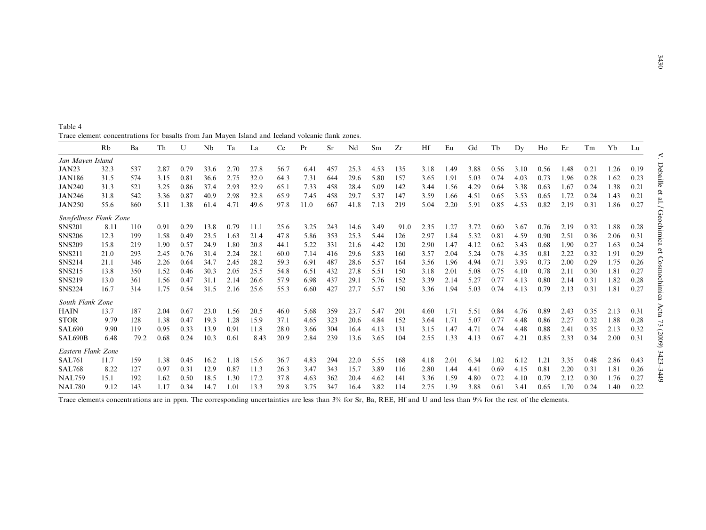<span id="page-7-0"></span>

| Table 4                                                                                          |  |  |  |  |  |  |
|--------------------------------------------------------------------------------------------------|--|--|--|--|--|--|
| Trace element concentrations for basalts from Jan Mayen Island and Iceland volcanic flank zones. |  |  |  |  |  |  |

|                        | Rb   | Ba   | Th   | U    | Nb   | Ta   | La   | Ce   | Pr   | Sr  | Nd   | Sm   | Zr   | Hf   | Eu   | Gd   | Tb   | Dy   | Ho   | Er   | Tm   | Yb   | Lu   |
|------------------------|------|------|------|------|------|------|------|------|------|-----|------|------|------|------|------|------|------|------|------|------|------|------|------|
| Jan Mayen Island       |      |      |      |      |      |      |      |      |      |     |      |      |      |      |      |      |      |      |      |      |      |      |      |
| JAN23                  | 32.3 | 537  | 2.87 | 0.79 | 33.6 | 2.70 | 27.8 | 56.7 | 6.41 | 457 | 25.3 | 4.53 | 135  | 3.18 | 1.49 | 3.88 | 0.56 | 3.10 | 0.56 | 1.48 | 0.21 | 1.26 | 0.19 |
| <b>JAN186</b>          | 31.5 | 574  | 3.15 | 0.81 | 36.6 | 2.75 | 32.0 | 64.3 | 7.31 | 644 | 29.6 | 5.80 | 157  | 3.65 | 1.91 | 5.03 | 0.74 | 4.03 | 0.73 | 1.96 | 0.28 | 1.62 | 0.23 |
| <b>JAN240</b>          | 31.3 | 521  | 3.25 | 0.86 | 37.4 | 2.93 | 32.9 | 65.1 | 7.33 | 458 | 28.4 | 5.09 | 142  | 3.44 | 1.56 | 4.29 | 0.64 | 3.38 | 0.63 | 1.67 | 0.24 | 1.38 | 0.21 |
| <b>JAN246</b>          | 31.8 | 542  | 3.36 | 0.87 | 40.9 | 2.98 | 32.8 | 65.9 | 7.45 | 458 | 29.7 | 5.37 | 147  | 3.59 | 1.66 | 4.51 | 0.65 | 3.53 | 0.65 | 1.72 | 0.24 | 1.43 | 0.21 |
| <b>JAN250</b>          | 55.6 | 860  | 5.11 | 1.38 | 61.4 | 4.71 | 49.6 | 97.8 | 11.0 | 667 | 41.8 | 7.13 | 219  | 5.04 | 2.20 | 5.91 | 0.85 | 4.53 | 0.82 | 2.19 | 0.31 | 1.86 | 0.27 |
| Snæfellness Flank Zone |      |      |      |      |      |      |      |      |      |     |      |      |      |      |      |      |      |      |      |      |      |      |      |
| <b>SNS201</b>          | 8.11 | 110  | 0.91 | 0.29 | 13.8 | 0.79 | 11.1 | 25.6 | 3.25 | 243 | 14.6 | 3.49 | 91.0 | 2.35 | 1.27 | 3.72 | 0.60 | 3.67 | 0.76 | 2.19 | 0.32 | 1.88 | 0.28 |
| <b>SNS206</b>          | 12.3 | 199  | 1.58 | 0.49 | 23.5 | 1.63 | 21.4 | 47.8 | 5.86 | 353 | 25.3 | 5.44 | 126  | 2.97 | 1.84 | 5.32 | 0.81 | 4.59 | 0.90 | 2.51 | 0.36 | 2.06 | 0.31 |
| <b>SNS209</b>          | 15.8 | 219  | 1.90 | 0.57 | 24.9 | 1.80 | 20.8 | 44.1 | 5.22 | 331 | 21.6 | 4.42 | 120  | 2.90 | 1.47 | 4.12 | 0.62 | 3.43 | 0.68 | 1.90 | 0.27 | 1.63 | 0.24 |
| <b>SNS211</b>          | 21.0 | 293  | 2.45 | 0.76 | 31.4 | 2.24 | 28.1 | 60.0 | 7.14 | 416 | 29.6 | 5.83 | 160  | 3.57 | 2.04 | 5.24 | 0.78 | 4.35 | 0.81 | 2.22 | 0.32 | 1.91 | 0.29 |
| <b>SNS214</b>          | 21.1 | 346  | 2.26 | 0.64 | 34.7 | 2.45 | 28.2 | 59.3 | 6.91 | 487 | 28.6 | 5.57 | 164  | 3.56 | 1.96 | 4.94 | 0.71 | 3.93 | 0.73 | 2.00 | 0.29 | 1.75 | 0.26 |
| <b>SNS215</b>          | 13.8 | 350  | 1.52 | 0.46 | 30.3 | 2.05 | 25.5 | 54.8 | 6.51 | 432 | 27.8 | 5.51 | 150  | 3.18 | 2.01 | 5.08 | 0.75 | 4.10 | 0.78 | 2.11 | 0.30 | 1.81 | 0.27 |
| <b>SNS219</b>          | 13.0 | 361  | 1.56 | 0.47 | 31.1 | 2.14 | 26.6 | 57.9 | 6.98 | 437 | 29.1 | 5.76 | 152  | 3.39 | 2.14 | 5.27 | 0.77 | 4.13 | 0.80 | 2.14 | 0.31 | 1.82 | 0.28 |
| <b>SNS224</b>          | 16.7 | 314  | 1.75 | 0.54 | 31.5 | 2.16 | 25.6 | 55.3 | 6.60 | 427 | 27.7 | 5.57 | 150  | 3.36 | 1.94 | 5.03 | 0.74 | 4.13 | 0.79 | 2.13 | 0.31 | 1.81 | 0.27 |
| South Flank Zone       |      |      |      |      |      |      |      |      |      |     |      |      |      |      |      |      |      |      |      |      |      |      |      |
| HAIN                   | 13.7 | 187  | 2.04 | 0.67 | 23.0 | 1.56 | 20.5 | 46.0 | 5.68 | 359 | 23.7 | 5.47 | 201  | 4.60 | 1.71 | 5.51 | 0.84 | 4.76 | 0.89 | 2.43 | 0.35 | 2.13 | 0.31 |
| <b>STOR</b>            | 9.79 | 128  | 1.38 | 0.47 | 19.3 | 1.28 | 15.9 | 37.1 | 4.65 | 323 | 20.6 | 4.84 | 152  | 3.64 | 1.71 | 5.07 | 0.77 | 4.48 | 0.86 | 2.27 | 0.32 | 1.88 | 0.28 |
| <b>SAL690</b>          | 9.90 | 119  | 0.95 | 0.33 | 13.9 | 0.91 | 11.8 | 28.0 | 3.66 | 304 | 16.4 | 4.13 | 131  | 3.15 | 1.47 | 4.71 | 0.74 | 4.48 | 0.88 | 2.41 | 0.35 | 2.13 | 0.32 |
| SAL690B                | 6.48 | 79.2 | 0.68 | 0.24 | 10.3 | 0.61 | 8.43 | 20.9 | 2.84 | 239 | 13.6 | 3.65 | 104  | 2.55 | 1.33 | 4.13 | 0.67 | 4.21 | 0.85 | 2.33 | 0.34 | 2.00 | 0.31 |
| Eastern Flank Zone     |      |      |      |      |      |      |      |      |      |     |      |      |      |      |      |      |      |      |      |      |      |      |      |
| <b>SAL761</b>          | 11.7 | 159  | 1.38 | 0.45 | 16.2 | 1.18 | 15.6 | 36.7 | 4.83 | 294 | 22.0 | 5.55 | 168  | 4.18 | 2.01 | 6.34 | 1.02 | 6.12 | 1.21 | 3.35 | 0.48 | 2.86 | 0.43 |
| <b>SAL768</b>          | 8.22 | 127  | 0.97 | 0.31 | 12.9 | 0.87 | 11.3 | 26.3 | 3.47 | 343 | 15.7 | 3.89 | 116  | 2.80 | 1.44 | 4.41 | 0.69 | 4.15 | 0.81 | 2.20 | 0.31 | 1.81 | 0.26 |
| <b>NAL759</b>          | 15.1 | 192  | 1.62 | 0.50 | 18.5 | 1.30 | 17.2 | 37.8 | 4.63 | 362 | 20.4 | 4.62 | 141  | 3.36 | 1.59 | 4.80 | 0.72 | 4.10 | 0.79 | 2.12 | 0.30 | 1.76 | 0.27 |
| <b>NAL780</b>          | 9.12 | 143  | 1.17 | 0.34 | 14.7 | 1.01 | 13.3 | 29.8 | 3.75 | 347 | 16.4 | 3.82 | 114  | 2.75 | 1.39 | 3.88 | 0.61 | 3.41 | 0.65 | 1.70 | 0.24 | l.40 | 0.22 |

Trace elements concentrations are in ppm. The corresponding uncertainties are less than 3% for Sr, Ba, REE, Hf and U and less than 9% for the rest of the elements.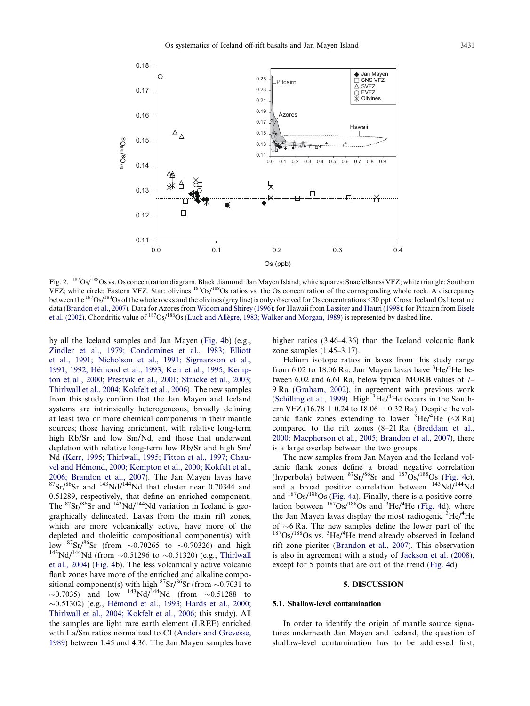<span id="page-8-0"></span>

Fig. 2. <sup>187</sup>Os/<sup>188</sup>Os vs. Os concentration diagram. Black diamond: Jan Mayen Island; white squares: Snaefellsness VFZ; white triangle: Southern VFZ; white circle: Eastern VFZ. Star: olivines 187Os/188Os ratios vs. the Os concentration of the corresponding whole rock. A discrepancy between the 187Os/188Os of the whole rocks and the olivines (grey line) is only observed for Os concentrations <30 ppt. Cross: Iceland Os literature data [\(Brandon et al., 2007\)](#page-23-0). Data for Azores from [Widom and Shirey \(1996\);](#page-26-0) for Hawaii from [Lassiter and Hauri \(1998\)](#page-24-0); for Pitcairn from [Eisele](#page-23-0) [et al. \(2002\).](#page-23-0) Chondritic value of  $187$ Os/ $188$ Os (Luck and Allègre, 1983; Walker and Morgan, 1989) is represented by dashed line.

by all the Iceland samples and Jan Mayen [\(Fig. 4](#page-10-0)b) (e.g., [Zindler et al., 1979; Condomines et al., 1983; Elliott](#page-26-0) [et al., 1991; Nicholson et al., 1991; Sigmarsson et al.,](#page-26-0) 1991, 1992; Hémond et al., 1993; Kerr et al., 1995; Kemp[ton et al., 2000; Prestvik et al., 2001; Stracke et al., 2003;](#page-26-0) [Thirlwall et al., 2004; Kokfelt et al., 2006](#page-26-0)). The new samples from this study confirm that the Jan Mayen and Iceland systems are intrinsically heterogeneous, broadly defining at least two or more chemical components in their mantle sources; those having enrichment, with relative long-term high Rb/Sr and low Sm/Nd, and those that underwent depletion with relative long-term low Rb/Sr and high Sm/ Nd [\(Kerr, 1995; Thirlwall, 1995; Fitton et al., 1997; Chau](#page-24-0)vel and Hémond, 2000; Kempton et al., 2000; Kokfelt et al., [2006; Brandon et al., 2007](#page-24-0)). The Jan Mayen lavas have  ${}^{87}Sr/{}^{86}Sr$  and  ${}^{143}Nd/{}^{144}Nd$  that cluster near 0.70344 and 0.51289, respectively, that define an enriched component. The  ${}^{87}Sr/{}^{86}Sr$  and  ${}^{143}Nd/{}^{144}Nd$  variation in Iceland is geographically delineated. Lavas from the main rift zones, which are more volcanically active, have more of the depleted and tholeiitic compositional component(s) with low  ${}^{87}\text{Sr}/{}^{86}\text{Sr}$  (from  $\sim$ 0.70265 to  $\sim$ low <sup>8/</sup>Sr/<sup>88</sup>Sr (from ~0.70265 to ~0.70326) and high <sup>143</sup>Nd/<sup>144</sup>Nd (from ~0.51296 to ~0.51320) (e.g., [Thirlwall](#page-26-0) [et al., 2004\)](#page-26-0) ([Fig. 4b](#page-10-0)). The less volcanically active volcanic flank zones have more of the enriched and alkaline compositional component(s) with high  ${}^{87}Sr/{}^{86}Sr$  (from  $\sim 0.7031$  to  $\sim$ 0.7035) and low <sup>143</sup>Nd/<sup>144</sup>Nd (from  $\sim$ 0.51288 to ~0.51302) (e.g., Hémond et al., 1993; Hards et al., 2000; [Thirlwall et al., 2004; Kokfelt et al., 2006](#page-24-0); this study). All the samples are light rare earth element (LREE) enriched with La/Sm ratios normalized to CI ([Anders and Grevesse,](#page-22-0) [1989](#page-22-0)) between 1.45 and 4.36. The Jan Mayen samples have higher ratios (3.46–4.36) than the Iceland volcanic flank zone samples (1.45–3.17).

Helium isotope ratios in lavas from this study range from 6.02 to 18.06 Ra. Jan Mayen lavas have <sup>3</sup>He/<sup>4</sup>He between 6.02 and 6.61 Ra, below typical MORB values of 7– 9 Ra [\(Graham, 2002](#page-23-0)), in agreement with previous work [\(Schilling et al., 1999](#page-26-0)). High  ${}^{3}$ He/ ${}^{4}$ He occurs in the Southern VFZ (16.78  $\pm$  0.24 to 18.06  $\pm$  0.32 Ra). Despite the volcanic flank zones extending to lower  ${}^{3}$ He/<sup>4</sup>He (<8 Ra) compared to the rift zones (8–21 Ra [\(Breddam et al.,](#page-23-0) [2000; Macpherson et al., 2005; Brandon et al., 2007](#page-23-0)), there is a large overlap between the two groups.

The new samples from Jan Mayen and the Iceland volcanic flank zones define a broad negative correlation (hyperbola) between  ${}^{87}Sr/{}^{86}Sr$  and  ${}^{187}Os/{}^{188}Os$  ([Fig. 4](#page-10-0)c), and a broad positive correlation between  $143\text{Nd}/144\text{Nd}$ and  $187Os/188Os$  [\(Fig. 4a](#page-10-0)). Finally, there is a positive correlation between  $^{187}Os/^{188}Os$  and  $^{3}He/^{4}He$  ([Fig. 4d](#page-10-0)), where the Jan Mayen lavas display the most radiogenic  ${}^{3}$ He/<sup>4</sup>He of  $\sim$ 6 Ra. The new samples define the lower part of the of  $\sim$ 6 Ra. The new samples define the lower part of the 187Os/<sup>188</sup>Os vs. <sup>3</sup>He/<sup>4</sup>He trend already observed in Iceland rift zone picrites ([Brandon et al., 2007\)](#page-23-0). This observation is also in agreement with a study of [Jackson et al. \(2008\)](#page-24-0), except for 5 points that are out of the trend [\(Fig. 4d](#page-10-0)).

## 5. DISCUSSION

#### 5.1. Shallow-level contamination

In order to identify the origin of mantle source signatures underneath Jan Mayen and Iceland, the question of shallow-level contamination has to be addressed first,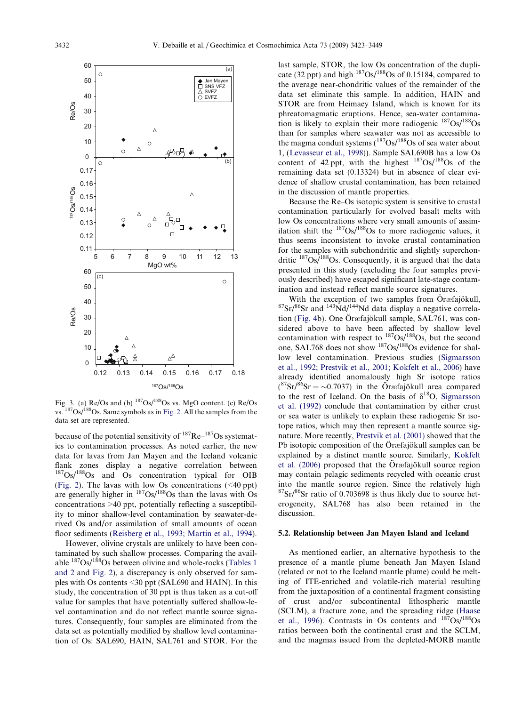<span id="page-9-0"></span>

Fig. 3. (a)  $Re/Os$  and (b)  $187Os/188Os$  vs. MgO content. (c)  $Re/Os$ vs. 187Os/188Os. Same symbols as in [Fig. 2.](#page-8-0) All the samples from the data set are represented.

because of the potential sensitivity of 187Re–187Os systematics to contamination processes. As noted earlier, the new data for lavas from Jan Mayen and the Iceland volcanic flank zones display a negative correlation between 187Os/188Os and Os concentration typical for OIB ([Fig. 2](#page-8-0)). The lavas with low Os concentrations (<40 ppt) are generally higher in  $^{187}Os/^{188}Os$  than the lavas with Os concentrations >40 ppt, potentially reflecting a susceptibility to minor shallow-level contamination by seawater-derived Os and/or assimilation of small amounts of ocean floor sediments [\(Reisberg et al., 1993; Martin et al., 1994\)](#page-25-0).

However, olivine crystals are unlikely to have been contaminated by such shallow processes. Comparing the available  $187Os/188Os$  between olivine and whole-rocks ([Tables 1](#page-4-0)) [and 2](#page-4-0) and [Fig. 2\)](#page-8-0), a discrepancy is only observed for samples with Os contents <30 ppt (SAL690 and HAIN). In this study, the concentration of 30 ppt is thus taken as a cut-off value for samples that have potentially suffered shallow-level contamination and do not reflect mantle source signatures. Consequently, four samples are eliminated from the data set as potentially modified by shallow level contamination of Os: SAL690, HAIN, SAL761 and STOR. For the last sample, STOR, the low Os concentration of the duplicate (32 ppt) and high  $^{187}Os/^{188}Os$  of 0.15184, compared to the average near-chondritic values of the remainder of the data set eliminate this sample. In addition, HAIN and STOR are from Heimaey Island, which is known for its phreatomagmatic eruptions. Hence, sea-water contamination is likely to explain their more radiogenic  $^{187}Os/^{188}Os$ than for samples where seawater was not as accessible to the magma conduit systems  $({}^{187}Os/{}^{188}Os$  of sea water about 1, [\(Levasseur et al., 1998](#page-24-0))). Sample SAL690B has a low Os content of 42 ppt, with the highest  $187Os/188Os$  of the remaining data set (0.13324) but in absence of clear evidence of shallow crustal contamination, has been retained in the discussion of mantle properties.

Because the Re–Os isotopic system is sensitive to crustal contamination particularly for evolved basalt melts with low Os concentrations where very small amounts of assimilation shift the  $187Os/188Os$  to more radiogenic values, it thus seems inconsistent to invoke crustal contamination for the samples with subchondritic and slightly superchondritic  $187Os/188Os$ . Consequently, it is argued that the data presented in this study (excluding the four samples previously described) have escaped significant late-stage contamination and instead reflect mantle source signatures.

With the exception of two samples from Öræfajökull,  $87Sr/86Sr$  and  $143Nd/144Nd$  data display a negative correla-tion ([Fig. 4b](#page-10-0)). One Öræfajökull sample, SAL761, was considered above to have been affected by shallow level contamination with respect to  $^{187}Os/^{188}Os$ , but the second one, SAL768 does not show <sup>187</sup>Os/<sup>188</sup>Os evidence for shallow level contamination. Previous studies ([Sigmarsson](#page-26-0) [et al., 1992; Prestvik et al., 2001; Kokfelt et al., 2006](#page-26-0)) have already identified anomalously high Sr isotope ratios  $({}^{87}Sr)^{86}Sr = \sim 0.7037$ ) in the Öræfajökull area compared to the rest of Iceland. On the basis of  $\delta^{18}O$ , [Sigmarsson](#page-26-0) [et al. \(1992\)](#page-26-0) conclude that contamination by either crust or sea water is unlikely to explain these radiogenic Sr isotope ratios, which may then represent a mantle source signature. More recently, [Prestvik et al. \(2001\)](#page-25-0) showed that the Pb isotopic composition of the Öræfajökull samples can be explained by a distinct mantle source. Similarly, [Kokfelt](#page-24-0) [et al. \(2006\)](#page-24-0) proposed that the Öræfajökull source region may contain pelagic sediments recycled with oceanic crust into the mantle source region. Since the relatively high  $87\text{Sr}/86\text{Sr}$  ratio of 0.703698 is thus likely due to source heterogeneity, SAL768 has also been retained in the discussion.

# 5.2. Relationship between Jan Mayen Island and Iceland

As mentioned earlier, an alternative hypothesis to the presence of a mantle plume beneath Jan Mayen Island (related or not to the Iceland mantle plume) could be melting of ITE-enriched and volatile-rich material resulting from the juxtaposition of a continental fragment consisting of crust and/or subcontinental lithospheric mantle (SCLM), a fracture zone, and the spreading ridge [\(Haase](#page-24-0) [et al., 1996](#page-24-0)). Contrasts in Os contents and 187Os/188Os ratios between both the continental crust and the SCLM, and the magmas issued from the depleted-MORB mantle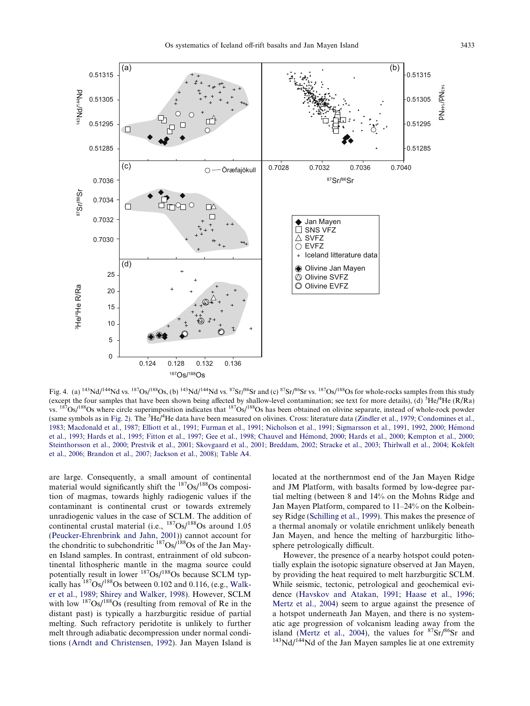<span id="page-10-0"></span>

Fig. 4. (a)  $^{143}Nd/^{144}Nd$  vs.  $^{187}Os/^{188}Os$ , (b)  $^{143}Nd/^{144}Nd$  vs.  $^{87}Sr/^{86}Sr$  and (c)  $^{87}Sr/^{86}Sr$  vs.  $^{187}Os/^{188}Os$  for whole-rocks samples from this study (except the four samples that have been shown being affected by shallow-level contamination; see text for more details), (d)  ${}^{3}He/{}^{4}He$  (R/Ra) vs.  ${}^{187}Os/{}^{188}Os$  where circle superimposition indicates that  ${}^{187}Os/$ (same symbols as in [Fig. 2](#page-8-0)). The <sup>3</sup>He/<sup>4</sup>He data have been measured on olivines. Cross: literature data ([Zindler et al., 1979; Condomines et al.,](#page-26-0) 1983; Macdonald et al., 1987; Elliott et al., 1991; Furman et al., 1991; Nicholson et al., 1991; Sigmarsson et al., 1991, 1992, 2000; Hémond et al., 1993; Hards et al., 1995; Fitton et al., 1997; Gee et al., 1998; Chauvel and Hémond, 2000; Hards et al., 2000; Kempton et al., 2000; [Steinthorsson et al., 2000; Prestvik et al., 2001; Skovgaard et al., 2001; Breddam, 2002; Stracke et al., 2003; Thirlwall et al., 2004; Kokfelt](#page-26-0) [et al., 2006; Brandon et al., 2007; Jackson et al., 2008\)](#page-26-0); [Table A4](#page-22-0).

are large. Consequently, a small amount of continental material would significantly shift the  $^{187}Os/^{188}Os$  composition of magmas, towards highly radiogenic values if the contaminant is continental crust or towards extremely unradiogenic values in the case of SCLM. The addition of continental crustal material (i.e.,  $187Os/188Os$  around 1.05 [\(Peucker-Ehrenbrink and Jahn, 2001\)](#page-25-0)) cannot account for the chondritic to subchondritic  $^{187}Os/188Os$  of the Jan Mayen Island samples. In contrast, entrainment of old subcontinental lithospheric mantle in the magma source could potentially result in lower  $187Os/188Os$  because SCLM typically has  $187Os/188Os$  between 0.102 and 0.116, (e.g., [Walk](#page-26-0)[er et al., 1989; Shirey and Walker, 1998](#page-26-0)). However, SCLM with low  $187\text{Os}/188\text{Os}$  (resulting from removal of Re in the distant past) is typically a harzburgitic residue of partial melting. Such refractory peridotite is unlikely to further melt through adiabatic decompression under normal conditions [\(Arndt and Christensen, 1992\)](#page-22-0). Jan Mayen Island is located at the northernmost end of the Jan Mayen Ridge and JM Platform, with basalts formed by low-degree partial melting (between 8 and 14% on the Mohns Ridge and Jan Mayen Platform, compared to 11–24% on the Kolbeinsey Ridge [\(Schilling et al., 1999](#page-26-0)). This makes the presence of a thermal anomaly or volatile enrichment unlikely beneath Jan Mayen, and hence the melting of harzburgitic lithosphere petrologically difficult.

However, the presence of a nearby hotspot could potentially explain the isotopic signature observed at Jan Mayen, by providing the heat required to melt harzburgitic SCLM. While seismic, tectonic, petrological and geochemical evidence ([Havskov and Atakan, 1991; Haase et al., 1996;](#page-24-0) [Mertz et al., 2004](#page-24-0)) seem to argue against the presence of a hotspot underneath Jan Mayen, and there is no systematic age progression of volcanism leading away from the island ([Mertz et al., 2004](#page-25-0)), the values for  ${}^{87}Sr/{}^{86}Sr$  and  ${}^{143}Nd/{}^{144}Nd$  of the Jan Mayen samples lie at one extremity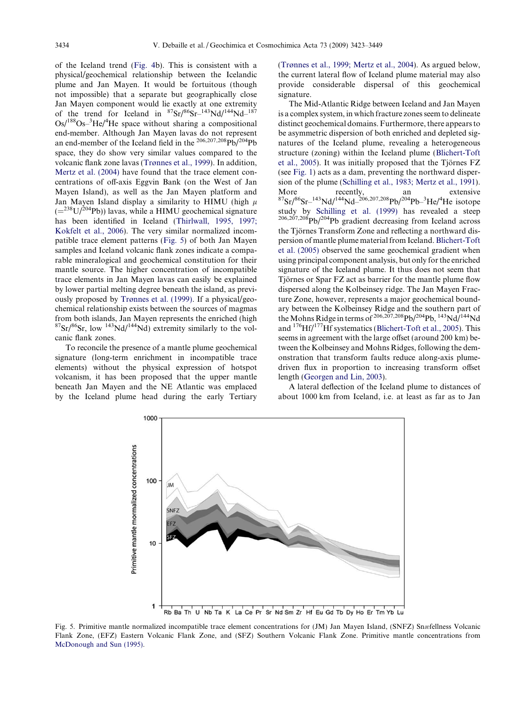of the Iceland trend [\(Fig. 4b](#page-10-0)). This is consistent with a physical/geochemical relationship between the Icelandic plume and Jan Mayen. It would be fortuitous (though not impossible) that a separate but geographically close Jan Mayen component would lie exactly at one extremity of the trend for Iceland in  $87\text{Sr}/86\text{Sr}$ -143Nd/144Nd-187  $Os/$ <sup>188</sup>Os- ${}^{3}$ He/<sup>4</sup>He space without sharing a compositional end-member. Although Jan Mayen lavas do not represent an end-member of the Iceland field in the  $^{206,207,208}$ Pb/<sup>204</sup>Pb space, they do show very similar values compared to the volcanic flank zone lavas [\(Tr](#page-26-0)ø[nnes et al., 1999](#page-26-0)). In addition, [Mertz et al. \(2004\)](#page-25-0) have found that the trace element concentrations of off-axis Eggvin Bank (on the West of Jan Mayen Island), as well as the Jan Mayen platform and Jan Mayen Island display a similarity to HIMU (high  $\mu$  $(=238 U/204Pb)$ ) lavas, while a HIMU geochemical signature has been identified in Iceland [\(Thirlwall, 1995, 1997;](#page-26-0) [Kokfelt et al., 2006\)](#page-26-0). The very similar normalized incompatible trace element patterns (Fig. 5) of both Jan Mayen samples and Iceland volcanic flank zones indicate a comparable mineralogical and geochemical constitution for their mantle source. The higher concentration of incompatible trace elements in Jan Mayen lavas can easily be explained by lower partial melting degree beneath the island, as previously proposed by [Tr](#page-26-0)ø[nnes et al. \(1999\)](#page-26-0). If a physical/geochemical relationship exists between the sources of magmas from both islands, Jan Mayen represents the enriched (high  $87Sr/86Sr$ , low  $143Nd/144Nd$ ) extremity similarly to the volcanic flank zones.

To reconcile the presence of a mantle plume geochemical signature (long-term enrichment in incompatible trace elements) without the physical expression of hotspot volcanism, it has been proposed that the upper mantle beneath Jan Mayen and the NE Atlantic was emplaced by the Iceland plume head during the early Tertiary ([Tr](#page-26-0)ø[nnes et al., 1999; Mertz et al., 2004\)](#page-26-0). As argued below, the current lateral flow of Iceland plume material may also provide considerable dispersal of this geochemical signature.

The Mid-Atlantic Ridge between Iceland and Jan Mayen is a complex system, in which fracture zones seem to delineate distinct geochemical domains. Furthermore, there appears to be asymmetric dispersion of both enriched and depleted signatures of the Iceland plume, revealing a heterogeneous structure (zoning) within the Iceland plume [\(Blichert-Toft](#page-22-0) et al.,  $2005$ ). It was initially proposed that the Tjörnes FZ (see [Fig. 1\)](#page-2-0) acts as a dam, preventing the northward dispersion of the plume [\(Schilling et al., 1983; Mertz et al., 1991\)](#page-26-0). More recently, an extensive  ${}^{87}Sr/{}^{86}Sr-{}^{143}Nd/{}^{144}Nd-{}^{206,207,208}Pb/{}^{204}Pb-{}^{3}He/{}^{4}He$  isotope study by [Schilling et al. \(1999\)](#page-26-0) has revealed a steep 206,207,208Pb/204Pb gradient decreasing from Iceland across the Tjörnes Transform Zone and reflecting a northward dispersion of mantle plume material from Iceland. [Blichert-Toft](#page-22-0) [et al. \(2005\)](#page-22-0) observed the same geochemical gradient when using principal component analysis, but only for the enriched signature of the Iceland plume. It thus does not seem that Tjörnes or Spar FZ act as barrier for the mantle plume flow dispersed along the Kolbeinsey ridge. The Jan Mayen Fracture Zone, however, represents a major geochemical boundary between the Kolbeinsey Ridge and the southern part of the Mohns Ridge in terms of  $206,207,208$  Pb/204Pb,  $143$  Nd/ $144$  Nd and 176Hf/177Hf systematics [\(Blichert-Toft et al., 2005\)](#page-22-0). This seems in agreement with the large offset (around 200 km) between the Kolbeinsey and Mohns Ridges, following the demonstration that transform faults reduce along-axis plumedriven flux in proportion to increasing transform offset length ([Georgen and Lin, 2003\)](#page-23-0).

A lateral deflection of the Iceland plume to distances of about 1000 km from Iceland, i.e. at least as far as to Jan



Fig. 5. Primitive mantle normalized incompatible trace element concentrations for (JM) Jan Mayen Island, (SNFZ) Snæfellness Volcanic Flank Zone, (EFZ) Eastern Volcanic Flank Zone, and (SFZ) Southern Volcanic Flank Zone. Primitive mantle concentrations from [McDonough and Sun \(1995\).](#page-25-0)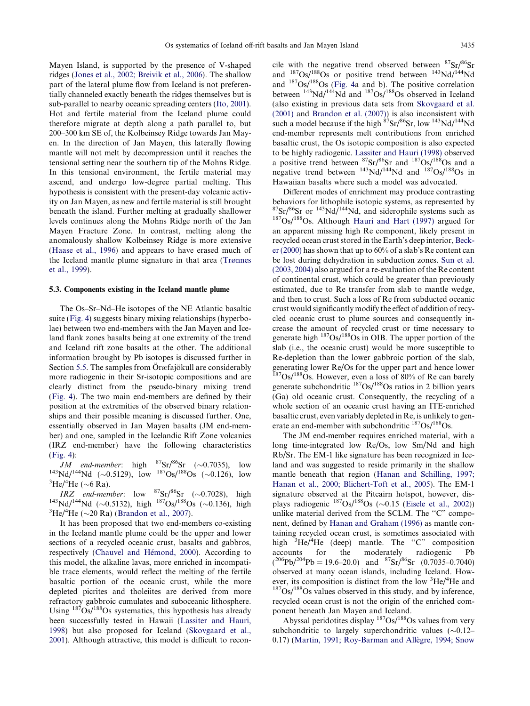Mayen Island, is supported by the presence of V-shaped ridges ([Jones et al., 2002; Breivik et al., 2006\)](#page-24-0). The shallow part of the lateral plume flow from Iceland is not preferentially channeled exactly beneath the ridges themselves but is sub-parallel to nearby oceanic spreading centers [\(Ito, 2001](#page-24-0)). Hot and fertile material from the Iceland plume could therefore migrate at depth along a path parallel to, but 200–300 km SE of, the Kolbeinsey Ridge towards Jan Mayen. In the direction of Jan Mayen, this laterally flowing mantle will not melt by decompression until it reaches the tensional setting near the southern tip of the Mohns Ridge. In this tensional environment, the fertile material may ascend, and undergo low-degree partial melting. This hypothesis is consistent with the present-day volcanic activity on Jan Mayen, as new and fertile material is still brought beneath the island. Further melting at gradually shallower levels continues along the Mohns Ridge north of the Jan Mayen Fracture Zone. In contrast, melting along the anomalously shallow Kolbeinsey Ridge is more extensive [\(Haase et al., 1996\)](#page-24-0) and appears to have erased much of the Iceland mantle plume signature in that area ([Tr](#page-26-0)ø[nnes](#page-26-0) [et al., 1999\)](#page-26-0).

## 5.3. Components existing in the Iceland mantle plume

The Os–Sr–Nd–He isotopes of the NE Atlantic basaltic suite [\(Fig. 4](#page-10-0)) suggests binary mixing relationships (hyperbolae) between two end-members with the Jan Mayen and Iceland flank zones basalts being at one extremity of the trend and Iceland rift zone basalts at the other. The additional information brought by Pb isotopes is discussed further in Section [5.5.](#page-17-0) The samples from Öræfajökull are considerably more radiogenic in their Sr-isotopic compositions and are clearly distinct from the pseudo-binary mixing trend [\(Fig. 4\)](#page-10-0). The two main end-members are defined by their position at the extremities of the observed binary relationships and their possible meaning is discussed further. One, essentially observed in Jan Mayen basalts (JM end-member) and one, sampled in the Icelandic Rift Zone volcanics (IRZ end-member) have the following characteristics [\(Fig. 4](#page-10-0)):

JM end-member: high  ${}^{87}Sr/{}^{86}Sr$  (~0.7035), low *JM end-member*: high  ${}^{8}/\text{Sr}/{}^{86}\text{Sr}$  (~0.7035), low  ${}^{143}\text{Nd}/{}^{144}\text{Nd}$  (~0.5129), low  ${}^{187}\text{Os}/{}^{188}\text{Os}$  (~0.126), low  ${}^{3}\text{H}_\text{P}/{}^{4}\text{H}_\text{P}$  (~6.8 Pa) He/<sup>4</sup>He ( $\sim$ 6 Ra).

IRZ end-member: low  ${}^{87}Sr/{}^{86}Sr$  (~0.7028), high *IRZ end-member*: low <sup>8</sup>'Sr<sup>86</sup>Sr (~0.7028), high <sup>143</sup>Nd/<sup>144</sup>Nd (~0.5132), high <sup>187</sup>Os/<sup>188</sup>Os (~0.136), high <sup>3</sup>H<sub>a</sub>/<sup>4</sup>H<sub>a</sub> (~0.20 B<sub>a</sub>) (Brandon et al. 2007) He/ ${}^{4}$ He ( $\sim$ 20 Ra) [\(Brandon et al., 2007\)](#page-23-0).

It has been proposed that two end-members co-existing in the Iceland mantle plume could be the upper and lower sections of a recycled oceanic crust, basalts and gabbros, respectively (Chauvel and Hémond, 2000). According to this model, the alkaline lavas, more enriched in incompatible trace elements, would reflect the melting of the fertile basaltic portion of the oceanic crust, while the more depleted picrites and tholeiites are derived from more refractory gabbroic cumulates and suboceanic lithosphere. Using  $187\text{Os}/188\text{Os}$  systematics, this hypothesis has already been successfully tested in Hawaii ([Lassiter and Hauri,](#page-24-0) [1998](#page-24-0)) but also proposed for Iceland ([Skovgaard et al.,](#page-26-0) [2001](#page-26-0)). Although attractive, this model is difficult to reconcile with the negative trend observed between 87Sr/86Sr and  $187$ Os/ $188$ Os or positive trend between  $143$ Nd/ $144$ Nd and  $187Os/188Os$  [\(Fig. 4](#page-10-0)a and b). The positive correlation between  $^{143}$ Nd/<sup>144</sup>Nd and  $^{187}$ Os/<sup>188</sup>Os observed in Iceland (also existing in previous data sets from [Skovgaard et al.](#page-26-0) [\(2001\)](#page-26-0) and [Brandon et al. \(2007\)](#page-23-0)) is also inconsistent with such a model because if the high  $\frac{87}{2}$ Sr/ $\frac{86}{5}$ Sr, low  $\frac{143}{144}$ Nd end-member represents melt contributions from enriched basaltic crust, the Os isotopic composition is also expected to be highly radiogenic. [Lassiter and Hauri \(1998\)](#page-24-0) observed a positive trend between  ${}^{87}Sr/{}^{86}Sr$  and  ${}^{187}Os/{}^{188}Os$  and a negative trend between  $^{143}$ Nd/<sup>144</sup>Nd and  $^{187}$ Os/<sup>188</sup>Os in Hawaiian basalts where such a model was advocated.

Different modes of enrichment may produce contrasting behaviors for lithophile isotopic systems, as represented by  ${}^{87}Sr/{}^{86}Sr$  or  ${}^{143}Nd/{}^{144}Nd$ , and siderophile systems such as  $187Os/188Os$ . Although [Hauri and Hart \(1997\)](#page-24-0) argued for an apparent missing high Re component, likely present in recycled ocean crust stored in the Earth's deep interior, [Beck](#page-22-0)[er \(2000\)](#page-22-0) has shown that up to 60% of a slab's Re content can be lost during dehydration in subduction zones. [Sun et al.](#page-26-0) [\(2003, 2004\)](#page-26-0) also argued for a re-evaluation of the Re content of continental crust, which could be greater than previously estimated, due to Re transfer from slab to mantle wedge, and then to crust. Such a loss of Re from subducted oceanic crust would significantly modify the effect of addition of recycled oceanic crust to plume sources and consequently increase the amount of recycled crust or time necessary to generate high  $187Os/188Os$  in OIB. The upper portion of the slab (i.e., the oceanic crust) would be more susceptible to Re-depletion than the lower gabbroic portion of the slab, generating lower Re/Os for the upper part and hence lower  $187$ Os/ $188$ Os. However, even a loss of 80% of Re can barely generate subchondritic  $^{187}Os/^{188}Os$  ratios in 2 billion years (Ga) old oceanic crust. Consequently, the recycling of a whole section of an oceanic crust having an ITE-enriched basaltic crust, even variably depleted in Re, is unlikely to generate an end-member with subchondritic  $187Os/188Os$ .

The JM end-member requires enriched material, with a long time-integrated low Re/Os, low Sm/Nd and high Rb/Sr. The EM-1 like signature has been recognized in Iceland and was suggested to reside primarily in the shallow mantle beneath that region [\(Hanan and Schilling, 1997;](#page-24-0) [Hanan et al., 2000; Blichert-Toft et al., 2005\)](#page-24-0). The EM-1 signature observed at the Pitcairn hotspot, however, displays radiogenic  $187Os/188Os$  ( $\sim 0.15$  [\(Eisele et al., 2002](#page-23-0))) unlike material derived from the SCLM. The "C" component, defined by [Hanan and Graham \(1996\)](#page-24-0) as mantle containing recycled ocean crust, is sometimes associated with high <sup>3</sup>He/<sup>4</sup>He (deep) mantle. The "C" composition accounts for the moderately radiogenic Pb  $(^{206}Pb/^{204}Pb = 19.6-20.0)$  and  $^{87}Sr/^{86}Sr$  (0.7035-0.7040) observed at many ocean islands, including Iceland. However, its composition is distinct from the low  ${}^{3}He/{}^{4}$  $187Os/188Os$  values observed in this study, and by inference, recycled ocean crust is not the origin of the enriched component beneath Jan Mayen and Iceland.

Abyssal peridotites display 187Os/188Os values from very subchondritic to largely superchondritic values  $(\sim 0.12 -$ 0.17) (Martin, 1991; Roy-Barman and Allègre, 1994; Snow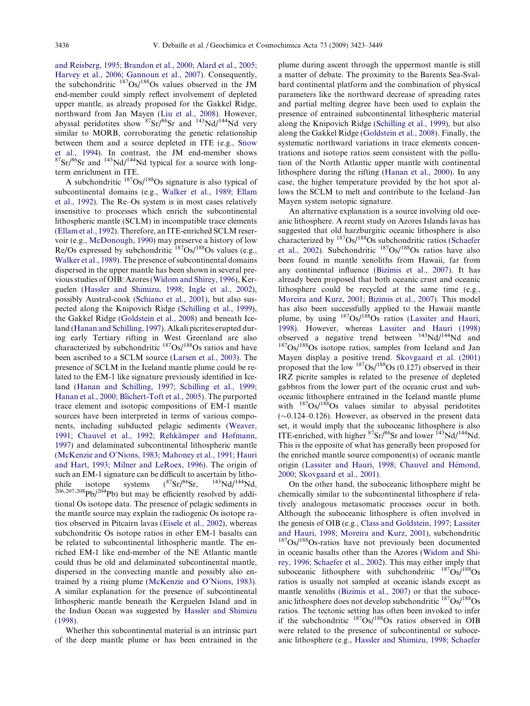[and Reisberg, 1995; Brandon et al., 2000; Alard et al., 2005;](#page-25-0) [Harvey et al., 2006; Gannoun et al., 2007](#page-25-0)). Consequently, the subchondritic  $187Os/188Os$  values observed in the JM end-member could simply reflect involvement of depleted upper mantle, as already proposed for the Gakkel Ridge, northward from Jan Mayen [\(Liu et al., 2008](#page-24-0)). However, abyssal peridotites show  ${}^{87}Sr/{}^{86}Sr$  and  ${}^{143}Nd/{}^{144}Nd$  very similar to MORB, corroborating the genetic relationship between them and a source depleted in ITE (e.g., [Snow](#page-26-0) [et al., 1994](#page-26-0)). In contrast, the JM end-member shows  ${}^{87}Sr/{}^{86}Sr$  and  ${}^{143}Nd/{}^{144}Nd$  typical for a source with longterm enrichment in ITE.

A subchondritic  $^{187}Os/^{188}Os$  signature is also typical of subcontinental domains (e.g., [Walker et al., 1989; Ellam](#page-26-0) [et al., 1992\)](#page-26-0). The Re–Os system is in most cases relatively insensitive to processes which enrich the subcontinental lithospheric mantle (SCLM) in incompatible trace elements ([Ellam et al., 1992](#page-23-0)). Therefore, an ITE-enriched SCLM reservoir (e.g., [McDonough, 1990](#page-25-0)) may preserve a history of low Re/Os expressed by subchondritic  $187Os/188Os$  values (e.g., [Walker et al., 1989](#page-26-0)). The presence of subcontinental domains dispersed in the upper mantle has been shown in several previous studies of OIB: Azores [\(Widom and Shirey, 1996](#page-26-0)), Kerguelen ([Hassler and Shimizu, 1998; Ingle et al., 2002\)](#page-24-0), possibly Austral-cook [\(Schiano et al., 2001](#page-25-0)), but also suspected along the Knipovich Ridge [\(Schilling et al., 1999\)](#page-26-0), the Gakkel Ridge ([Goldstein et al., 2008\)](#page-23-0) and beneath Iceland [\(Hanan and Schilling, 1997](#page-24-0)). Alkali picrites erupted during early Tertiary rifting in West Greenland are also characterized by subchondritic  $^{187}Os/^{188}Os$  ratios and have been ascribed to a SCLM source [\(Larsen et al., 2003\)](#page-24-0). The presence of SCLM in the Iceland mantle plume could be related to the EM-1 like signature previously identified in Iceland [\(Hanan and Schilling, 1997; Schilling et al., 1999;](#page-24-0) [Hanan et al., 2000; Blichert-Toft et al., 2005](#page-24-0)). The purported trace element and isotopic compositions of EM-1 mantle sources have been interpreted in terms of various components, including subducted pelagic sediments [\(Weaver,](#page-26-0) 1991; Chauvel et al., 1992; Rehkämper and Hofmann, [1997\)](#page-26-0) and delaminated subcontinental lithospheric mantle ([McKenzie and O'Nions, 1983; Mahoney et al., 1991; Hauri](#page-25-0) [and Hart, 1993; Milner and LeRoex, 1996](#page-25-0)). The origin of such an EM-1 signature can be difficult to ascertain by litho-<br>phile isotope systems  $(^{87}Sr)^{86}Sr$ ,  $^{143}Nd/^{144}Nd$ , phile isotope systems  $(^{87}Sr)^{86}Sr$ ,  $^{143}Nd/^{144}Nd$ ,  $206,207,208$ Pb/ $204$ Pb) but may be efficiently resolved by additional Os isotope data. The presence of pelagic sediments in the mantle source may explain the radiogenic Os isotope ratios observed in Pitcairn lavas [\(Eisele et al., 2002](#page-23-0)), whereas subchondritic Os isotope ratios in other EM-1 basalts can be related to subcontinental lithospheric mantle. The enriched EM-1 like end-member of the NE Atlantic mantle could thus be old and delaminated subcontinental mantle, dispersed in the convecting mantle and possibly also entrained by a rising plume [\(McKenzie and O'Nions, 1983\)](#page-25-0). A similar explanation for the presence of subcontinental lithospheric mantle beneath the Kerguelen Island and in the Indian Ocean was suggested by [Hassler and Shimizu](#page-24-0) [\(1998\).](#page-24-0)

Whether this subcontinental material is an intrinsic part of the deep mantle plume or has been entrained in the

plume during ascent through the uppermost mantle is still a matter of debate. The proximity to the Barents Sea-Svalbard continental platform and the combination of physical parameters like the northward decrease of spreading rates and partial melting degree have been used to explain the presence of entrained subcontinental lithospheric material along the Knipovich Ridge [\(Schilling et al., 1999\)](#page-26-0), but also along the Gakkel Ridge [\(Goldstein et al., 2008\)](#page-23-0). Finally, the systematic northward variations in trace elements concentrations and isotope ratios seem consistent with the pollution of the North Atlantic upper mantle with continental lithosphere during the rifting ([Hanan et al., 2000\)](#page-24-0). In any case, the higher temperature provided by the hot spot allows the SCLM to melt and contribute to the Iceland–Jan Mayen system isotopic signature.

An alternative explanation is a source involving old oceanic lithosphere. A recent study on Azores Islands lavas has suggested that old harzburgitic oceanic lithosphere is also characterized by 187Os/188Os subchondritic ratios [\(Schaefer](#page-25-0) [et al., 2002\)](#page-25-0). Subchondritic 187Os/188Os ratios have also been found in mantle xenoliths from Hawaii, far from any continental influence [\(Bizimis et al., 2007](#page-22-0)). It has already been proposed that both oceanic crust and oceanic lithosphere could be recycled at the same time (e.g., [Moreira and Kurz, 2001; Bizimis et al., 2007\)](#page-25-0). This model has also been successfully applied to the Hawaii mantle plume, by using  $187Os/188Os$  ratios ([Lassiter and Hauri,](#page-24-0) [1998\)](#page-24-0). However, whereas [Lassiter and Hauri \(1998\)](#page-24-0)<br>observed a negative trend between  $^{143}Nd/^{144}Nd$  and  $187Os/188Os$  isotope ratios, samples from Iceland and Jan Mayen display a positive trend. [Skovgaard et al. \(2001\)](#page-26-0) proposed that the low  $187Os/188Os$  (0.127) observed in their IRZ picrite samples is related to the presence of depleted gabbros from the lower part of the oceanic crust and suboceanic lithosphere entrained in the Iceland mantle plume with  $187Os/188Os$  values similar to abyssal peridotites  $(\sim 0.124 - 0.126)$ . However, as observed in the present data set, it would imply that the suboceanic lithosphere is also ITE-enriched, with higher  ${}^{87}Sr/{}^{86}Sr$  and lower  ${}^{143}Nd/{}^{144}Nd$ . This is the opposite of what has generally been proposed for the enriched mantle source component(s) of oceanic mantle origin (Lassiter and Hauri, 1998; Chauvel and Hémond, [2000; Skovgaard et al., 2001\)](#page-24-0).

On the other hand, the suboceanic lithosphere might be chemically similar to the subcontinental lithosphere if relatively analogous metasomatic processes occur in both. Although the suboceanic lithosphere is often involved in the genesis of OIB (e.g., [Class and Goldstein, 1997; Lassiter](#page-23-0) [and Hauri, 1998; Moreira and Kurz, 2001\)](#page-23-0), subchondritic 187Os/188Os-ratios have not previously been documented in oceanic basalts other than the Azores ([Widom and Shi](#page-26-0)[rey, 1996; Schaefer et al., 2002\)](#page-26-0). This may either imply that suboceanic lithosphere with subchondritic  $^{187}Os/^{188}Os$ ratios is usually not sampled at oceanic islands except as mantle xenoliths [\(Bizimis et al., 2007](#page-22-0)) or that the suboceanic lithosphere does not develop subchondritic  $187Os/188Os$ ratios. The tectonic setting has often been invoked to infer if the subchondritic  $187\text{Os}/188\text{Os}$  ratios observed in OIB were related to the presence of subcontinental or suboceanic lithosphere (e.g., [Hassler and Shimizu, 1998; Schaefer](#page-24-0)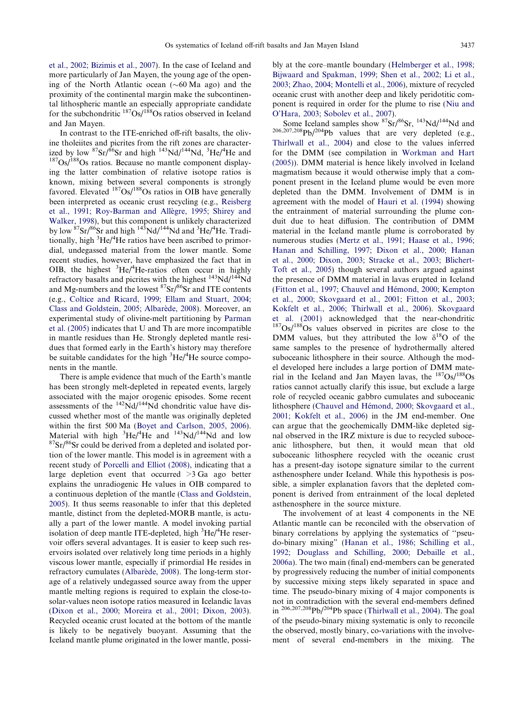[et al., 2002; Bizimis et al., 2007\)](#page-24-0). In the case of Iceland and more particularly of Jan Mayen, the young age of the opening of the North Atlantic ocean  $(\sim 60$  Ma ago) and the proximity of the continental margin make the subcontinental lithospheric mantle an especially appropriate candidate for the subchondritic 187Os/188Os ratios observed in Iceland and Jan Mayen.

In contrast to the ITE-enriched off-rift basalts, the olivine tholeiites and picrites from the rift zones are characterized by low  ${}^{87}Sr/{}^{86}Sr$  and high  ${}^{143}Nd/{}^{144}Nd, {}^{3}He/{}^{4}$  $187$ Os/ $188$ Os ratios. Because no mantle component displaying the latter combination of relative isotope ratios is known, mixing between several components is strongly favored. Elevated <sup>187</sup>Os/<sup>188</sup>Os ratios in OIB have generally been interpreted as oceanic crust recycling (e.g., [Reisberg](#page-25-0) et al., 1991; Roy-Barman and Allègre, 1995; Shirey and [Walker, 1998](#page-25-0)), but this component is unlikely characterized by low <sup>87</sup>Sr/<sup>86</sup>Sr and high <sup>143</sup>Nd/<sup>144</sup>Nd and <sup>3</sup>He/<sup>4</sup>He. Traditionally, high <sup>3</sup>He/<sup>4</sup>He ratios have been ascribed to primordial, undegassed material from the lower mantle. Some recent studies, however, have emphasized the fact that in OIB, the highest  ${}^{3}$ He/ ${}^{4}$ He-ratios often occur in highly refractory basalts and picrites with the highest <sup>143</sup>Nd/<sup>144</sup>Nd and Mg-numbers and the lowest  ${}^{87}Sr/{}^{86}Sr$  and ITE contents (e.g., [Coltice and Ricard, 1999; Ellam and Stuart, 2004;](#page-23-0) Class and Goldstein, 2005; Albarède, 2008). Moreover, an experimental study of olivine-melt partitioning by [Parman](#page-25-0) [et al. \(2005\)](#page-25-0) indicates that U and Th are more incompatible in mantle residues than He. Strongly depleted mantle residues that formed early in the Earth's history may therefore be suitable candidates for the high <sup>3</sup>He/<sup>4</sup>He source components in the mantle.

There is ample evidence that much of the Earth's mantle has been strongly melt-depleted in repeated events, largely associated with the major orogenic episodes. Some recent assessments of the  $^{142}Nd/^{144}Nd$  chondritic value have discussed whether most of the mantle was originally depleted within the first 500 Ma ([Boyet and Carlson, 2005, 2006\)](#page-23-0). Material with high  ${}^{3}$ He/<sup>4</sup>  $87Sr/86Sr$  could be derived from a depleted and isolated portion of the lower mantle. This model is in agreement with a recent study of [Porcelli and Elliot \(2008\)](#page-25-0), indicating that a large depletion event that occurred  $>3$  Ga ago better explains the unradiogenic He values in OIB compared to a continuous depletion of the mantle ([Class and Goldstein,](#page-23-0) [2005](#page-23-0)). It thus seems reasonable to infer that this depleted mantle, distinct from the depleted-MORB mantle, is actually a part of the lower mantle. A model invoking partial isolation of deep mantle ITE-depleted, high <sup>3</sup>He/<sup>4</sup>He reservoir offers several advantages. It is easier to keep such reservoirs isolated over relatively long time periods in a highly viscous lower mantle, especially if primordial He resides in refractory cumulates (Albarède, 2008). The long-term storage of a relatively undegassed source away from the upper mantle melting regions is required to explain the close-tosolar-values neon isotope ratios measured in Icelandic lavas [\(Dixon et al., 2000; Moreira et al., 2001; Dixon, 2003](#page-23-0)). Recycled oceanic crust located at the bottom of the mantle is likely to be negatively buoyant. Assuming that the Iceland mantle plume originated in the lower mantle, possibly at the core–mantle boundary ([Helmberger et al., 1998;](#page-24-0) [Bijwaard and Spakman, 1999; Shen et al., 2002; Li et al.,](#page-24-0) [2003; Zhao, 2004; Montelli et al., 2006\)](#page-24-0), mixture of recycled oceanic crust with another deep and likely peridotitic component is required in order for the plume to rise [\(Niu and](#page-25-0) [O'Hara, 2003; Sobolev et al., 2007](#page-25-0)).

Some Iceland samples show  ${}^{87}\text{Sr/}^{86}\text{Sr}$ ,  ${}^{143}\text{Nd/}{}^{144}\text{Nd}$  and 206,207,208Pb/204Pb values that are very depleted (e.g., [Thirlwall et al., 2004](#page-26-0)) and close to the values inferred for the DMM (see compilation in [Workman and Hart](#page-26-0) [\(2005\)](#page-26-0)). DMM material is hence likely involved in Iceland magmatism because it would otherwise imply that a component present in the Iceland plume would be even more depleted than the DMM. Involvement of DMM is in agreement with the model of [Hauri et al. \(1994\)](#page-24-0) showing the entrainment of material surrounding the plume conduit due to heat diffusion. The contribution of DMM material in the Iceland mantle plume is corroborated by numerous studies [\(Mertz et al., 1991; Haase et al., 1996;](#page-25-0) [Hanan and Schilling, 1997; Dixon et al., 2000; Hanan](#page-25-0) [et al., 2000; Dixon, 2003; Stracke et al., 2003; Blichert-](#page-25-0)[Toft et al., 2005\)](#page-25-0) though several authors argued against the presence of DMM material in lavas erupted in Iceland (Fitton et al., 1997; Chauvel and Hémond, 2000; Kempton [et al., 2000; Skovgaard et al., 2001; Fitton et al., 2003;](#page-23-0) [Kokfelt et al., 2006; Thirlwall et al., 2006\)](#page-23-0). [Skovgaard](#page-26-0) [et al. \(2001\)](#page-26-0) acknowledged that the near-chondritic 187Os/188Os values observed in picrites are close to the DMM values, but they attributed the low  $\delta^{18}O$  of the same samples to the presence of hydrothermally altered suboceanic lithosphere in their source. Although the model developed here includes a large portion of DMM material in the Iceland and Jan Mayen lavas, the  $187Os/188Os$ ratios cannot actually clarify this issue, but exclude a large role of recycled oceanic gabbro cumulates and suboceanic lithosphere (Chauvel and Hémond, 2000; Skovgaard et al., [2001; Kokfelt et al., 2006](#page-23-0)) in the JM end-member. One can argue that the geochemically DMM-like depleted signal observed in the IRZ mixture is due to recycled suboceanic lithosphere, but then, it would mean that old suboceanic lithosphere recycled with the oceanic crust has a present-day isotope signature similar to the current asthenosphere under Iceland. While this hypothesis is possible, a simpler explanation favors that the depleted component is derived from entrainment of the local depleted asthenosphere in the source mixture.

The involvement of at least 4 components in the NE Atlantic mantle can be reconciled with the observation of binary correlations by applying the systematics of ''pseudo-binary mixing" [\(Hanan et al., 1986; Schilling et al.,](#page-24-0) [1992; Douglass and Schilling, 2000; Debaille et al.,](#page-24-0) [2006a\)](#page-24-0). The two main (final) end-members can be generated by progressively reducing the number of initial components by successive mixing steps likely separated in space and time. The pseudo-binary mixing of 4 major components is not in contradiction with the several end-members defined in 206,207,208Pb/204Pb space ([Thirlwall et al., 2004\)](#page-26-0). The goal of the pseudo-binary mixing systematic is only to reconcile the observed, mostly binary, co-variations with the involvement of several end-members in the mixing. The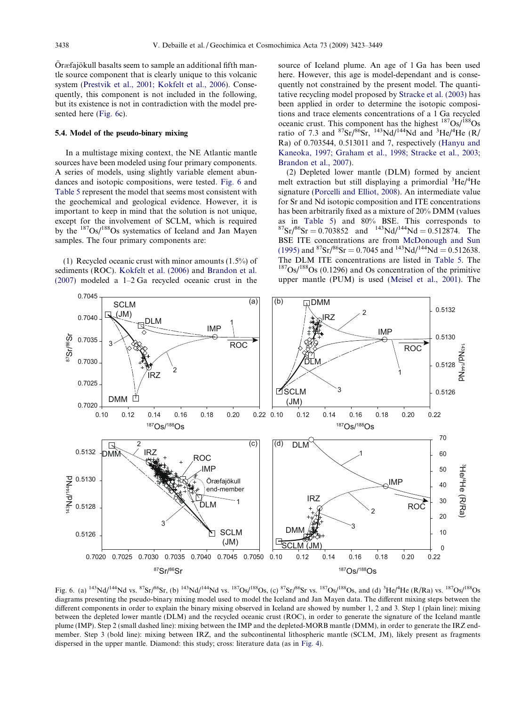<span id="page-15-0"></span>Öræfajökull basalts seem to sample an additional fifth mantle source component that is clearly unique to this volcanic system ([Prestvik et al., 2001; Kokfelt et al., 2006](#page-25-0)). Consequently, this component is not included in the following, but its existence is not in contradiction with the model presented here (Fig. 6c).

## 5.4. Model of the pseudo-binary mixing

In a multistage mixing context, the NE Atlantic mantle sources have been modeled using four primary components. A series of models, using slightly variable element abundances and isotopic compositions, were tested. Fig. 6 and [Table 5](#page-16-0) represent the model that seems most consistent with the geochemical and geological evidence. However, it is important to keep in mind that the solution is not unique, except for the involvement of SCLM, which is required by the 187Os/188Os systematics of Iceland and Jan Mayen samples. The four primary components are:

(1) Recycled oceanic crust with minor amounts (1.5%) of sediments (ROC). [Kokfelt et al. \(2006\)](#page-24-0) and [Brandon et al.](#page-23-0) [\(2007\)](#page-23-0) modeled a 1–2 Ga recycled oceanic crust in the source of Iceland plume. An age of 1 Ga has been used here. However, this age is model-dependant and is consequently not constrained by the present model. The quantitative recycling model proposed by [Stracke et al. \(2003\)](#page-26-0) has been applied in order to determine the isotopic compositions and trace elements concentrations of a 1 Ga recycled oceanic crust. This component has the highest  $187Os/188Os$ ratio of 7.3 and  ${}^{87}Sr/{}^{86}Sr, {}^{143}Nd/{}^{144}Nd$  and  ${}^{3}He/{}^{4}He$  (R/ Ra) of 0.703544, 0.513011 and 7, respectively [\(Hanyu and](#page-24-0) [Kaneoka, 1997; Graham et al., 1998; Stracke et al., 2003;](#page-24-0) [Brandon et al., 2007](#page-24-0)).

(2) Depleted lower mantle (DLM) formed by ancient melt extraction but still displaying a primordial <sup>3</sup>He/<sup>4</sup>He signature ([Porcelli and Elliot, 2008\)](#page-25-0). An intermediate value for Sr and Nd isotopic composition and ITE concentrations has been arbitrarily fixed as a mixture of 20% DMM (values as in [Table 5\)](#page-16-0) and 80% BSE. This corresponds to  ${}^{87}Sr/{}^{86}Sr = 0.703852$  and  ${}^{143}Nd/{}^{144}Nd = 0.512874$ . The BSE ITE concentrations are from [McDonough and Sun](#page-25-0) [\(1995\)](#page-25-0) and  ${}^{87}Sr/{}^{86}Sr = 0.7045$  and  ${}^{143}Nd/{}^{144}Nd = 0.512638$ . The DLM ITE concentrations are listed in [Table 5.](#page-16-0) The  $187Os/188Os$  (0.1296) and Os concentration of the primitive upper mantle (PUM) is used ([Meisel et al., 2001\)](#page-25-0). The



Fig. 6. (a)  $^{143}$ Nd/<sup>144</sup>Nd vs.  $^{87}$ Sr/ $^{86}$ Sr, (b)  $^{143}$ Nd/<sup>144</sup>Nd vs.  $^{187}Os/^{188}Os$ , (c)  $^{87}Sr/^{86}Sr$  vs.  $^{187}Os/^{188}Os$ , and (d)  $^{3}He/^{4}He$  (R/Ra) vs.  $^{187}Os/^{188}Os$ diagrams presenting the pseudo-binary mixing model used to model the Iceland and Jan Mayen data. The different mixing steps between the different components in order to explain the binary mixing observed in Iceland are showed by number 1, 2 and 3. Step 1 (plain line): mixing between the depleted lower mantle (DLM) and the recycled oceanic crust (ROC), in order to generate the signature of the Iceland mantle plume (IMP). Step 2 (small dashed line): mixing between the IMP and the depleted-MORB mantle (DMM), in order to generate the IRZ endmember. Step 3 (bold line): mixing between IRZ, and the subcontinental lithospheric mantle (SCLM, JM), likely present as fragments dispersed in the upper mantle. Diamond: this study; cross: literature data (as in [Fig. 4\)](#page-10-0).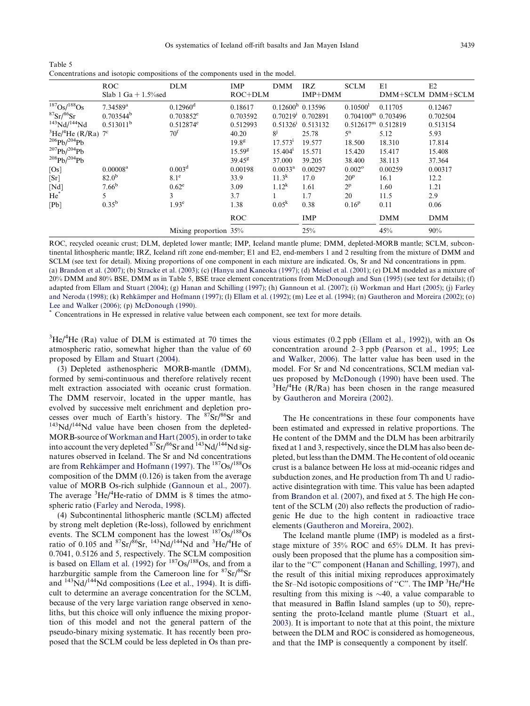<span id="page-16-0"></span>Table 5 Concentrations and isotopic compositions of the components used in the model.

|                                                    | <b>ROC</b>             | <b>DLM</b>             | <b>IMP</b>         | <b>DMM</b>           | <b>IRZ</b>          | <b>SCLM</b>                 | E1         | E2                |
|----------------------------------------------------|------------------------|------------------------|--------------------|----------------------|---------------------|-----------------------------|------------|-------------------|
|                                                    | Slab 1 Ga $+$ 1.5% sed |                        | ROC+DLM            |                      | IMP+DMM             |                             |            | DMM+SCLM DMM+SCLM |
| $187$ Os/ $188$ Os                                 | 7.34589 <sup>a</sup>   | $0.12960$ <sup>d</sup> | 0.18617            | $0.12600h$ 0.13596   |                     | 0.10500 <sup>1</sup>        | 0.11705    | 0.12467           |
| ${}^{87}Sr/{}^{86}Sr$                              | $0.703544^{\rm b}$     | $0.703852^e$           | 0.703592           | 0.70219 <sup>i</sup> | 0.702891            | $0.704100^{\rm m}$ 0.703496 |            | 0.702504          |
| 143Nd/144Nd                                        | $0.513011^{b}$         | $0.512874^e$           | 0.512993           |                      | $0.513261$ 0.513132 | $0.512617m$ 0.512819        |            | 0.513154          |
| ${}^{3}$ He/ <sup>4</sup> He (R/Ra) 7 <sup>c</sup> |                        | $70^{\rm f}$           | 40.20              | 8 <sup>j</sup>       | 25.78               | 5 <sup>n</sup>              | 5.12       | 5.93              |
| $^{206}Pb/^{204}Pb$                                |                        |                        | 19.8 <sup>g</sup>  | 17.573 <sup>i</sup>  | 19.577              | 18.500                      | 18.310     | 17.814            |
| $^{207}Ph/^{204}Ph$                                |                        |                        | 15.59 <sup>g</sup> | 15.404 <sup>1</sup>  | 15.571              | 15.420                      | 15.417     | 15.408            |
| $^{208}Pb/^{204}Pb$                                |                        |                        | $39.45^8$          | 37.000               | 39.205              | 38.400                      | 38.113     | 37.364            |
| [Os]                                               | 0.00008 <sup>a</sup>   | 0.003 <sup>d</sup>     | 0.00198            | $0.0033^{\rm a}$     | 0.00297             | $0.002^{\circ}$             | 0.00259    | 0.00317           |
| [Sr]                                               | $82.0^{b}$             | $8.1^\circ$            | 33.9               | $11.3^{k}$           | 17.0                | $20^{\rm p}$                | 16.1       | 12.2              |
| $[{\rm Nd}]$                                       | 7.66 <sup>b</sup>      | $0.62^e$               | 3.09               | $1.12^{k}$           | 1.61                | $2^{\rm p}$                 | 1.60       | 1.21              |
| He <sup>*</sup>                                    | 5                      | 3                      | 3.7                |                      | 1.7                 | 20                          | 11.5       | 2.9               |
| [Pb]                                               | $0.35^{b}$             | 1.93 <sup>e</sup>      | 1.38               | 0.05 <sup>k</sup>    | 0.38                | 0.16 <sup>p</sup>           | 0.11       | 0.06              |
|                                                    |                        |                        | <b>ROC</b>         |                      | <b>IMP</b>          |                             | <b>DMM</b> | <b>DMM</b>        |
|                                                    |                        | Mixing proportion 35%  |                    |                      | 25%                 |                             | 45%        | 90%               |

ROC, recycled oceanic crust; DLM, depleted lower mantle; IMP, Iceland mantle plume; DMM, depleted-MORB mantle; SCLM, subcontinental lithospheric mantle; IRZ, Iceland rift zone end-member; E1 and E2, end-members 1 and 2 resulting from the mixture of DMM and SCLM (see text for detail). Mixing proportions of one component in each mixture are indicated. Os, Sr and Nd concentrations in ppm. (a) [Brandon et al. \(2007\);](#page-23-0) (b) [Stracke et al. \(2003\)](#page-26-0); (c) ([Hanyu and Kaneoka \(1997\);](#page-24-0) (d) [Meisel et al. \(2001\);](#page-25-0) (e) DLM modeled as a mixture of 20% DMM and 80% BSE, DMM as in Table 5, BSE trace element concentrations from [McDonough and Sun \(1995\)](#page-25-0) (see text for details); (f) adapted from [Ellam and Stuart \(2004\);](#page-23-0) (g) [Hanan and Schilling \(1997\)](#page-24-0); (h) [Gannoun et al. \(2007\);](#page-23-0) (i) [Workman and Hart \(2005\);](#page-26-0) (j) [Farley](#page-23-0) [and Neroda \(1998\)](#page-23-0); (k) Rehkämper and Hofmann (1997); (l) [Ellam et al. \(1992\);](#page-23-0) (m) [Lee et al. \(1994\);](#page-24-0) (n) [Gautheron and Moreira \(2002\)](#page-23-0); (o) [Lee and Walker \(2006\)](#page-24-0); (p) [McDonough \(1990\)](#page-25-0). \* Concentrations in He expressed in relative value between each component, see text for more details.

 ${}^{3}$ He/ ${}^{4}$ He (Ra) value of DLM is estimated at 70 times the atmospheric ratio, somewhat higher than the value of 60 proposed by [Ellam and Stuart \(2004\)](#page-23-0).

(3) Depleted asthenospheric MORB-mantle (DMM), formed by semi-continuous and therefore relatively recent melt extraction associated with oceanic crust formation. The DMM reservoir, located in the upper mantle, has evolved by successive melt enrichment and depletion processes over much of Earth's history. The  ${}^{87}Sr/{}^{86}Sr$  and  ${}^{143}Nd/{}^{144}Nd$  value have been chosen from the depleted-MORB-source of[Workman and Hart \(2005\)](#page-26-0), in order to take into account the very depleted  ${}^{87}Sr/{}^{86}Sr$  and  ${}^{143}Nd/{}^{144}Nd$  signatures observed in Iceland. The Sr and Nd concentrations are from Rehkämper and Hofmann (1997). The <sup>187</sup>Os/<sup>188</sup>Os composition of the DMM (0.126) is taken from the average value of MORB Os-rich sulphide [\(Gannoun et al., 2007](#page-23-0)). The average  ${}^{3}$ He/ ${}^{4}$ He-ratio of DMM is 8 times the atmospheric ratio [\(Farley and Neroda, 1998](#page-23-0)).

(4) Subcontinental lithospheric mantle (SCLM) affected by strong melt depletion (Re-loss), followed by enrichment events. The SCLM component has the lowest  $187Os/188Os$ ratio of 0.105 and  ${}^{87}Sr/{}^{86}Sr, {}^{143}Nd/{}^{144}Nd$  and  ${}^{3}He/{}^{4}He$  of 0.7041, 0.5126 and 5, respectively. The SCLM composition is based on [Ellam et al. \(1992\)](#page-23-0) for  $187Os/188Os$ , and from a harzburgitic sample from the Cameroon line for <sup>87</sup>Sr/<sup>86</sup>Sr and  $143\text{Nd}/144\text{Nd}$  compositions ([Lee et al., 1994\)](#page-24-0). It is difficult to determine an average concentration for the SCLM, because of the very large variation range observed in xenoliths, but this choice will only influence the mixing proportion of this model and not the general pattern of the pseudo-binary mixing systematic. It has recently been proposed that the SCLM could be less depleted in Os than previous estimates (0.2 ppb [\(Ellam et al., 1992](#page-23-0))), with an Os concentration around 2–3 ppb [\(Pearson et al., 1995; Lee](#page-25-0) [and Walker, 2006](#page-25-0)). The latter value has been used in the model. For Sr and Nd concentrations, SCLM median val-ues proposed by [McDonough \(1990\)](#page-25-0) have been used. The He/ $^{4}$ He (R/Ra) has been chosen in the range measured by [Gautheron and Moreira \(2002\).](#page-23-0)

The He concentrations in these four components have been estimated and expressed in relative proportions. The He content of the DMM and the DLM has been arbitrarily fixed at 1 and 3, respectively, since the DLM has also been depleted, but less than the DMM. The He content of old oceanic crust is a balance between He loss at mid-oceanic ridges and subduction zones, and He production from Th and U radioactive disintegration with time. This value has been adapted from [Brandon et al. \(2007\)](#page-23-0), and fixed at 5. The high He content of the SCLM (20) also reflects the production of radiogenic He due to the high content in radioactive trace elements ([Gautheron and Moreira, 2002\)](#page-23-0).

The Iceland mantle plume (IMP) is modeled as a firststage mixture of 35% ROC and 65% DLM. It has previously been proposed that the plume has a composition sim-ilar to the "C" component [\(Hanan and Schilling, 1997\)](#page-24-0), and the result of this initial mixing reproduces approximately the Sr-Nd isotopic compositions of "C". The IMP <sup>3</sup>He/<sup>4</sup>He resulting from this mixing is  $\sim$ 40, a value comparable to that measured in Baffin Island samples (up to 50), representing the proto-Iceland mantle plume [\(Stuart et al.,](#page-26-0) [2003](#page-26-0)). It is important to note that at this point, the mixture between the DLM and ROC is considered as homogeneous, and that the IMP is consequently a component by itself.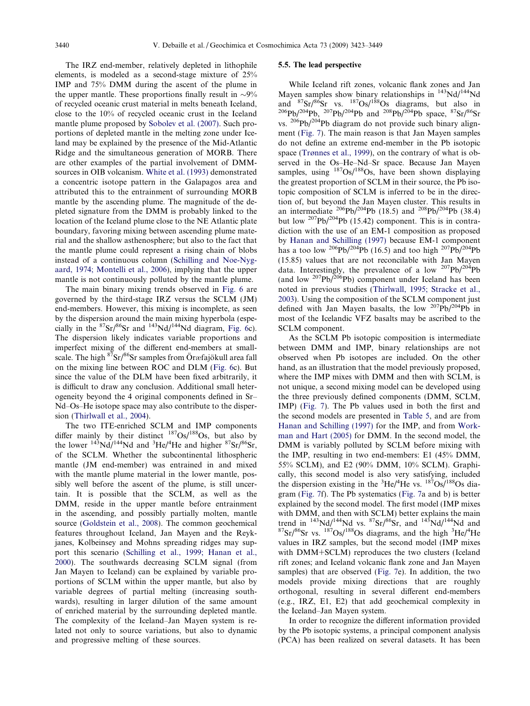<span id="page-17-0"></span>The IRZ end-member, relatively depleted in lithophile elements, is modeled as a second-stage mixture of 25% IMP and 75% DMM during the ascent of the plume in the upper mantle. These proportions finally result in  $\sim 9\%$ of recycled oceanic crust material in melts beneath Iceland, close to the 10% of recycled oceanic crust in the Iceland mantle plume proposed by [Sobolev et al. \(2007\)](#page-26-0). Such proportions of depleted mantle in the melting zone under Iceland may be explained by the presence of the Mid-Atlantic Ridge and the simultaneous generation of MORB. There are other examples of the partial involvement of DMMsources in OIB volcanism. [White et al. \(1993\)](#page-26-0) demonstrated a concentric isotope pattern in the Galapagos area and attributed this to the entrainment of surrounding MORB mantle by the ascending plume. The magnitude of the depleted signature from the DMM is probably linked to the location of the Iceland plume close to the NE Atlantic plate boundary, favoring mixing between ascending plume material and the shallow asthenosphere; but also to the fact that the mantle plume could represent a rising chain of blobs instead of a continuous column [\(Schilling and Noe-Nyg](#page-26-0)[aard, 1974; Montelli et al., 2006\)](#page-26-0), implying that the upper mantle is not continuously polluted by the mantle plume.

The main binary mixing trends observed in [Fig. 6](#page-15-0) are governed by the third-stage IRZ versus the SCLM (JM) end-members. However, this mixing is incomplete, as seen by the dispersion around the main mixing hyperbola (especially in the  ${}^{87}Sr/{}^{86}Sr$  and  ${}^{143}Nd/{}^{144}Nd$  diagram, [Fig. 6c](#page-15-0)). The dispersion likely indicates variable proportions and imperfect mixing of the different end-members at smallscale. The high <sup>87</sup>Sr/<sup>86</sup>Sr samples from Öræfajökull area fall on the mixing line between ROC and DLM ([Fig. 6c](#page-15-0)). But since the value of the DLM have been fixed arbitrarily, it is difficult to draw any conclusion. Additional small heterogeneity beyond the 4 original components defined in Sr– Nd–Os–He isotope space may also contribute to the dispersion ([Thirlwall et al., 2004](#page-26-0)).

The two ITE-enriched SCLM and IMP components differ mainly by their distinct  $187Os/188Os$ , but also by the lower  $^{143}$ Nd/ $^{144}$ Nd and  $^{3}$ He/ $^{4}$ He and higher  $^{87}$ Sr/ $^{86}$ Sr, of the SCLM. Whether the subcontinental lithospheric mantle (JM end-member) was entrained in and mixed with the mantle plume material in the lower mantle, possibly well before the ascent of the plume, is still uncertain. It is possible that the SCLM, as well as the DMM, reside in the upper mantle before entrainment in the ascending, and possibly partially molten, mantle source [\(Goldstein et al., 2008\)](#page-23-0). The common geochemical features throughout Iceland, Jan Mayen and the Reykjanes, Kolbeinsey and Mohns spreading ridges may support this scenario ([Schilling et al., 1999; Hanan et al.,](#page-26-0) [2000\)](#page-26-0). The southwards decreasing SCLM signal (from Jan Mayen to Iceland) can be explained by variable proportions of SCLM within the upper mantle, but also by variable degrees of partial melting (increasing southwards), resulting in larger dilution of the same amount of enriched material by the surrounding depleted mantle. The complexity of the Iceland–Jan Mayen system is related not only to source variations, but also to dynamic and progressive melting of these sources.

## 5.5. The lead perspective

While Iceland rift zones, volcanic flank zones and Jan Mayen samples show binary relationships in  $143Nd/144Nd$ and  ${}^{87}Sr/{}^{86}Sr$  vs.  ${}^{187}Os/{}^{188}Os$  diagrams, but also in  ${}^{206}Pb/{}^{204}Pb$ ,  ${}^{207}Pb/{}^{204}Pb$  and  ${}^{208}Pb/{}^{204}Pb$  space,  ${}^{87}Sr/{}^{86}Sr$ vs. 206Pb/204Pb diagram do not provide such binary alignment ([Fig. 7\)](#page-18-0). The main reason is that Jan Mayen samples do not define an extreme end-member in the Pb isotopic space [\(Tr](#page-26-0)ø[nnes et al., 1999\)](#page-26-0), on the contrary of what is observed in the Os–He–Nd–Sr space. Because Jan Mayen samples, using  $187Os/188Os$ , have been shown displaying the greatest proportion of SCLM in their source, the Pb isotopic composition of SCLM is inferred to be in the direction of, but beyond the Jan Mayen cluster. This results in an intermediate  $^{206}Pb/^{204}Pb$  (18.5) and  $^{208}Pb/^{204}Pb$  (38.4) but low  $^{207}Pb/^{204}Pb$  (15.42) component. This is in contradiction with the use of an EM-1 composition as proposed by [Hanan and Schilling \(1997\)](#page-24-0) because EM-1 component has a too low <sup>206</sup>Pb/<sup>204</sup>Pb (16.5) and too high <sup>207</sup>Pb/<sup>204</sup>Pb (15.85) values that are not reconcilable with Jan Mayen data. Interestingly, the prevalence of a low  $^{207}Pb/^{204}Pb$ (and low  $^{207}Pb/^{206}Pb$ ) component under Iceland has been noted in previous studies [\(Thirlwall, 1995; Stracke et al.,](#page-26-0) [2003\)](#page-26-0). Using the composition of the SCLM component just defined with Jan Mayen basalts, the low  $207Pb/204Pb$  in most of the Icelandic VFZ basalts may be ascribed to the SCLM component.

As the SCLM Pb isotopic composition is intermediate between DMM and IMP, binary relationships are not observed when Pb isotopes are included. On the other hand, as an illustration that the model previously proposed, where the IMP mixes with DMM and then with SCLM, is not unique, a second mixing model can be developed using the three previously defined components (DMM, SCLM, IMP) ([Fig. 7\)](#page-18-0). The Pb values used in both the first and the second models are presented in [Table 5,](#page-16-0) and are from [Hanan and Schilling \(1997\)](#page-24-0) for the IMP, and from [Work](#page-26-0)[man and Hart \(2005\)](#page-26-0) for DMM. In the second model, the DMM is variably polluted by SCLM before mixing with the IMP, resulting in two end-members: E1 (45% DMM, 55% SCLM), and E2 (90% DMM, 10% SCLM). Graphically, this second model is also very satisfying, included the dispersion existing in the  ${}^{3}$ He/<sup>4</sup>He vs.  ${}^{187}$ Os/ ${}^{188}$ Os diagram [\(Fig. 7f](#page-18-0)). The Pb systematics ([Fig. 7](#page-18-0)a and b) is better explained by the second model. The first model (IMP mixes with DMM, and then with SCLM) better explains the main trend in  $143\text{Nd}/144\text{Nd}$  vs.  $87\text{Sr}/86\text{Sr}$ , and  $143\text{Nd}/144\text{Nd}$  and  $He/4He$ values in IRZ samples, but the second model (IMP mixes with DMM+SCLM) reproduces the two clusters (Iceland rift zones; and Iceland volcanic flank zone and Jan Mayen samples) that are observed [\(Fig. 7](#page-18-0)e). In addition, the two models provide mixing directions that are roughly orthogonal, resulting in several different end-members (e.g., IRZ, E1, E2) that add geochemical complexity in the Iceland–Jan Mayen system.

In order to recognize the different information provided by the Pb isotopic systems, a principal component analysis (PCA) has been realized on several datasets. It has been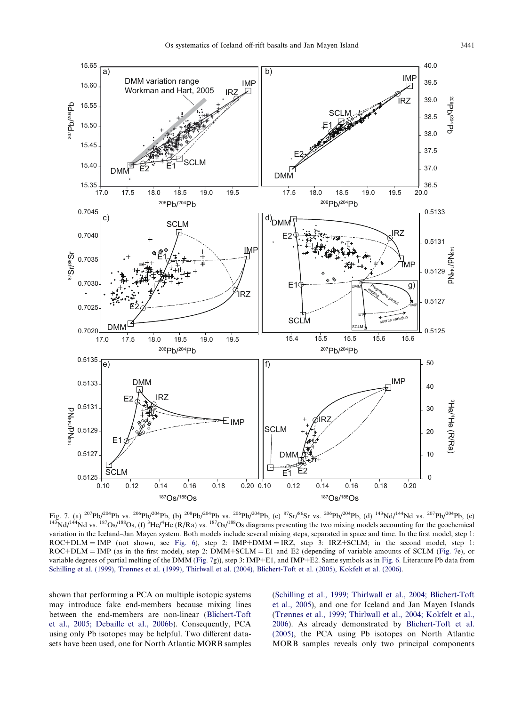<span id="page-18-0"></span>

Fig. 7. (a)  ${}^{207}Pb/{}^{204}Pb$  vs.  ${}^{206}Pb/{}^{204}Pb$ , (b)  ${}^{208}Pb/{}^{204}Pb$  vs.  ${}^{206}Pb/{}^{204}Pb$ , (c)  ${}^{87}Sr/{}^{86}Sr$  vs.  ${}^{206}Pb/{}^{204}Pb$ , (d)  ${}^{143}Nd/{}^{144}Nd$  vs.  ${}^{207}Pb/{}^{204}Pb$ , (e)  ${}^{143}Nd/{}^{144}Nd$  v variation in the Iceland–Jan Mayen system. Both models include several mixing steps, separated in space and time. In the first model, step 1: ROC+DLM = IMP (not shown, see [Fig. 6\)](#page-15-0), step 2: IMP+DMM = IRZ, step 3: IRZ+SCLM; in the second model, step 1: ROC+DLM = IMP (as in the first model), step 2: DMM+SCLM = E1 and E2 (depending of variable amounts of SCLM (Fig. 7e), or variable degrees of partial melting of the DMM (Fig. 7g)), step 3: IMP+E1, and IMP+E2. Same symbols as in [Fig. 6](#page-15-0). Literature Pb data from [Schilling et al. \(1999\), Tr](#page-26-0)ø[nnes et al. \(1999\), Thirlwall et al. \(2004\), Blichert-Toft et al. \(2005\), Kokfelt et al. \(2006\)](#page-26-0).

shown that performing a PCA on multiple isotopic systems may introduce fake end-members because mixing lines between the end-members are non-linear [\(Blichert-Toft](#page-22-0) [et al., 2005; Debaille et al., 2006b\)](#page-22-0). Consequently, PCA using only Pb isotopes may be helpful. Two different datasets have been used, one for North Atlantic MORB samples [\(Schilling et al., 1999; Thirlwall et al., 2004; Blichert-Toft](#page-26-0) [et al., 2005](#page-26-0)), and one for Iceland and Jan Mayen Islands [\(Tr](#page-26-0)ø[nnes et al., 1999; Thirlwall et al., 2004; Kokfelt et al.,](#page-26-0) [2006](#page-26-0)). As already demonstrated by [Blichert-Toft et al.](#page-22-0) [\(2005\)](#page-22-0), the PCA using Pb isotopes on North Atlantic MORB samples reveals only two principal components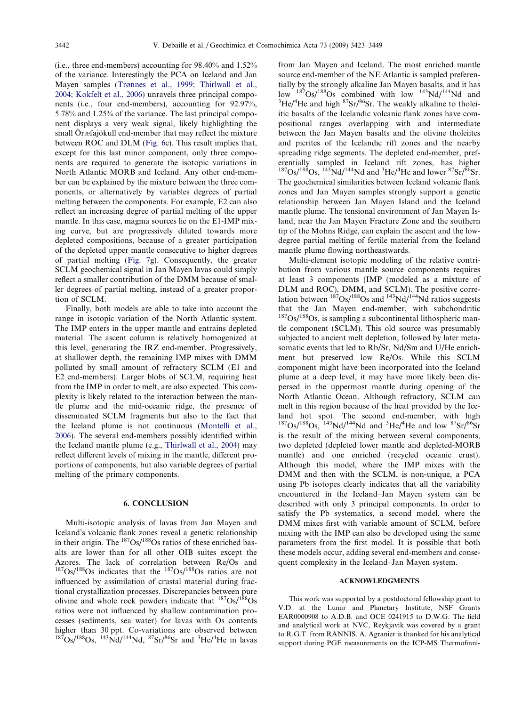(i.e., three end-members) accounting for 98.40% and 1.52% of the variance. Interestingly the PCA on Iceland and Jan Mayen samples [\(Tr](#page-26-0)ø[nnes et al., 1999; Thirlwall et al.,](#page-26-0) [2004; Kokfelt et al., 2006\)](#page-26-0) unravels three principal components (i.e., four end-members), accounting for 92.97%, 5.78% and 1.25% of the variance. The last principal component displays a very weak signal, likely highlighting the small Öræfajökull end-member that may reflect the mixture between ROC and DLM ([Fig. 6](#page-15-0)c). This result implies that, except for this last minor component, only three components are required to generate the isotopic variations in North Atlantic MORB and Iceland. Any other end-member can be explained by the mixture between the three components, or alternatively by variables degrees of partial melting between the components. For example, E2 can also reflect an increasing degree of partial melting of the upper mantle. In this case, magma sources lie on the E1-IMP mixing curve, but are progressively diluted towards more depleted compositions, because of a greater participation of the depleted upper mantle consecutive to higher degrees of partial melting [\(Fig. 7g](#page-18-0)). Consequently, the greater SCLM geochemical signal in Jan Mayen lavas could simply reflect a smaller contribution of the DMM because of smaller degrees of partial melting, instead of a greater proportion of SCLM.

Finally, both models are able to take into account the range in isotopic variation of the North Atlantic system. The IMP enters in the upper mantle and entrains depleted material. The ascent column is relatively homogenized at this level, generating the IRZ end-member. Progressively, at shallower depth, the remaining IMP mixes with DMM polluted by small amount of refractory SCLM (E1 and E2 end-members). Larger blobs of SCLM, requiring heat from the IMP in order to melt, are also expected. This complexity is likely related to the interaction between the mantle plume and the mid-oceanic ridge, the presence of disseminated SCLM fragments but also to the fact that the Iceland plume is not continuous [\(Montelli et al.,](#page-25-0) [2006\)](#page-25-0). The several end-members possibly identified within the Iceland mantle plume (e.g., [Thirlwall et al., 2004\)](#page-26-0) may reflect different levels of mixing in the mantle, different proportions of components, but also variable degrees of partial melting of the primary components.

### 6. CONCLUSION

Multi-isotopic analysis of lavas from Jan Mayen and Iceland's volcanic flank zones reveal a genetic relationship in their origin. The  $187Os/188Os$  ratios of these enriched basalts are lower than for all other OIB suites except the Azores. The lack of correlation between Re/Os and  $187Os/188Os$  indicates that the  $187Os/188Os$  ratios are not influenced by assimilation of crustal material during fractional crystallization processes. Discrepancies between pure olivine and whole rock powders indicate that  $187Os/188Os$ ratios were not influenced by shallow contamination processes (sediments, sea water) for lavas with Os contents higher than 30 ppt. Co-variations are observed between  $187Os/188Os$ ,  $143Nd/144Nd$ ,  $87Sr/86Sr$  and  $3He/4He$  in lavas

from Jan Mayen and Iceland. The most enriched mantle source end-member of the NE Atlantic is sampled preferentially by the strongly alkaline Jan Mayen basalts, and it has low  $187Os/188Os$  combined with low  $143Nd/144Nd$  and He/ $^{4}$ He and high  $^{87}Sr/^{86}Sr$ . The weakly alkaline to tholeiitic basalts of the Icelandic volcanic flank zones have compositional ranges overlapping with and intermediate between the Jan Mayen basalts and the olivine tholeiites and picrites of the Icelandic rift zones and the nearby spreading ridge segments. The depleted end-member, preferentially sampled in Iceland rift zones, has higher  $187$ Os/ $188$ Os,  $143$ Nd/ $144$ Nd and  $3$ He/ $4$ He and lower  $87$ Sr/ $86$ Sr. The geochemical similarities between Iceland volcanic flank zones and Jan Mayen samples strongly support a genetic relationship between Jan Mayen Island and the Iceland mantle plume. The tensional environment of Jan Mayen Island, near the Jan Mayen Fracture Zone and the southern tip of the Mohns Ridge, can explain the ascent and the lowdegree partial melting of fertile material from the Iceland mantle plume flowing northeastwards.

Multi-element isotopic modeling of the relative contribution from various mantle source components requires at least 3 components (IMP (modeled as a mixture of DLM and ROC), DMM, and SCLM). The positive correlation between  $187Os/188Os$  and  $143Nd/144Nd$  ratios suggests that the Jan Mayen end-member, with subchondritic  $187Os/188Os$ , is sampling a subcontinental lithospheric mantle component (SCLM). This old source was presumably subjected to ancient melt depletion, followed by later metasomatic events that led to Rb/Sr, Nd/Sm and U/He enrichment but preserved low Re/Os. While this SCLM component might have been incorporated into the Iceland plume at a deep level, it may have more likely been dispersed in the uppermost mantle during opening of the North Atlantic Ocean. Although refractory, SCLM can melt in this region because of the heat provided by the Iceland hot spot. The second end-member, with high  $187$ Os/ $188$ Os,  $143$ Nd/ $144$ Nd and  $3$ He/ $4$ He and low  $87$ Sr/ $86$ Sr is the result of the mixing between several components, two depleted (depleted lower mantle and depleted-MORB mantle) and one enriched (recycled oceanic crust). Although this model, where the IMP mixes with the DMM and then with the SCLM, is non-unique, a PCA using Pb isotopes clearly indicates that all the variability encountered in the Iceland–Jan Mayen system can be described with only 3 principal components. In order to satisfy the Pb systematics, a second model, where the DMM mixes first with variable amount of SCLM, before mixing with the IMP can also be developed using the same parameters from the first model. It is possible that both these models occur, adding several end-members and consequent complexity in the Iceland–Jan Mayen system.

#### ACKNOWLEDGMENTS

This work was supported by a postdoctoral fellowship grant to V.D. at the Lunar and Planetary Institute, NSF Grants EAR0000908 to A.D.B. and OCE 0241915 to D.W.G. The field and analytical work at NVC, Reykjavik was covered by a grant to R.G.T. from RANNIS. A. Agranier is thanked for his analytical support during PGE measurements on the ICP-MS Thermofinni-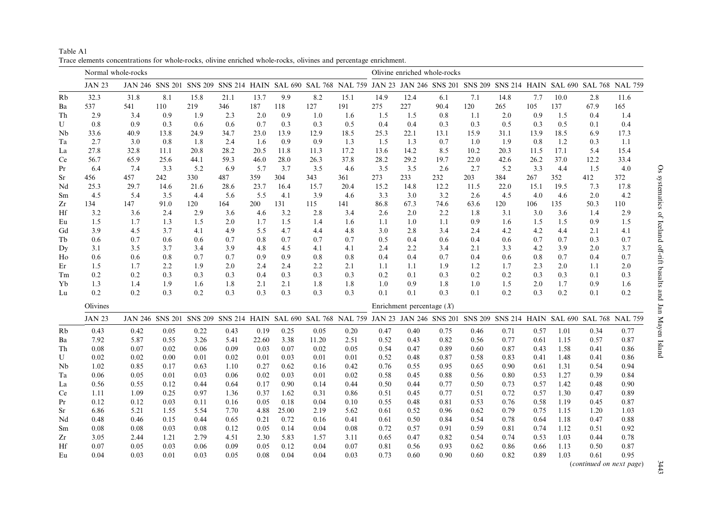<span id="page-20-0"></span>Table A1 Trace elements concentrations for whole-rocks, olivine enriched whole-rocks, olivines and percentage enrichment.

|           | Normal whole-rocks |      |      |      |      |       |       |       |                                                                                                                                  |      | Olivine enriched whole-rocks |      |      |      |      |      |      |                                                                                                                                  |
|-----------|--------------------|------|------|------|------|-------|-------|-------|----------------------------------------------------------------------------------------------------------------------------------|------|------------------------------|------|------|------|------|------|------|----------------------------------------------------------------------------------------------------------------------------------|
|           | <b>JAN 23</b>      |      |      |      |      |       |       |       |                                                                                                                                  |      |                              |      |      |      |      |      |      | JAN 246 SNS 201 SNS 209 SNS 214 HAIN SAL 690 SAL 768 NAL 759 JAN 23 JAN 246 SNS 201 SNS 209 SNS 214 HAIN SAL 690 SAL 768 NAL 759 |
| Rb        | 32.3               | 31.8 | 8.1  | 15.8 | 21.1 | 13.7  | 9.9   | 8.2   | 15.1                                                                                                                             | 14.9 | 12.4                         | 6.1  | 7.1  | 14.8 | 7.7  | 10.0 | 2.8  | 11.6                                                                                                                             |
| Ba        | 537                | 541  | 110  | 219  | 346  | 187   | 118   | 127   | 191                                                                                                                              | 275  | 227                          | 90.4 | 120  | 265  | 105  | 137  | 67.9 | 165                                                                                                                              |
| Th        | 2.9                | 3.4  | 0.9  | 1.9  | 2.3  | 2.0   | 0.9   | 1.0   | 1.6                                                                                                                              | 1.5  | 1.5                          | 0.8  | 1.1  | 2.0  | 0.9  | 1.5  | 0.4  | 1.4                                                                                                                              |
| U         | 0.8                | 0.9  | 0.3  | 0.6  | 0.6  | 0.7   | 0.3   | 0.3   | 0.5                                                                                                                              | 0.4  | 0.4                          | 0.3  | 0.3  | 0.5  | 0.3  | 0.5  | 0.1  | 0.4                                                                                                                              |
| Nb        | 33.6               | 40.9 | 13.8 | 24.9 | 34.7 | 23.0  | 13.9  | 12.9  | 18.5                                                                                                                             | 25.3 | 22.1                         | 13.1 | 15.9 | 31.1 | 13.9 | 18.5 | 6.9  | 17.3                                                                                                                             |
| Ta        | 2.7                | 3.0  | 0.8  | 1.8  | 2.4  | 1.6   | 0.9   | 0.9   | 1.3                                                                                                                              | 1.5  | 1.3                          | 0.7  | 1.0  | 1.9  | 0.8  | 1.2  | 0.3  | 1.1                                                                                                                              |
| La        | 27.8               | 32.8 | 11.1 | 20.8 | 28.2 | 20.5  | 11.8  | 11.3  | 17.2                                                                                                                             | 13.6 | 14.2                         | 8.5  | 10.2 | 20.3 | 11.5 | 17.1 | 5.4  | 15.4                                                                                                                             |
| Ce        | 56.7               | 65.9 | 25.6 | 44.1 | 59.3 | 46.0  | 28.0  | 26.3  | 37.8                                                                                                                             | 28.2 | 29.2                         | 19.7 | 22.0 | 42.6 | 26.2 | 37.0 | 12.2 | 33.4                                                                                                                             |
| Pr        | 6.4                | 7.4  | 3.3  | 5.2  | 6.9  | 5.7   | 3.7   | 3.5   | 4.6                                                                                                                              | 3.5  | 3.5                          | 2.6  | 2.7  | 5.2  | 3.3  | 4.4  | 1.5  | 4.0                                                                                                                              |
| <b>Sr</b> | 456                | 457  | 242  | 330  | 487  | 359   | 304   | 343   | 361                                                                                                                              | 273  | 233                          | 232  | 203  | 384  | 267  | 352  | 412  | 372                                                                                                                              |
| Nd        | 25.3               | 29.7 | 14.6 | 21.6 | 28.6 | 23.7  | 16.4  | 15.7  | 20.4                                                                                                                             | 15.2 | 14.8                         | 12.2 | 11.5 | 22.0 | 15.1 | 19.5 | 7.3  | 17.8                                                                                                                             |
| Sm        | 4.5                | 5.4  | 3.5  | 4.4  | 5.6  | 5.5   | 4.1   | 3.9   | 4.6                                                                                                                              | 3.3  | 3.0                          | 3.2  | 2.6  | 4.5  | 4.0  | 4.6  | 2.0  | 4.2                                                                                                                              |
| Zr        | 134                | 147  | 91.0 | 120  | 164  | 200   | 131   | 115   | 141                                                                                                                              | 86.8 | 67.3                         | 74.6 | 63.6 | 120  | 106  | 135  | 50.3 | 110                                                                                                                              |
| Hf        | 3.2                | 3.6  | 2.4  | 2.9  | 3.6  | 4.6   | 3.2   | 2.8   | 3.4                                                                                                                              | 2.6  | 2.0                          | 2.2  | 1.8  | 3.1  | 3.0  | 3.6  | 1.4  | 2.9                                                                                                                              |
| Eu        | 1.5                | 1.7  | 1.3  | 1.5  | 2.0  | 1.7   | 1.5   | 1.4   | 1.6                                                                                                                              | 1.1  | 1.0                          | 1.1  | 0.9  | 1.6  | 1.5  | 1.5  | 0.9  | 1.5                                                                                                                              |
| Gd        | 3.9                | 4.5  | 3.7  | 4.1  | 4.9  | 5.5   | 4.7   | 4.4   | 4.8                                                                                                                              | 3.0  | 2.8                          | 3.4  | 2.4  | 4.2  | 4.2  | 4.4  | 2.1  | 4.1                                                                                                                              |
| Tb        | 0.6                | 0.7  | 0.6  | 0.6  | 0.7  | 0.8   | 0.7   | 0.7   | 0.7                                                                                                                              | 0.5  | 0.4                          | 0.6  | 0.4  | 0.6  | 0.7  | 0.7  | 0.3  | 0.7                                                                                                                              |
| Dy        | 3.1                | 3.5  | 3.7  | 3.4  | 3.9  | 4.8   | 4.5   | 4.1   | 4.1                                                                                                                              | 2.4  | 2.2                          | 3.4  | 2.1  | 3.3  | 4.2  | 3.9  | 2.0  | 3.7                                                                                                                              |
| Ho        | 0.6                | 0.6  | 0.8  | 0.7  | 0.7  | 0.9   | 0.9   | 0.8   | $0.8\,$                                                                                                                          | 0.4  | 0.4                          | 0.7  | 0.4  | 0.6  | 0.8  | 0.7  | 0.4  | 0.7                                                                                                                              |
| Er        | 1.5                | 1.7  | 2.2  | 1.9  | 2.0  | 2.4   | 2.4   | 2.2   | 2.1                                                                                                                              | 1.1  | 1.1                          | 1.9  | 1.2  | 1.7  | 2.3  | 2.0  | 1.1  | 2.0                                                                                                                              |
| Tm        | 0.2                | 0.2  | 0.3  | 0.3  | 0.3  | 0.4   | 0.3   | 0.3   | 0.3                                                                                                                              | 0.2  | 0.1                          | 0.3  | 0.2  | 0.2  | 0.3  | 0.3  | 0.1  | 0.3                                                                                                                              |
| Yb        | 1.3                | 1.4  | 1.9  | 1.6  | 1.8  | 2.1   | 2.1   | 1.8   | 1.8                                                                                                                              | 1.0  | 0.9                          | 1.8  | 1.0  | 1.5  | 2.0  | 1.7  | 0.9  | 1.6                                                                                                                              |
| Lu        | 0.2                | 0.2  | 0.3  | 0.2  | 0.3  | 0.3   | 0.3   | 0.3   | 0.3                                                                                                                              | 0.1  | 0.1                          | 0.3  | 0.1  | 0.2  | 0.3  | 0.2  | 0.1  | 0.2                                                                                                                              |
|           | Olivines           |      |      |      |      |       |       |       |                                                                                                                                  |      | Enrichment percentage $(X)$  |      |      |      |      |      |      |                                                                                                                                  |
|           | <b>JAN 23</b>      |      |      |      |      |       |       |       | JAN 246 SNS 201 SNS 209 SNS 214 HAIN SAL 690 SAL 768 NAL 759 JAN 23 JAN 246 SNS 201 SNS 209 SNS 214 HAIN SAL 690 SAL 768 NAL 759 |      |                              |      |      |      |      |      |      |                                                                                                                                  |
| Rb        | 0.43               | 0.42 | 0.05 | 0.22 | 0.43 | 0.19  | 0.25  | 0.05  | 0.20                                                                                                                             | 0.47 | 0.40                         | 0.75 | 0.46 | 0.71 | 0.57 | 1.01 | 0.34 | 0.77                                                                                                                             |
| Ba        | 7.92               | 5.87 | 0.55 | 3.26 | 5.41 | 22.60 | 3.38  | 11.20 | 2.51                                                                                                                             | 0.52 | 0.43                         | 0.82 | 0.56 | 0.77 | 0.61 | 1.15 | 0.57 | 0.87                                                                                                                             |
| Th        | 0.08               | 0.07 | 0.02 | 0.06 | 0.09 | 0.03  | 0.07  | 0.02  | 0.05                                                                                                                             | 0.54 | 0.47                         | 0.89 | 0.60 | 0.87 | 0.43 | 1.58 | 0.41 | 0.86                                                                                                                             |
| U         | 0.02               | 0.02 | 0.00 | 0.01 | 0.02 | 0.01  | 0.03  | 0.01  | 0.01                                                                                                                             | 0.52 | 0.48                         | 0.87 | 0.58 | 0.83 | 0.41 | 1.48 | 0.41 | 0.86                                                                                                                             |
| Nb        | 1.02               | 0.85 | 0.17 | 0.63 | 1.10 | 0.27  | 0.62  | 0.16  | 0.42                                                                                                                             | 0.76 | 0.55                         | 0.95 | 0.65 | 0.90 | 0.61 | 1.31 | 0.54 | 0.94                                                                                                                             |
| Ta        | 0.06               | 0.05 | 0.01 | 0.03 | 0.06 | 0.02  | 0.03  | 0.01  | 0.02                                                                                                                             | 0.58 | 0.45                         | 0.88 | 0.56 | 0.80 | 0.53 | 1.27 | 0.39 | 0.84                                                                                                                             |
| La        | 0.56               | 0.55 | 0.12 | 0.44 | 0.64 | 0.17  | 0.90  | 0.14  | 0.44                                                                                                                             | 0.50 | 0.44                         | 0.77 | 0.50 | 0.73 | 0.57 | 1.42 | 0.48 | 0.90                                                                                                                             |
| Ce        | 1.11               | 1.09 | 0.25 | 0.97 | 1.36 | 0.37  | 1.62  | 0.31  | 0.86                                                                                                                             | 0.51 | 0.45                         | 0.77 | 0.51 | 0.72 | 0.57 | 1.30 | 0.47 | 0.89                                                                                                                             |
| Pr        | 0.12               | 0.12 | 0.03 | 0.11 | 0.16 | 0.05  | 0.18  | 0.04  | 0.10                                                                                                                             | 0.55 | 0.48                         | 0.81 | 0.53 | 0.76 | 0.58 | 1.19 | 0.45 | 0.87                                                                                                                             |
| Sr        | 6.86               | 5.21 | 1.55 | 5.54 | 7.70 | 4.88  | 25.00 | 2.19  | 5.62                                                                                                                             | 0.61 | 0.52                         | 0.96 | 0.62 | 0.79 | 0.75 | 1.15 | 1.20 | 1.03                                                                                                                             |
| Nd        | 0.48               | 0.46 | 0.15 | 0.44 | 0.65 | 0.21  | 0.72  | 0.16  | 0.41                                                                                                                             | 0.61 | 0.50                         | 0.84 | 0.54 | 0.78 | 0.64 | 1.18 | 0.47 | 0.88                                                                                                                             |
| Sm        | 0.08               | 0.08 | 0.03 | 0.08 | 0.12 | 0.05  | 0.14  | 0.04  | 0.08                                                                                                                             | 0.72 | 0.57                         | 0.91 | 0.59 | 0.81 | 0.74 | 1.12 | 0.51 | 0.92                                                                                                                             |
| Zr        | 3.05               | 2.44 | 1.21 | 2.79 | 4.51 | 2.30  | 5.83  | 1.57  | 3.11                                                                                                                             | 0.65 | 0.47                         | 0.82 | 0.54 | 0.74 | 0.53 | 1.03 | 0.44 | 0.78                                                                                                                             |
| Hf        | 0.07               | 0.05 | 0.03 | 0.06 | 0.09 | 0.05  | 0.12  | 0.04  | 0.07                                                                                                                             | 0.81 | 0.56                         | 0.93 | 0.62 | 0.86 | 0.66 | 1.13 | 0.50 | 0.87                                                                                                                             |
| Eu        | 0.04               | 0.03 | 0.01 | 0.03 | 0.05 | 0.08  | 0.04  | 0.04  | 0.03                                                                                                                             | 0.73 | 0.60                         | 0.90 | 0.60 | 0.82 | 0.89 | 1.03 | 0.61 | 0.95                                                                                                                             |

(continued on next page)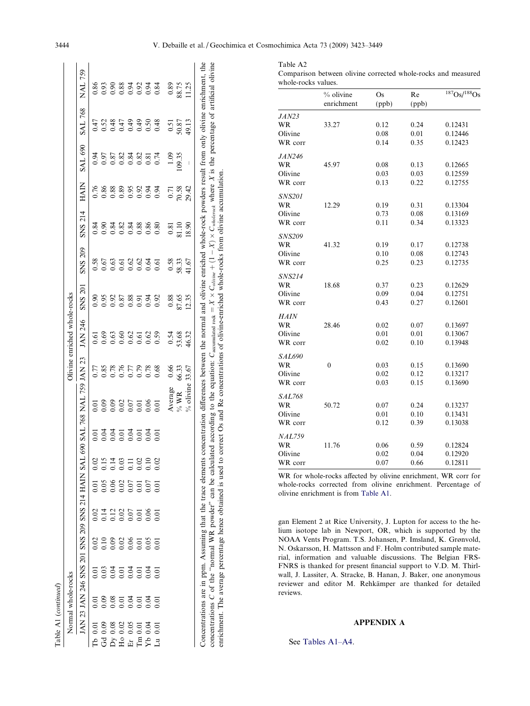<span id="page-21-0"></span>

|                                                            | Normal whole-rocks  |                                                 |                   |      |                |      |      |                                   |       | Olivine enriched whole-rocks |                            |                          |                                                        |                        |               |                                                                                                                                                                                                                |                                       |
|------------------------------------------------------------|---------------------|-------------------------------------------------|-------------------|------|----------------|------|------|-----------------------------------|-------|------------------------------|----------------------------|--------------------------|--------------------------------------------------------|------------------------|---------------|----------------------------------------------------------------------------------------------------------------------------------------------------------------------------------------------------------------|---------------------------------------|
|                                                            |                     | JAN 23 JAN 246 SNS 200 SNS 209 SNS 214 HAIN SAI |                   |      |                |      |      | 690 SAL 768 NAL 759 JAN 23        |       | JAN 246                      | <b>SNS 201</b>             | SNS 209                  | <b>SNS 214</b>                                         | <b>HAIN</b>            | SAL 690       | <b>SAL 768</b>                                                                                                                                                                                                 | <b>NAL 759</b>                        |
| Tb $0.01$                                                  | 5<br>0.0            | 0.01                                            | 0.02              | 0.02 | $\bar{\rm e}$  | 0.02 | 0.01 |                                   |       |                              | 0.90                       |                          |                                                        | 0.76                   |               |                                                                                                                                                                                                                |                                       |
| 0.09<br>Gd                                                 | 0.09                | 0.03                                            | 0.10              |      | 0.05           | 0.15 |      | 588855865<br>588855586<br>5886556 |       | 58888588<br>55555555         |                            | 385698866<br>00000000000 |                                                        |                        |               | 5<br>5<br>5<br>5<br>5<br>5<br>5<br>5<br>5<br>5<br>5<br>5<br>5<br>5<br>6<br>6<br>6<br>6<br>6<br>5<br>6<br>5<br>6<br>5<br>5<br>5<br>5<br>5<br>5<br>5<br>5<br>5<br>5<br>5<br>5<br>5<br>5<br>5<br>5<br>5<br>5<br>5 | 8<br>8 3 8 8 3 5 6 5<br>0 0 0 0 0 0 0 |
| 0.08                                                       | $\frac{0.08}{0.01}$ |                                                 |                   |      | 0.06           | 0.14 |      |                                   |       |                              |                            |                          |                                                        |                        |               |                                                                                                                                                                                                                |                                       |
| $0.02\,$<br>$\stackrel{\textstyle{>}}{\scriptstyle{\sim}}$ |                     |                                                 |                   |      | $0.02$<br>0.07 |      |      |                                   |       |                              |                            |                          |                                                        |                        |               |                                                                                                                                                                                                                |                                       |
| 0.05<br>,<br>互                                             | 0.04                |                                                 |                   |      |                | 0.11 |      |                                   |       |                              |                            |                          |                                                        | 88885833<br>000000000  |               |                                                                                                                                                                                                                |                                       |
| 0.01<br>$\mathbb{H}$                                       | 0.01                |                                                 |                   |      | 0.01           | 0.02 |      |                                   |       |                              |                            |                          |                                                        |                        |               |                                                                                                                                                                                                                |                                       |
| 0.04<br>$\mathfrak{g}_{\mathbf{X}}$                        | 0.04                | $\frac{3}{0.01}$                                | 0.05              |      | 0.07           | 0.10 |      |                                   |       |                              |                            |                          |                                                        |                        |               |                                                                                                                                                                                                                |                                       |
| 0.01<br>$\vec{L}$                                          | $\overline{0.01}$   |                                                 | $\overline{0.01}$ |      | 0.01           | 0.02 |      |                                   |       |                              |                            |                          |                                                        |                        |               |                                                                                                                                                                                                                |                                       |
|                                                            |                     |                                                 |                   |      |                |      |      | Average                           | 0.66  |                              |                            |                          |                                                        |                        | 1.09          |                                                                                                                                                                                                                |                                       |
|                                                            |                     |                                                 |                   |      |                |      |      | $\%$ WR                           | 66.33 | 0.54<br>53.68<br>46.32       | $0.88$<br>$87.65$<br>12.35 | $\frac{0.58}{58.33}$     | $\begin{array}{c} 0.81 \\ 81.10 \\ 1.8.90 \end{array}$ | 0.71<br>70.58<br>29.42 | 09.35         | $\frac{0.51}{50.87}$                                                                                                                                                                                           | $0.89$<br>$8.75$<br>11.25             |
|                                                            |                     |                                                 |                   |      |                |      |      | % olivine                         | 33.67 |                              |                            |                          |                                                        |                        | $\, \vert \,$ |                                                                                                                                                                                                                |                                       |

| whole-rocks values. |              |       |       |             |
|---------------------|--------------|-------|-------|-------------|
|                     | % olivine    | Os    | Re    | 187Os/188Os |
|                     | enrichment   | (ppb) | (ppb) |             |
| <i>JAN23</i>        |              |       |       |             |
| WR                  | 33.27        | 0.12  | 0.24  | 0.12431     |
| Olivine             |              | 0.08  | 0.01  | 0.12446     |
| WR corr             |              | 0.14  | 0.35  | 0.12423     |
| <i>JAN246</i>       |              |       |       |             |
| WR                  | 45.97        | 0.08  | 0.13  | 0.12665     |
| Olivine             |              | 0.03  | 0.03  | 0.12559     |
| WR corr             |              | 0.13  | 0.22  | 0.12755     |
| SNS201              |              |       |       |             |
| WR                  | 12.29        | 0.19  | 0.31  | 0.13304     |
| Olivine             |              | 0.73  | 0.08  | 0.13169     |
| WR corr             |              | 0.11  | 0.34  | 0.13323     |
| SNS209              |              |       |       |             |
| WR                  | 41.32        | 0.19  | 0.17  | 0.12738     |
| Olivine             |              | 0.10  | 0.08  | 0.12743     |
| WR corr             |              | 0.25  | 0.23  | 0.12735     |
| SNS214              |              |       |       |             |
| WR                  | 18.68        | 0.37  | 0.23  | 0.12629     |
| Olivine             |              | 0.09  | 0.04  | 0.12751     |
| WR corr             |              | 0.43  | 0.27  | 0.12601     |
| <i>HAIN</i>         |              |       |       |             |
| WR                  | 28.46        | 0.02  | 0.07  | 0.13697     |
| Olivine             |              | 0.01  | 0.01  | 0.13067     |
| WR corr             |              | 0.02  | 0.10  | 0.13948     |
| <i>SAL690</i>       |              |       |       |             |
| WR                  | $\mathbf{0}$ | 0.03  | 0.15  | 0.13690     |
| Olivine             |              | 0.02  | 0.12  | 0.13217     |
| WR corr             |              | 0.03  | 0.15  | 0.13690     |
| <i>SAL768</i>       |              |       |       |             |
| WR                  | 50.72        | 0.07  | 0.24  | 0.13237     |
| Olivine             |              | 0.01  | 0.10  | 0.13431     |
| WR corr             |              | 0.12  | 0.39  | 0.13038     |
| <i>NAL759</i>       |              |       |       |             |
| WR                  | 11.76        | 0.06  | 0.59  | 0.12824     |
| Olivine             |              | 0.02  | 0.04  | 0.12920     |
| WR corr             |              | 0.07  | 0.66  | 0.12811     |
|                     |              |       |       |             |

WR for whole-rocks affected by olivine enrichment, WR corr for whole-rocks corrected from olivine enrichment. Percentage of olivine enrichment is from [Table A1](#page-20-0).

gan Element 2 at Rice University, J. Lupton for access to the helium isotope lab in Newport, OR, which is supported by the NOAA Vents Program. T.S. Johansen, P. Imsland, K. Grønvold, N. Oskarsson, H. Mattsson and F. Holm contributed sample material, information and valuable discussions. The Belgian FRS-FNRS is thanked for present financial support to V.D. M. Thirlwall, J. Lassiter, A. Stracke, B. Hanan, J. Baker, one anonymous reviewer and editor M. Rehkämper are thanked for detailed reviews.

# APPENDIX A

See [Tables A1–A4](#page-20-0).

concentrations

 $\circ$ 

of the ''normal WR powder" can be calculated according to the equation:

 $C$ accumulated rock

enrichment. The average percentage hence obtained is used to correct Os and Re concentrations of olivine-enriched whole-rocks from olivine accumulation.

 $\parallel$ 

 $X \times C_{\text{olium}} + (1 -$ 

 $\frac{\times}{\mathcal{X}}$ 

 $C_{wholency}$  where

 $\Join$ 

 $X$  is the percentage of artificial olivine

Table A2

Comparison between olivine corrected whole-rocks and measured whole-rocks values.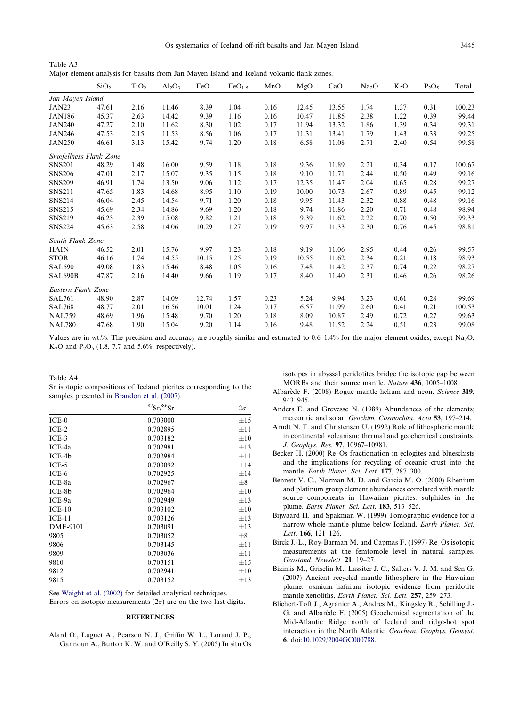<span id="page-22-0"></span>Table A3 Major element analysis for basalts from Jan Mayen Island and Iceland volcanic flank zones.

|                        | SiO <sub>2</sub> | TiO <sub>2</sub> | $Al_2O_3$ | FeO   | FeO <sub>1.5</sub> | MnO  | MgO   | CaO   | Na <sub>2</sub> O | $K_2O$ | $P_2O_5$ | Total  |
|------------------------|------------------|------------------|-----------|-------|--------------------|------|-------|-------|-------------------|--------|----------|--------|
| Jan Mayen Island       |                  |                  |           |       |                    |      |       |       |                   |        |          |        |
| JAN23                  | 47.61            | 2.16             | 11.46     | 8.39  | 1.04               | 0.16 | 12.45 | 13.55 | 1.74              | 1.37   | 0.31     | 100.23 |
| <b>JAN186</b>          | 45.37            | 2.63             | 14.42     | 9.39  | 1.16               | 0.16 | 10.47 | 11.85 | 2.38              | 1.22   | 0.39     | 99.44  |
| <b>JAN240</b>          | 47.27            | 2.10             | 11.62     | 8.30  | 1.02               | 0.17 | 11.94 | 13.32 | 1.86              | 1.39   | 0.34     | 99.31  |
| <b>JAN246</b>          | 47.53            | 2.15             | 11.53     | 8.56  | 1.06               | 0.17 | 11.31 | 13.41 | 1.79              | 1.43   | 0.33     | 99.25  |
| <b>JAN250</b>          | 46.61            | 3.13             | 15.42     | 9.74  | 1.20               | 0.18 | 6.58  | 11.08 | 2.71              | 2.40   | 0.54     | 99.58  |
| Snæfellness Flank Zone |                  |                  |           |       |                    |      |       |       |                   |        |          |        |
| <b>SNS201</b>          | 48.29            | 1.48             | 16.00     | 9.59  | 1.18               | 0.18 | 9.36  | 11.89 | 2.21              | 0.34   | 0.17     | 100.67 |
| <b>SNS206</b>          | 47.01            | 2.17             | 15.07     | 9.35  | 1.15               | 0.18 | 9.10  | 11.71 | 2.44              | 0.50   | 0.49     | 99.16  |
| <b>SNS209</b>          | 46.91            | 1.74             | 13.50     | 9.06  | 1.12               | 0.17 | 12.35 | 11.47 | 2.04              | 0.65   | 0.28     | 99.27  |
| <b>SNS211</b>          | 47.65            | 1.83             | 14.68     | 8.95  | 1.10               | 0.19 | 10.00 | 10.73 | 2.67              | 0.89   | 0.45     | 99.12  |
| <b>SNS214</b>          | 46.04            | 2.45             | 14.54     | 9.71  | 1.20               | 0.18 | 9.95  | 11.43 | 2.32              | 0.88   | 0.48     | 99.16  |
| <b>SNS215</b>          | 45.69            | 2.34             | 14.86     | 9.69  | 1.20               | 0.18 | 9.74  | 11.86 | 2.20              | 0.71   | 0.48     | 98.94  |
| <b>SNS219</b>          | 46.23            | 2.39             | 15.08     | 9.82  | 1.21               | 0.18 | 9.39  | 11.62 | 2.22              | 0.70   | 0.50     | 99.33  |
| <b>SNS224</b>          | 45.63            | 2.58             | 14.06     | 10.29 | 1.27               | 0.19 | 9.97  | 11.33 | 2.30              | 0.76   | 0.45     | 98.81  |
| South Flank Zone       |                  |                  |           |       |                    |      |       |       |                   |        |          |        |
| <b>HAIN</b>            | 46.52            | 2.01             | 15.76     | 9.97  | 1.23               | 0.18 | 9.19  | 11.06 | 2.95              | 0.44   | 0.26     | 99.57  |
| <b>STOR</b>            | 46.16            | 1.74             | 14.55     | 10.15 | 1.25               | 0.19 | 10.55 | 11.62 | 2.34              | 0.21   | 0.18     | 98.93  |
| <b>SAL690</b>          | 49.08            | 1.83             | 15.46     | 8.48  | 1.05               | 0.16 | 7.48  | 11.42 | 2.37              | 0.74   | 0.22     | 98.27  |
| SAL690B                | 47.87            | 2.16             | 14.40     | 9.66  | 1.19               | 0.17 | 8.40  | 11.40 | 2.31              | 0.46   | 0.26     | 98.26  |
| Eastern Flank Zone     |                  |                  |           |       |                    |      |       |       |                   |        |          |        |
| <b>SAL761</b>          | 48.90            | 2.87             | 14.09     | 12.74 | 1.57               | 0.23 | 5.24  | 9.94  | 3.23              | 0.61   | 0.28     | 99.69  |
| <b>SAL768</b>          | 48.77            | 2.01             | 16.56     | 10.01 | 1.24               | 0.17 | 6.57  | 11.99 | 2.60              | 0.41   | 0.21     | 100.53 |
| <b>NAL759</b>          | 48.69            | 1.96             | 15.48     | 9.70  | 1.20               | 0.18 | 8.09  | 10.87 | 2.49              | 0.72   | 0.27     | 99.63  |
| <b>NAL780</b>          | 47.68            | 1.90             | 15.04     | 9.20  | 1.14               | 0.16 | 9.48  | 11.52 | 2.24              | 0.51   | 0.23     | 99.08  |

Values are in wt.%. The precision and accuracy are roughly similar and estimated to 0.6–1.4% for the major element oxides, except Na2O,  $K_2O$  and  $P_2O_5$  (1.8, 7.7 and 5.6%, respectively).

| Table A4                                                           |  |
|--------------------------------------------------------------------|--|
| Sr isotopic compositions of Iceland picrities corresponding to the |  |
| samples presented in Brandon et al. (2007).                        |  |

|          | ${}^{87}Sr/{}^{86}Sr$ | $2\sigma$ |
|----------|-----------------------|-----------|
| $ICE-0$  | 0.703000              | $\pm 15$  |
| $ICE-2$  | 0.702895              | $\pm 11$  |
| $ICE-3$  | 0.703182              | $\pm 10$  |
| ICE-4a   | 0.702981              | $\pm 13$  |
| $ICE-4b$ | 0.702984              | $\pm 11$  |
| $ICE-5$  | 0.703092              | $\pm 14$  |
| $ICE-6$  | 0.702925              | $\pm 14$  |
| ICE-8a   | 0.702967              | $\pm 8$   |
| $ICE-8b$ | 0.702964              | $\pm 10$  |
| ICE-9a   | 0.702949              | $\pm 13$  |
| $ICE-10$ | 0.703102              | $\pm 10$  |
| $ICE-11$ | 0.703126              | $\pm 13$  |
| DMF-9101 | 0.703091              | $\pm 13$  |
| 9805     | 0.703052              | $\pm 8$   |
| 9806     | 0.703145              | $+11$     |
| 9809     | 0.703036              | $\pm 11$  |
| 9810     | 0.703151              | $\pm 15$  |
| 9812     | 0.702941              | $\pm 10$  |
| 9815     | 0.703152              | $\pm 13$  |

See [Waight et al. \(2002\)](#page-26-0) for detailed analytical techniques. Errors on isotopic measurements  $(2\sigma)$  are on the two last digits.

### **REFERENCES**

Alard O., Luguet A., Pearson N. J., Griffin W. L., Lorand J. P., Gannoun A., Burton K. W. and O'Reilly S. Y. (2005) In situ Os

isotopes in abyssal peridotites bridge the isotopic gap between MORBs and their source mantle. Nature 436, 1005–1008.

- Albarède F. (2008) Rogue mantle helium and neon. Science 319, 943–945.
- Anders E. and Grevesse N. (1989) Abundances of the elements; meteoritic and solar. Geochim. Cosmochim. Acta 53, 197–214.
- Arndt N. T. and Christensen U. (1992) Role of lithospheric mantle in continental volcanism: thermal and geochemical constraints. J. Geophys. Res. 97, 10967–10981.
- Becker H. (2000) Re–Os fractionation in eclogites and blueschists and the implications for recycling of oceanic crust into the mantle. Earth Planet. Sci. Lett. 177, 287–300.
- Bennett V. C., Norman M. D. and Garcia M. O. (2000) Rhenium and platinum group element abundances correlated with mantle source components in Hawaiian picrites: sulphides in the plume. Earth Planet. Sci. Lett. 183, 513-526.
- Bijwaard H. and Spakman W. (1999) Tomographic evidence for a narrow whole mantle plume below Iceland. Earth Planet. Sci. Lett. 166, 121–126.
- Birck J.-L., Roy-Barman M. and Capmas F. (1997) Re–Os isotopic measurements at the femtomole level in natural samples. Geostand. Newslett. 21, 19–27.
- Bizimis M., Griselin M., Lassiter J. C., Salters V. J. M. and Sen G. (2007) Ancient recycled mantle lithosphere in the Hawaiian plume: osmium–hafnium isotopic evidence from peridotite mantle xenoliths. Earth Planet. Sci. Lett. 257, 259-273.
- Blichert-Toft J., Agranier A., Andres M., Kingsley R., Schilling J.- G. and Albarède F. (2005) Geochemical segmentation of the Mid-Atlantic Ridge north of Iceland and ridge-hot spot interaction in the North Atlantic. Geochem. Geophys. Geosyst. 6. doi[:10.1029/2004GC000788.](http://dx.doi.org/10.1029/2004GC000788)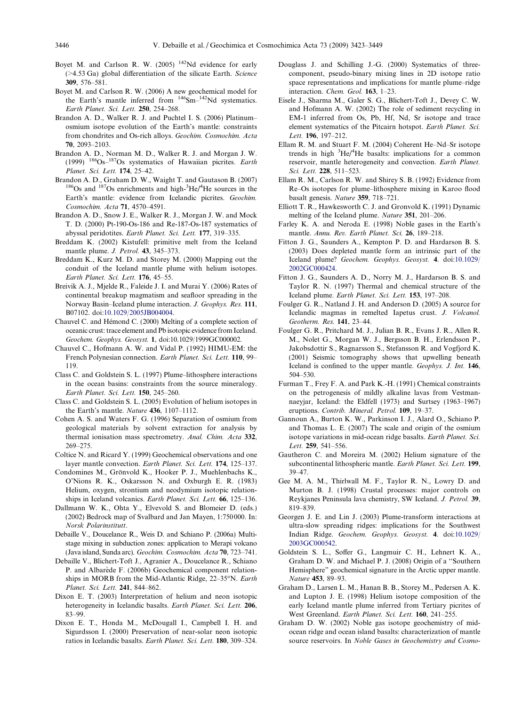- <span id="page-23-0"></span>Boyet M. and Carlson R. W. (2005)  $142$ Nd evidence for early (>4.53 Ga) global differentiation of the silicate Earth. Science 309, 576–581.
- Boyet M. and Carlson R. W. (2006) A new geochemical model for the Earth's mantle inferred from <sup>146</sup>Sm<sup>-142</sup>Nd systematics. Earth Planet. Sci. Lett. 250, 254–268.
- Brandon A. D., Walker R. J. and Puchtel I. S. (2006) Platinum– osmium isotope evolution of the Earth's mantle: constraints from chondrites and Os-rich alloys. Geochim. Cosmochim. Acta 70, 2093–2103.
- Brandon A. D., Norman M. D., Walker R. J. and Morgan J. W. (1999)  $186$ Os<sup>-187</sup>Os systematics of Hawaiian picrites. Earth Planet. Sci. Lett. 174, 25–42.
- Brandon A. D., Graham D. W., Waight T. and Gautason B. (2007) <sup>186</sup>Os and <sup>187</sup>Os enrichments and high-<sup>3</sup>He/<sup>4</sup>He sources in the Earth's mantle: evidence from Icelandic picrites. Geochim. Cosmochim. Acta 71, 4570–4591.
- Brandon A. D., Snow J. E., Walker R. J., Morgan J. W. and Mock T. D. (2000) Pt-190-Os-186 and Re-187-Os-187 systematics of abyssal peridotites. Earth Planet. Sci. Lett. 177, 319–335.
- Breddam K. (2002) Kistufell: primitive melt from the Iceland mantle plume. J. Petrol. 43, 345–373.
- Breddam K., Kurz M. D. and Storey M. (2000) Mapping out the conduit of the Iceland mantle plume with helium isotopes. Earth Planet. Sci. Lett. 176, 45–55.
- Breivik A. J., Mjelde R., Faleide J. I. and Murai Y. (2006) Rates of continental breakup magmatism and seafloor spreading in the Norway Basin–Iceland plume interaction. J. Geophys. Res. 111, B07102. doi:[10.1029/2005JB004004.](http://dx.doi.org/10.1029/2005JB004004)
- Chauvel C. and Hémond C. (2000) Melting of a complete section of oceanic crust: trace element and Pb isotopic evidence from Iceland. Geochem. Geophys. Geosyst. 1, doi:10.1029/1999GC000002.
- Chauvel C., Hofmann A. W. and Vidal P. (1992) HIMU-EM: the French Polynesian connection. Earth Planet. Sci. Lett. 110, 99– 119.
- Class C. and Goldstein S. L. (1997) Plume–lithosphere interactions in the ocean basins: constraints from the source mineralogy. Earth Planet. Sci. Lett. 150, 245–260.
- Class C. and Goldstein S. L. (2005) Evolution of helium isotopes in the Earth's mantle. Nature 436, 1107–1112.
- Cohen A. S. and Waters F. G. (1996) Separation of osmium from geological materials by solvent extraction for analysis by thermal ionisation mass spectrometry. Anal. Chim. Acta 332, 269–275.
- Coltice N. and Ricard Y. (1999) Geochemical observations and one layer mantle convection. Earth Planet. Sci. Lett. 174, 125–137.
- Condomines M., Grönvold K., Hooker P. J., Muehlenbachs K., O'Nions R. K., Oskarsson N. and Oxburgh E. R. (1983) Helium, oxygen, strontium and neodymium isotopic relationships in Iceland volcanics. Earth Planet. Sci. Lett. 66, 125–136.
- Dallmann W. K., Ohta Y., Elvevold S. and Blomeier D. (eds.) (2002) Bedrock map of Svalbard and Jan Mayen, 1:750 000. In: Norsk Polarinstitutt.
- Debaille V., Doucelance R., Weis D. and Schiano P. (2006a) Multistage mixing in subduction zones: application to Merapi volcano (Java island, Sunda arc). Geochim. Cosmochim. Acta 70, 723–741.
- Debaille V., Blichert-Toft J., Agranier A., Doucelance R., Schiano P. and Albarède F. (2006b) Geochemical component relationships in MORB from the Mid-Atlantic Ridge,  $22-35^{\circ}N$ . *Earth* Planet. Sci. Lett. 241, 844–862.
- Dixon E. T. (2003) Interpretation of helium and neon isotopic heterogeneity in Icelandic basalts. Earth Planet. Sci. Lett. 206, 83–99.
- Dixon E. T., Honda M., McDougall I., Campbell I. H. and Sigurdsson I. (2000) Preservation of near-solar neon isotopic ratios in Icelandic basalts. Earth Planet. Sci. Lett. 180, 309–324.
- Douglass J. and Schilling J.-G. (2000) Systematics of threecomponent, pseudo-binary mixing lines in 2D isotope ratio space representations and implications for mantle plume–ridge interaction. Chem. Geol. 163, 1–23.
- Eisele J., Sharma M., Galer S. G., Blichert-Toft J., Devey C. W. and Hofmann A. W. (2002) The role of sediment recycling in EM-1 inferred from Os, Pb, Hf, Nd, Sr isotope and trace element systematics of the Pitcairn hotspot. Earth Planet. Sci. Lett. 196, 197–212.
- Ellam R. M. and Stuart F. M. (2004) Coherent He–Nd–Sr isotope trends in high  ${}^{3}$ He/ ${}^{4}$ He basalts: implications for a common reservoir, mantle heterogeneity and convection. Earth Planet. Sci. Lett. 228, 511–523.
- Ellam R. M., Carlson R. W. and Shirey S. B. (1992) Evidence from Re–Os isotopes for plume–lithosphere mixing in Karoo flood basalt genesis. Nature 359, 718–721.
- Elliott T. R., Hawkesworth C. J. and Gronvold K. (1991) Dynamic melting of the Iceland plume. Nature 351, 201–206.
- Farley K. A. and Neroda E. (1998) Noble gases in the Earth's mantle. Annu. Rev. Earth Planet. Sci. 26, 189–218.
- Fitton J. G., Saunders A., Kempton P. D. and Hardarson B. S. (2003) Does depleted mantle form an intrinsic part of the Iceland plume? Geochem. Geophys. Geosyst. 4. doi[:10.1029/](http://dx.doi.org/10.1029/2002GC000424) [2002GC000424.](http://dx.doi.org/10.1029/2002GC000424)
- Fitton J. G., Saunders A. D., Norry M. J., Hardarson B. S. and Taylor R. N. (1997) Thermal and chemical structure of the Iceland plume. Earth Planet. Sci. Lett. 153, 197–208.
- Foulger G. R., Natland J. H. and Anderson D. (2005) A source for Icelandic magmas in remelted Iapetus crust. J. Volcanol. Geotherm. Res. 141, 23–44.
- Foulger G. R., Pritchard M. J., Julian B. R., Evans J. R., Allen R. M., Nolet G., Morgan W. J., Bergsson B. H., Erlendsson P., Jakobsdottir S., Ragnarsson S., Stefansson R. and Vogfjord K. (2001) Seismic tomography shows that upwelling beneath Iceland is confined to the upper mantle. Geophys. J. Int. 146, 504–530.
- Furman T., Frey F. A. and Park K.-H. (1991) Chemical constraints on the petrogenesis of mildly alkaline lavas from Vestmannaeyjar, Iceland: the Eldfell (1973) and Surtsey (1963–1967) eruptions. Contrib. Mineral. Petrol. 109, 19–37.
- Gannoun A., Burton K. W., Parkinson I. J., Alard O., Schiano P. and Thomas L. E. (2007) The scale and origin of the osmium isotope variations in mid-ocean ridge basalts. Earth Planet. Sci. Lett. 259, 541–556.
- Gautheron C. and Moreira M. (2002) Helium signature of the subcontinental lithospheric mantle. Earth Planet. Sci. Lett. 199, 39–47.
- Gee M. A. M., Thirlwall M. F., Taylor R. N., Lowry D. and Murton B. J. (1998) Crustal processes: major controls on Reykjanes Peninsula lava chemistry, SW Iceland. J. Petrol. 39, 819–839.
- Georgen J. E. and Lin J. (2003) Plume-transform interactions at ultra-slow spreading ridges: implications for the Southwest Indian Ridge. Geochem. Geophys. Geosyst. 4. doi[:10.1029/](http://dx.doi.org/10.1029/2003GC000542) [2003GC000542.](http://dx.doi.org/10.1029/2003GC000542)
- Goldstein S. L., Soffer G., Langmuir C. H., Lehnert K. A., Graham D. W. and Michael P. J. (2008) Origin of a ''Southern Hemisphere" geochemical signature in the Arctic upper mantle. Nature 453, 89–93.
- Graham D., Larsen L. M., Hanan B. B., Storey M., Pedersen A. K. and Lupton J. E. (1998) Helium isotope composition of the early Iceland mantle plume inferred from Tertiary picrites of West Greenland. Earth Planet. Sci. Lett. 160, 241–255.
- Graham D. W. (2002) Noble gas isotope geochemistry of midocean ridge and ocean island basalts: characterization of mantle source reservoirs. In Noble Gases in Geochemistry and Cosmo-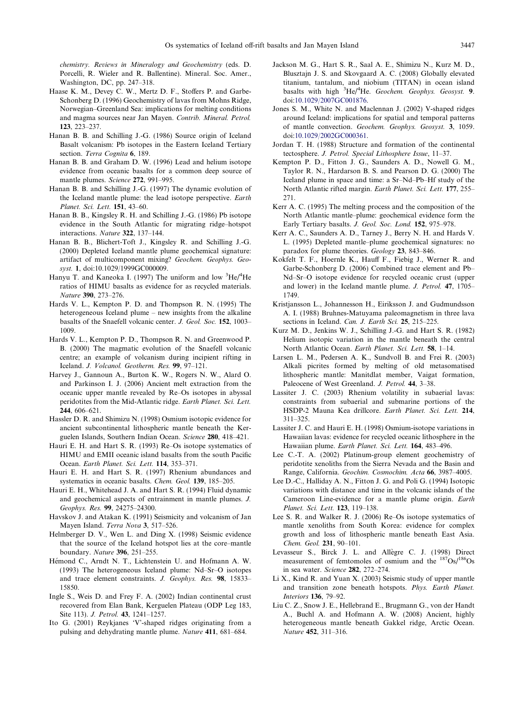<span id="page-24-0"></span>chemistry. Reviews in Mineralogy and Geochemistry (eds. D. Porcelli, R. Wieler and R. Ballentine). Mineral. Soc. Amer., Washington, DC, pp. 247–318.

- Haase K. M., Devey C. W., Mertz D. F., Stoffers P. and Garbe-Schonberg D. (1996) Geochemistry of lavas from Mohns Ridge, Norwegian–Greenland Sea: implications for melting conditions and magma sources near Jan Mayen. Contrib. Mineral. Petrol. 123, 223–237.
- Hanan B. B. and Schilling J.-G. (1986) Source origin of Iceland Basalt volcanism: Pb isotopes in the Eastern Iceland Tertiary section. Terra Cognita 6, 189.
- Hanan B. B. and Graham D. W. (1996) Lead and helium isotope evidence from oceanic basalts for a common deep source of mantle plumes. Science 272, 991–995.
- Hanan B. B. and Schilling J.-G. (1997) The dynamic evolution of the Iceland mantle plume: the lead isotope perspective. Earth Planet. Sci. Lett. 151, 43–60.
- Hanan B. B., Kingsley R. H. and Schilling J.-G. (1986) Pb isotope evidence in the South Atlantic for migrating ridge–hotspot interactions. Nature 322, 137–144.
- Hanan B. B., Blichert-Toft J., Kingsley R. and Schilling J.-G. (2000) Depleted Iceland mantle plume geochemical signature: artifact of multicomponent mixing? Geochem. Geophys. Geosyst. 1, doi:10.1029/1999GC000009.
- Hanyu T. and Kaneoka I. (1997) The uniform and low <sup>3</sup>He/<sup>4</sup>He ratios of HIMU basalts as evidence for as recycled materials. Nature 390, 273–276.
- Hards V. L., Kempton P. D. and Thompson R. N. (1995) The heterogeneous Iceland plume – new insights from the alkaline basalts of the Snaefell volcanic center. J. Geol. Soc. 152, 1003– 1009.
- Hards V. L., Kempton P. D., Thompson R. N. and Greenwood P. B. (2000) The magmatic evolution of the Snaefell volcanic centre; an example of volcanism during incipient rifting in Iceland. J. Volcanol. Geotherm. Res. 99, 97–121.
- Harvey J., Gannoun A., Burton K. W., Rogers N. W., Alard O. and Parkinson I. J. (2006) Ancient melt extraction from the oceanic upper mantle revealed by Re–Os isotopes in abyssal peridotites from the Mid-Atlantic ridge. Earth Planet. Sci. Lett. 244, 606–621.
- Hassler D. R. and Shimizu N. (1998) Osmium isotopic evidence for ancient subcontinental lithospheric mantle beneath the Kerguelen Islands, Southern Indian Ocean. Science 280, 418–421.
- Hauri E. H. and Hart S. R. (1993) Re–Os isotope systematics of HIMU and EMII oceanic island basalts from the south Pacific Ocean. Earth Planet. Sci. Lett. 114, 353–371.
- Hauri E. H. and Hart S. R. (1997) Rhenium abundances and systematics in oceanic basalts. Chem. Geol. 139, 185–205.
- Hauri E. H., Whitehead J. A. and Hart S. R. (1994) Fluid dynamic and geochemical aspects of entrainment in mantle plumes. J. Geophys. Res. 99, 24275–24300.
- Havskov J. and Atakan K. (1991) Seismicity and volcanism of Jan Mayen Island. Terra Nova 3, 517–526.
- Helmberger D. V., Wen L. and Ding X. (1998) Seismic evidence that the source of the Iceland hotspot lies at the core–mantle boundary. Nature 396, 251–255.
- Hémond C., Arndt N. T., Lichtenstein U. and Hofmann A. W. (1993) The heterogeneous Iceland plume: Nd–Sr–O isotopes and trace element constraints. J. Geophys. Res. 98, 15833– 15850.
- Ingle S., Weis D. and Frey F. A. (2002) Indian continental crust recovered from Elan Bank, Kerguelen Plateau (ODP Leg 183, Site 113). J. Petrol. 43, 1241–1257.
- Ito G. (2001) Reykjanes 'V'-shaped ridges originating from a pulsing and dehydrating mantle plume. Nature 411, 681–684.
- Jackson M. G., Hart S. R., Saal A. E., Shimizu N., Kurz M. D., Blusztajn J. S. and Skovgaard A. C. (2008) Globally elevated titanium, tantalum, and niobium (TITAN) in ocean island basalts with high <sup>3</sup>He/<sup>4</sup>He. Geochem. Geophys. Geosyst. 9. doi[:10.1029/2007GC001876.](http://dx.doi.org/10.1029/2007GC001876)
- Jones S. M., White N. and Maclennan J. (2002) V-shaped ridges around Iceland: implications for spatial and temporal patterns of mantle convection. Geochem. Geophys. Geosyst. 3, 1059. doi[:10.1029/2002GC000361.](http://dx.doi.org/10.1029/2002GC000361)
- Jordan T. H. (1988) Structure and formation of the continental tectosphere. J. Petrol. Special Lithosphere Issue, 11–37.
- Kempton P. D., Fitton J. G., Saunders A. D., Nowell G. M., Taylor R. N., Hardarson B. S. and Pearson D. G. (2000) The Iceland plume in space and time: a Sr–Nd–Pb–Hf study of the North Atlantic rifted margin. Earth Planet. Sci. Lett. 177, 255– 271.
- Kerr A. C. (1995) The melting process and the composition of the North Atlantic mantle–plume: geochemical evidence form the Early Tertiary basalts. J. Geol. Soc. Lond. 152, 975–978.
- Kerr A. C., Saunders A. D., Tarney J., Berry N. H. and Hards V. L. (1995) Depleted mantle–plume geochemical signatures: no paradox for plume theories. Geology 23, 843–846.
- Kokfelt T. F., Hoernle K., Hauff F., Fiebig J., Werner R. and Garbe-Schonberg D. (2006) Combined trace element and Pb– Nd–Sr–O isotope evidence for recycled oceanic crust (upper and lower) in the Iceland mantle plume. J. Petrol. 47, 1705– 1749.
- Kristjansson L., Johannesson H., Eiriksson J. and Gudmundsson A. I. (1988) Bruhnes-Matuyama paleomagnetism in three lava sections in Iceland. Can. J. Earth Sci. 25, 215-225.
- Kurz M. D., Jenkins W. J., Schilling J.-G. and Hart S. R. (1982) Helium isotopic variation in the mantle beneath the central North Atlantic Ocean. Earth Planet. Sci. Lett. 58, 1–14.
- Larsen L. M., Pedersen A. K., Sundvoll B. and Frei R. (2003) Alkali picrites formed by melting of old metasomatised lithospheric mantle: Manitdlat member, Vaigat formation, Paleocene of West Greenland. J. Petrol. 44, 3–38.
- Lassiter J. C. (2003) Rhenium volatility in subaerial lavas: constraints from subaerial and submarine portions of the HSDP-2 Mauna Kea drillcore. Earth Planet. Sci. Lett. 214, 311–325.
- Lassiter J. C. and Hauri E. H. (1998) Osmium-isotope variations in Hawaiian lavas: evidence for recycled oceanic lithosphere in the Hawaiian plume. Earth Planet. Sci. Lett. 164, 483-496.
- Lee C.-T. A. (2002) Platinum-group element geochemistry of peridotite xenoliths from the Sierra Nevada and the Basin and Range, California. Geochim. Cosmochim. Acta 66, 3987–4005.
- Lee D.-C., Halliday A. N., Fitton J. G. and Poli G. (1994) Isotopic variations with distance and time in the volcanic islands of the Cameroon Line-evidence for a mantle plume origin. Earth Planet. Sci. Lett. 123, 119–138.
- Lee S. R. and Walker R. J. (2006) Re–Os isotope systematics of mantle xenoliths from South Korea: evidence for complex growth and loss of lithospheric mantle beneath East Asia. Chem. Geol. 231, 90–101.
- Levasseur S., Birck J. L. and Allègre C. J. (1998) Direct measurement of femtomoles of osmium and the  $187Os/186Os$ in sea water. Science 282, 272–274.
- Li X., Kind R. and Yuan X. (2003) Seismic study of upper mantle and transition zone beneath hotspots. Phys. Earth Planet. Interiors 136, 79–92.
- Liu C. Z., Snow J. E., Hellebrand E., Brugmann G., von der Handt A., Buchl A. and Hofmann A. W. (2008) Ancient, highly heterogeneous mantle beneath Gakkel ridge, Arctic Ocean. Nature 452, 311–316.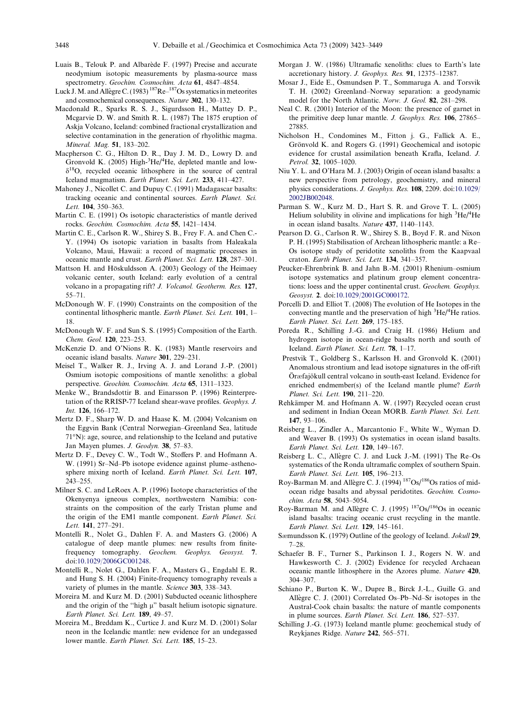- <span id="page-25-0"></span>Luais B., Telouk P. and Albarède F. (1997) Precise and accurate neodymium isotopic measurements by plasma-source mass spectrometry. Geochim. Cosmochim. Acta 61, 4847–4854.
- Luck J. M. and Allegre C. (1983)  $187$ Re– $187$ Os systematics in meteorites and cosmochemical consequences. Nature 302, 130–132.
- Macdonald R., Sparks R. S. J., Sigurdsson H., Mattey D. P., Mcgarvie D. W. and Smith R. L. (1987) The 1875 eruption of Askja Volcano, Iceland: combined fractional crystallization and selective contamination in the generation of rhyolithic magma. Mineral. Mag. 51, 183–202.
- Macpherson C. G., Hilton D. R., Day J. M. D., Lowry D. and Gronvold K. (2005) High- ${}^{3}$ He/ ${}^{4}$ He, depleted mantle and low- $\delta^{18}$ O, recycled oceanic lithosphere in the source of central Iceland magmatism. Earth Planet. Sci. Lett. 233, 411–427.
- Mahoney J., Nicollet C. and Dupuy C. (1991) Madagascar basalts: tracking oceanic and continental sources. Earth Planet. Sci. Lett. 104, 350-363.
- Martin C. E. (1991) Os isotopic characteristics of mantle derived rocks. Geochim. Cosmochim. Acta 55, 1421–1434.
- Martin C. E., Carlson R. W., Shirey S. B., Frey F. A. and Chen C.- Y. (1994) Os isotopic variation in basalts from Haleakala Volcano, Maui, Hawaii: a record of magmatic processes in oceanic mantle and crust. Earth Planet. Sci. Lett. 128, 287–301.
- Mattson H. and Höskuldsson A. (2003) Geology of the Heimaey volcanic center, south Iceland: early evolution of a central volcano in a propagating rift? J. Volcanol. Geotherm. Res. 127, 55–71.
- McDonough W. F. (1990) Constraints on the composition of the continental lithospheric mantle. Earth Planet. Sci. Lett. 101, 1– 18.
- McDonough W. F. and Sun S. S. (1995) Composition of the Earth. Chem. Geol. 120, 223–253.
- McKenzie D. and O'Nions R. K. (1983) Mantle reservoirs and oceanic island basalts. Nature 301, 229–231.
- Meisel T., Walker R. J., Irving A. J. and Lorand J.-P. (2001) Osmium isotopic compositions of mantle xenoliths: a global perspective. Geochim. Cosmochim. Acta 65, 1311–1323.
- Menke W., Brandsdottir B. and Einarsson P. (1996) Reinterpretation of the RRISP-77 Iceland shear-wave profiles. Geophys. J. Int. 126, 166–172.
- Mertz D. F., Sharp W. D. and Haase K. M. (2004) Volcanism on the Eggvin Bank (Central Norwegian–Greenland Sea, latitude  $71°$ N): age, source, and relationship to the Iceland and putative Jan Mayen plumes. J. Geodyn. 38, 57–83.
- Mertz D. F., Devey C. W., Todt W., Stoffers P. and Hofmann A. W. (1991) Sr–Nd–Pb isotope evidence against plume–asthenosphere mixing north of Iceland. Earth Planet. Sci. Lett. 107, 243–255.
- Milner S. C. and LeRoex A. P. (1996) Isotope characteristics of the Okenyenya igneous complex, northwestern Namibia: constraints on the composition of the early Tristan plume and the origin of the EM1 mantle component. Earth Planet. Sci. Lett. 141, 277–291.
- Montelli R., Nolet G., Dahlen F. A. and Masters G. (2006) A catalogue of deep mantle plumes: new results from finitefrequency tomography. Geochem. Geophys. Geosyst. 7. doi:[10.1029/2006GC001248.](http://dx.doi.org/10.1029/2006GC001248)
- Montelli R., Nolet G., Dahlen F. A., Masters G., Engdahl E. R. and Hung S. H. (2004) Finite-frequency tomography reveals a variety of plumes in the mantle. Science 303, 338–343.
- Moreira M. and Kurz M. D. (2001) Subducted oceanic lithosphere and the origin of the "high  $\mu$ " basalt helium isotopic signature. Earth Planet. Sci. Lett. 189, 49–57.
- Moreira M., Breddam K., Curtice J. and Kurz M. D. (2001) Solar neon in the Icelandic mantle: new evidence for an undegassed lower mantle. Earth Planet. Sci. Lett. 185, 15–23.
- Morgan J. W. (1986) Ultramafic xenoliths: clues to Earth's late accretionary history. J. Geophys. Res. 91, 12375–12387.
- Mosar J., Eide E., Osmundsen P. T., Sommaruga A. and Torsvik T. H. (2002) Greenland–Norway separation: a geodynamic model for the North Atlantic. Norw. J. Geol. 82, 281–298.
- Neal C. R. (2001) Interior of the Moon: the presence of garnet in the primitive deep lunar mantle. J. Geophys. Res. 106, 27865– 27885.
- Nicholson H., Condomines M., Fitton j. G., Fallick A. E., Grönvold K. and Rogers G. (1991) Geochemical and isotopic evidence for crustal assimilation beneath Krafla, Iceland. J. Petrol. 32, 1005–1020.
- Niu Y. L. and O'Hara M. J. (2003) Origin of ocean island basalts: a new perspective from petrology, geochemistry, and mineral physics considerations. J. Geophys. Res. 108, 2209. doi[:10.1029/](http://dx.doi.org/10.1029/2002JB002048) [2002JB002048.](http://dx.doi.org/10.1029/2002JB002048)
- Parman S. W., Kurz M. D., Hart S. R. and Grove T. L. (2005) Helium solubility in olivine and implications for high  ${}^{3}$ He/ ${}^{4}$ He in ocean island basalts. Nature 437, 1140–1143.
- Pearson D. G., Carlson R. W., Shirey S. B., Boyd F. R. and Nixon P. H. (1995) Stabilisation of Archean lithospheric mantle: a Re– Os isotope study of peridotite xenoliths from the Kaapvaal craton. Earth Planet. Sci. Lett. 134, 341–357.
- Peucker-Ehrenbrink B. and Jahn B.-M. (2001) Rhenium–osmium isotope systematics and platinum group element concentrations: loess and the upper continental crust. Geochem. Geophys. Geosyst. 2. doi[:10.1029/2001GC000172.](http://dx.doi.org/10.1029/2001GC000172)
- Porcelli D. and Elliot T. (2008) The evolution of He Isotopes in the convecting mantle and the preservation of high  ${}^{3}$ He/ ${}^{4}$ He ratios. Earth Planet. Sci. Lett. 269, 175–185.
- Poreda R., Schilling J.-G. and Craig H. (1986) Helium and hydrogen isotope in ocean-ridge basalts north and south of Iceland. Earth Planet. Sci. Lett. 78, 1–17.
- Prestvik T., Goldberg S., Karlsson H. and Gronvold K. (2001) Anomalous strontium and lead isotope signatures in the off-rift Öræfajökull central volcano in south-east Iceland. Evidence for enriched endmember(s) of the Iceland mantle plume? Earth Planet. Sci. Lett. 190, 211–220.
- Rehkämper M. and Hofmann A. W. (1997) Recycled ocean crust and sediment in Indian Ocean MORB. Earth Planet. Sci. Lett. 147, 93–106.
- Reisberg L., Zindler A., Marcantonio F., White W., Wyman D. and Weaver B. (1993) Os systematics in ocean island basalts. Earth Planet. Sci. Lett. 120, 149–167.
- Reisberg L. C., Allègre C. J. and Luck J.-M. (1991) The Re-Os systematics of the Ronda ultramafic complex of southern Spain. Earth Planet. Sci. Lett. 105, 196–213.
- Roy-Barman M. and Allègre C. J. (1994) <sup>187</sup>Os/<sup>186</sup>Os ratios of midocean ridge basalts and abyssal peridotites. Geochim. Cosmochim. Acta 58, 5043–5054.
- Roy-Barman M. and Allègre C. J. (1995) <sup>187</sup>Os/<sup>186</sup>Os in oceanic island basalts: tracing oceanic crust recycling in the mantle. Earth Planet. Sci. Lett. 129, 145–161.
- Sæmundsson K. (1979) Outline of the geology of Iceland. Jokull 29, 7–28.
- Schaefer B. F., Turner S., Parkinson I. J., Rogers N. W. and Hawkesworth C. J. (2002) Evidence for recycled Archaean oceanic mantle lithosphere in the Azores plume. Nature 420, 304–307.
- Schiano P., Burton K. W., Dupre B., Birck J.-L., Guille G. and Allègre C. J. (2001) Correlated Os–Pb–Nd–Sr isotopes in the Austral-Cook chain basalts: the nature of mantle components in plume sources. Earth Planet. Sci. Lett. 186, 527–537.
- Schilling J.-G. (1973) Iceland mantle plume: geochemical study of Reykjanes Ridge. Nature 242, 565–571.